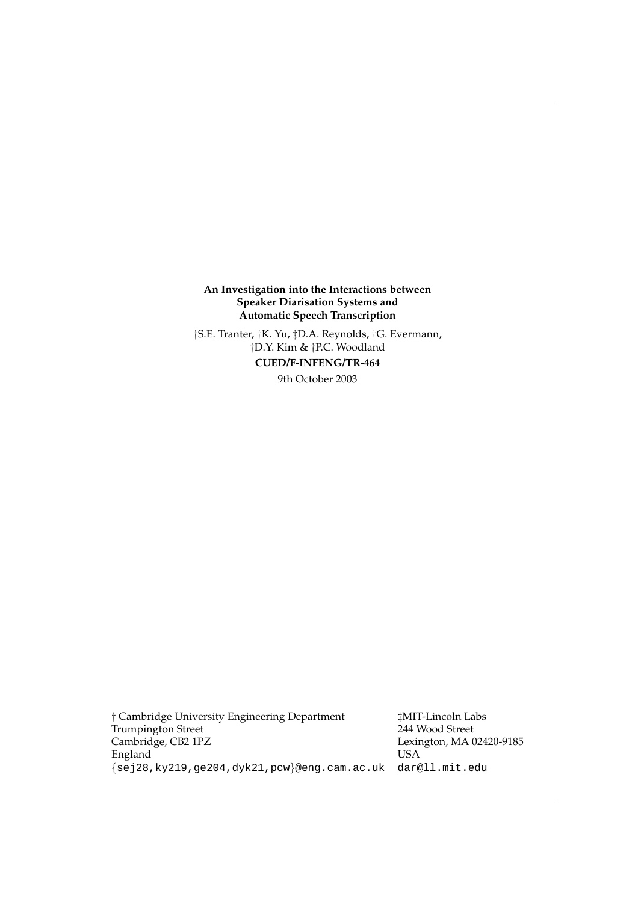**An Investigation into the Interactions between Speaker Diarisation Systems and Automatic Speech Transcription**

†S.E. Tranter, †K. Yu, ‡D.A. Reynolds, †G. Evermann, †D.Y. Kim & †P.C. Woodland **CUED/F-INFENG/TR-464** 9th October 2003

† Cambridge University Engineering Department ‡MIT-Lincoln Labs Trumpington Street<br>Cambridge, CB2 1PZ England USA {sej28,ky219,ge204,dyk21,pcw}@eng.cam.ac.uk dar@ll.mit.edu

Lexington, MA 02420-9185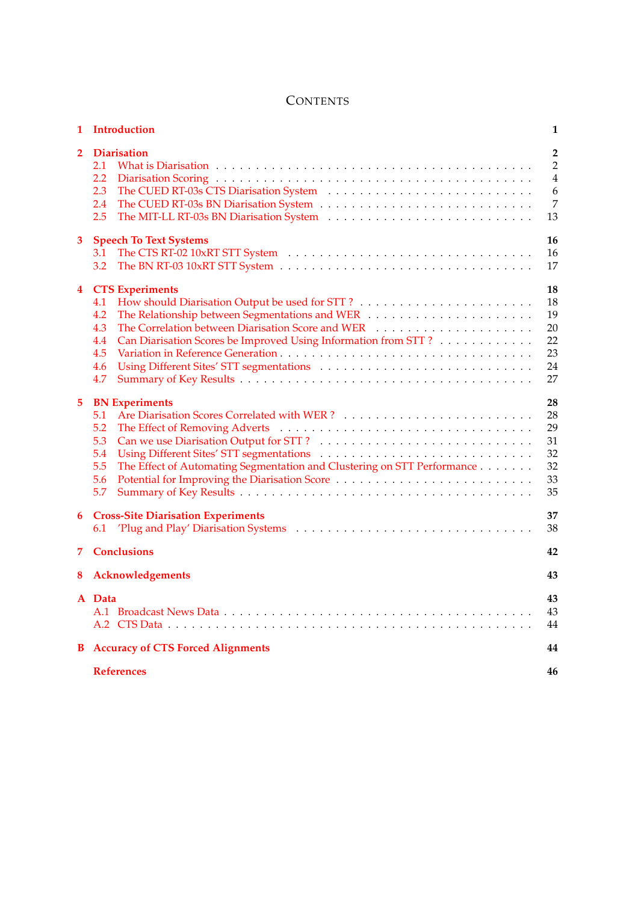# **CONTENTS**

| $\mathbf{1}$ | Introduction                                                                                                                                                                                   | 1                                                                  |
|--------------|------------------------------------------------------------------------------------------------------------------------------------------------------------------------------------------------|--------------------------------------------------------------------|
| $\mathbf{2}$ | <b>Diarisation</b><br>2.1<br>2.2<br>2.3<br>2.4<br>2.5                                                                                                                                          | $\overline{2}$<br>$\overline{2}$<br>$\overline{4}$<br>6<br>7<br>13 |
| 3            | <b>Speech To Text Systems</b><br>3.1<br>3.2                                                                                                                                                    | 16<br>16<br>17                                                     |
| 4            | <b>CTS</b> Experiments<br>4.1<br>4.2<br>The Correlation between Diarisation Score and WER<br>4.3<br>Can Diarisation Scores be Improved Using Information from STT?<br>4.4<br>4.5<br>4.6<br>4.7 | 18<br>18<br>19<br>20<br>22<br>23<br>24<br>27                       |
| 5.           | <b>BN</b> Experiments<br>5.1<br>5.2<br>5.3<br>5.4<br>The Effect of Automating Segmentation and Clustering on STT Performance<br>5.5<br>5.6<br>5.7                                              | 28<br>28<br>29<br>31<br>32<br>32<br>33<br>35                       |
| 6            | <b>Cross-Site Diarisation Experiments</b><br>6.1                                                                                                                                               | 37<br>38                                                           |
| 7.           | <b>Conclusions</b>                                                                                                                                                                             | 42                                                                 |
| 8            | Acknowledgements                                                                                                                                                                               | 43                                                                 |
|              | A Data                                                                                                                                                                                         | 43<br>43<br>44                                                     |
| В            | <b>Accuracy of CTS Forced Alignments</b>                                                                                                                                                       | 44                                                                 |
|              | <b>References</b>                                                                                                                                                                              | 46                                                                 |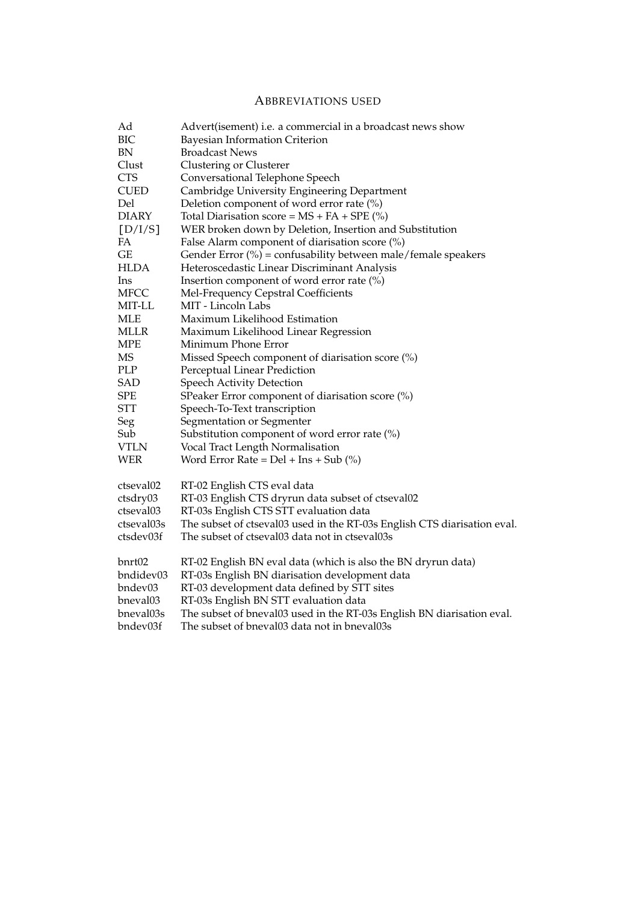# ABBREVIATIONS USED

| Ad             | Advert(isement) i.e. a commercial in a broadcast news show               |
|----------------|--------------------------------------------------------------------------|
| BIC            | <b>Bayesian Information Criterion</b>                                    |
| BN             | <b>Broadcast News</b>                                                    |
| Clust          | Clustering or Clusterer                                                  |
| <b>CTS</b>     | Conversational Telephone Speech                                          |
| <b>CUED</b>    | Cambridge University Engineering Department                              |
| Del            | Deletion component of word error rate (%)                                |
| <b>DIARY</b>   | Total Diarisation score = $MS + FA + SPE$ (%)                            |
| [D/I/S]        | WER broken down by Deletion, Insertion and Substitution                  |
| FA             | False Alarm component of diarisation score $(\%)$                        |
| GE             | Gender Error (%) = confusability between male/female speakers            |
| <b>HLDA</b>    | Heteroscedastic Linear Discriminant Analysis                             |
| <sub>lns</sub> | Insertion component of word error rate (%)                               |
| MFCC           | Mel-Frequency Cepstral Coefficients                                      |
| MIT-LL         | MIT - Lincoln Labs                                                       |
| MLE            | Maximum Likelihood Estimation                                            |
| <b>MLLR</b>    | Maximum Likelihood Linear Regression                                     |
| <b>MPE</b>     | Minimum Phone Error                                                      |
| MS             | Missed Speech component of diarisation score (%)                         |
| PLP            | Perceptual Linear Prediction                                             |
| SAD            | Speech Activity Detection                                                |
| SPE            | SPeaker Error component of diarisation score (%)                         |
| <b>STT</b>     | Speech-To-Text transcription                                             |
| Seg            | Segmentation or Segmenter                                                |
| Sub            | Substitution component of word error rate $(\%)$                         |
| <b>VTLN</b>    | Vocal Tract Length Normalisation                                         |
| <b>WER</b>     | Word Error Rate = $Del + Ins + Sub$ (%)                                  |
| ctseval02      | RT-02 English CTS eval data                                              |
| ctsdry03       | RT-03 English CTS dryrun data subset of ctseval02                        |
| ctseval03      | RT-03s English CTS STT evaluation data                                   |
| ctseval03s     | The subset of ctseval03 used in the RT-03s English CTS diarisation eval. |
| ctsdev03f      | The subset of ctseval03 data not in ctseval03s                           |
| bnrt02         | RT-02 English BN eval data (which is also the BN dryrun data)            |
| bndidev03      | RT-03s English BN diarisation development data                           |
| bndev03        | RT-03 development data defined by STT sites                              |
| bneval03       | RT-03s English BN STT evaluation data                                    |
| bneval03s      | The subset of bneval03 used in the RT-03s English BN diarisation eval.   |
| bndev03f       | The subset of bneval03 data not in bneval03s                             |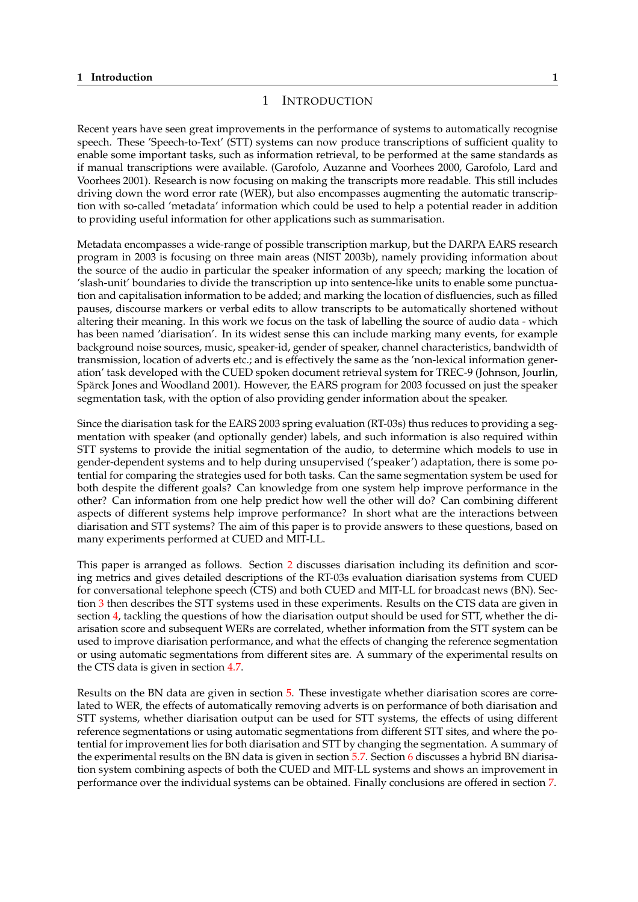## 1 INTRODUCTION

<span id="page-4-0"></span>Recent years have seen great improvements in the performance of systems to automatically recognise speech. These 'Speech-to-Text' (STT) systems can now produce transcriptions of sufficient quality to enable some important tasks, such as information retrieval, to be performed at the same standards as if manual transcriptions were available. (Garofolo, Auzanne and Voorhees 2000, Garofolo, Lard and Voorhees 2001). Research is now focusing on making the transcripts more readable. This still includes driving down the word error rate (WER), but also encompasses augmenting the automatic transcription with so-called 'metadata' information which could be used to help a potential reader in addition to providing useful information for other applications such as summarisation.

Metadata encompasses a wide-range of possible transcription markup, but the DARPA EARS research program in 2003 is focusing on three main areas (NIST 2003b), namely providing information about the source of the audio in particular the speaker information of any speech; marking the location of 'slash-unit' boundaries to divide the transcription up into sentence-like units to enable some punctuation and capitalisation information to be added; and marking the location of disfluencies, such as filled pauses, discourse markers or verbal edits to allow transcripts to be automatically shortened without altering their meaning. In this work we focus on the task of labelling the source of audio data - which has been named 'diarisation'. In its widest sense this can include marking many events, for example background noise sources, music, speaker-id, gender of speaker, channel characteristics, bandwidth of transmission, location of adverts etc.; and is effectively the same as the 'non-lexical information generation' task developed with the CUED spoken document retrieval system for TREC-9 (Johnson, Jourlin, Spärck Jones and Woodland 2001). However, the EARS program for 2003 focussed on just the speaker segmentation task, with the option of also providing gender information about the speaker.

Since the diarisation task for the EARS 2003 spring evaluation (RT-03s) thus reduces to providing a segmentation with speaker (and optionally gender) labels, and such information is also required within STT systems to provide the initial segmentation of the audio, to determine which models to use in gender-dependent systems and to help during unsupervised ('speaker') adaptation, there is some potential for comparing the strategies used for both tasks. Can the same segmentation system be used for both despite the different goals? Can knowledge from one system help improve performance in the other? Can information from one help predict how well the other will do? Can combining different aspects of different systems help improve performance? In short what are the interactions between diarisation and STT systems? The aim of this paper is to provide answers to these questions, based on many experiments performed at CUED and MIT-LL.

This paper is arranged as follows. Section 2 discusses diarisation including its definition and scoring metrics and gives detailed descriptions of the RT-03s evaluation diarisation systems from CUED for conversational telephone speech (CTS) and both CUED and MIT-LL for broadcast news (BN). Section 3 then describes the STT systems used in these experiments. Results on the CTS data are given in section 4, tackling the questions of how the [dia](#page-5-0)risation output should be used for STT, whether the diarisation score and subsequent WERs are correlated, whether information from the STT system can be used to improve diarisation performance, and what the effects of changing the reference segmentation or u[sin](#page-19-0)g automatic segmentations from different sites are. A summary of the experimental results on the CT[S d](#page-21-0)ata is given in section 4.7.

Results on the BN data are given in section 5. These investigate whether diarisation scores are correlated to WER, the effects of automatically removing adverts is on performance of both diarisation and STT systems, whether diarisati[on o](#page-30-0)utput can be used for STT systems, the effects of using different reference segmentations or using automatic segmentations from different STT sites, and where the potential for improvement lies for both diarisat[io](#page-31-0)n and STT by changing the segmentation. A summary of the experimental results on the BN data is given in section 5.7. Section 6 discusses a hybrid BN diarisation system combining aspects of both the CUED and MIT-LL systems and shows an improvement in performance over the individual systems can be obtained. Finally conclusions are offered in section 7.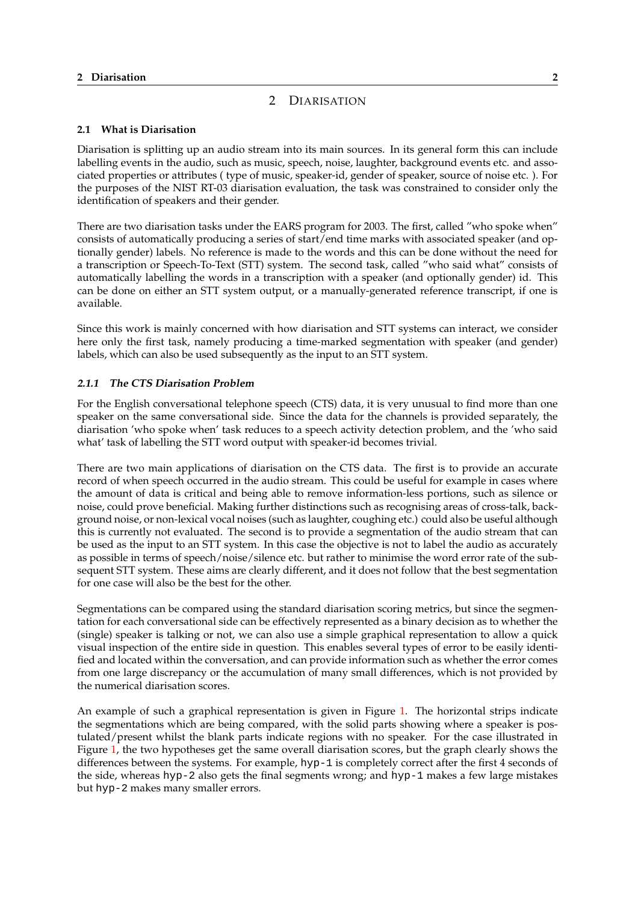# 2 DIARISATION

## <span id="page-5-0"></span>**2.1 What is Diarisation**

Diarisation is splitting up an audio stream into its main sources. In its general form this can include labelling events in the audio, such as music, speech, noise, laughter, background events etc. and associated properties or attributes ( type of music, speaker-id, gender of speaker, source of noise etc. ). For the purposes of the NIST RT-03 diarisation evaluation, the task was constrained to consider only the identification of speakers and their gender.

There are two diarisation tasks under the EARS program for 2003. The first, called "who spoke when" consists of automatically producing a series of start/end time marks with associated speaker (and optionally gender) labels. No reference is made to the words and this can be done without the need for a transcription or Speech-To-Text (STT) system. The second task, called "who said what" consists of automatically labelling the words in a transcription with a speaker (and optionally gender) id. This can be done on either an STT system output, or a manually-generated reference transcript, if one is available.

Since this work is mainly concerned with how diarisation and STT systems can interact, we consider here only the first task, namely producing a time-marked segmentation with speaker (and gender) labels, which can also be used subsequently as the input to an STT system.

## **2.1.1 The CTS Diarisation Problem**

For the English conversational telephone speech (CTS) data, it is very unusual to find more than one speaker on the same conversational side. Since the data for the channels is provided separately, the diarisation 'who spoke when' task reduces to a speech activity detection problem, and the 'who said what' task of labelling the STT word output with speaker-id becomes trivial.

There are two main applications of diarisation on the CTS data. The first is to provide an accurate record of when speech occurred in the audio stream. This could be useful for example in cases where the amount of data is critical and being able to remove information-less portions, such as silence or noise, could prove beneficial. Making further distinctions such as recognising areas of cross-talk, background noise, or non-lexical vocal noises (such as laughter, coughing etc.) could also be useful although this is currently not evaluated. The second is to provide a segmentation of the audio stream that can be used as the input to an STT system. In this case the objective is not to label the audio as accurately as possible in terms of speech/noise/silence etc. but rather to minimise the word error rate of the subsequent STT system. These aims are clearly different, and it does not follow that the best segmentation for one case will also be the best for the other.

Segmentations can be compared using the standard diarisation scoring metrics, but since the segmentation for each conversational side can be effectively represented as a binary decision as to whether the (single) speaker is talking or not, we can also use a simple graphical representation to allow a quick visual inspection of the entire side in question. This enables several types of error to be easily identified and located within the conversation, and can provide information such as whether the error comes from one large discrepancy or the accumulation of many small differences, which is not provided by the numerical diarisation scores.

An example of such a graphical representation is given in Figure 1. The horizontal strips indicate the segmentations which are being compared, with the solid parts showing where a speaker is postulated/present whilst the blank parts indicate regions with no speaker. For the case illustrated in Figure 1, the two hypotheses get the same overall diarisation scores, but the graph clearly shows the differences between the systems. For example, hyp-1 is completely [co](#page-6-0)rrect after the first 4 seconds of the side, whereas hyp-2 also gets the final segments wrong; and hyp-1 makes a few large mistakes but hyp-2 makes many smaller errors.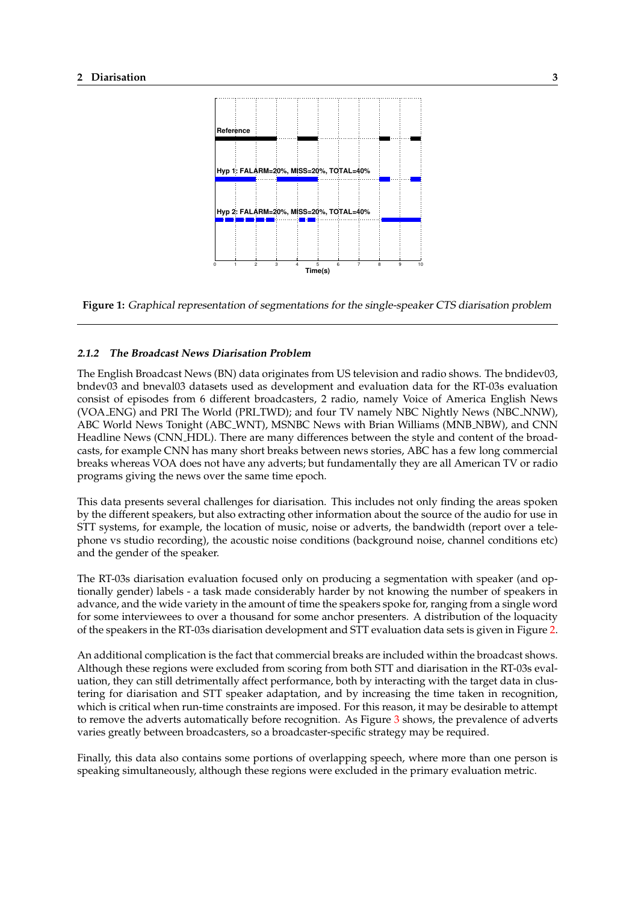<span id="page-6-0"></span>

**Figure 1:** Graphical representation of segmentations for the single-speaker CTS diarisation problem

#### **2.1.2 The Broadcast News Diarisation Problem**

The English Broadcast News (BN) data originates from US television and radio shows. The bndidev03, bndev03 and bneval03 datasets used as development and evaluation data for the RT-03s evaluation consist of episodes from 6 different broadcasters, 2 radio, namely Voice of America English News (VOA ENG) and PRI The World (PRI TWD); and four TV namely NBC Nightly News (NBC NNW), ABC World News Tonight (ABC WNT), MSNBC News with Brian Williams (MNB NBW), and CNN Headline News (CNN HDL). There are many differences between the style and content of the broadcasts, for example CNN has many short breaks between news stories, ABC has a few long commercial breaks whereas VOA does not have any adverts; but fundamentally they are all American TV or radio programs giving the news over the same time epoch.

This data presents several challenges for diarisation. This includes not only finding the areas spoken by the different speakers, but also extracting other information about the source of the audio for use in STT systems, for example, the location of music, noise or adverts, the bandwidth (report over a telephone vs studio recording), the acoustic noise conditions (background noise, channel conditions etc) and the gender of the speaker.

The RT-03s diarisation evaluation focused only on producing a segmentation with speaker (and optionally gender) labels - a task made considerably harder by not knowing the number of speakers in advance, and the wide variety in the amount of time the speakers spoke for, ranging from a single word for some interviewees to over a thousand for some anchor presenters. A distribution of the loquacity of the speakers in the RT-03s diarisation development and STT evaluation data sets is given in Figure 2.

An additional complication is the fact that commercial breaks are included within the broadcast shows. Although these regions were excluded from scoring from both STT and diarisation in the RT-03s evaluation, they can still detrimentally affect performance, both by interacting with the target data in cl[us](#page-7-0)tering for diarisation and STT speaker adaptation, and by increasing the time taken in recognition, which is critical when run-time constraints are imposed. For this reason, it may be desirable to attempt to remove the adverts automatically before recognition. As Figure 3 shows, the prevalence of adverts varies greatly between broadcasters, so a broadcaster-specific strategy may be required.

Finally, this data also contains some portions of overlapping speech, where more than one person is speaking simultaneously, although these regions were excluded in [th](#page-7-0)e primary evaluation metric.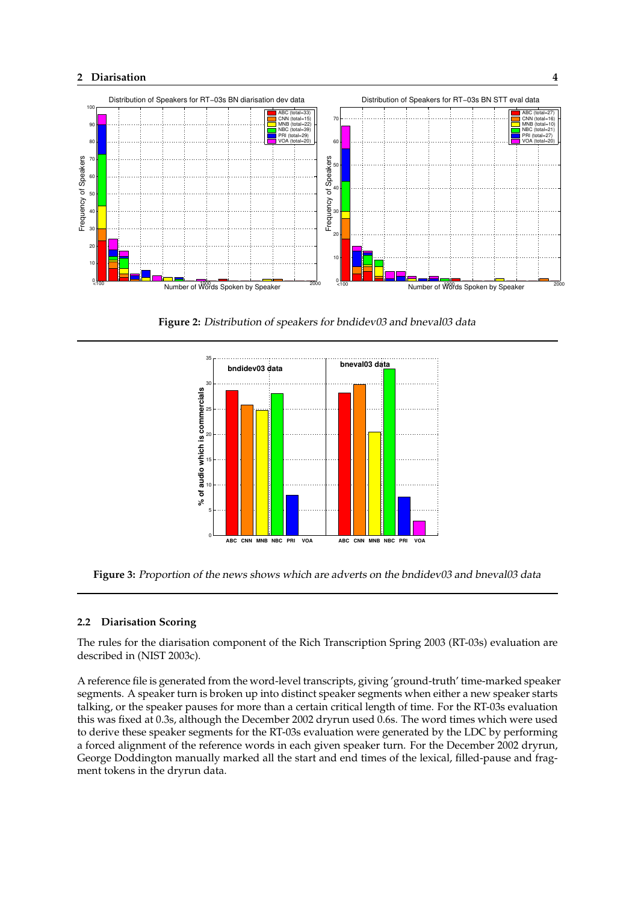<span id="page-7-0"></span>

**Figure 2:** Distribution of speakers for bndidev03 and bneval03 data



**Figure 3:** Proportion of the news shows which are adverts on the bndidev03 and bneval03 data

#### **2.2 Diarisation Scoring**

The rules for the diarisation component of the Rich Transcription Spring 2003 (RT-03s) evaluation are described in (NIST 2003c).

A reference file is generated from the word-level transcripts, giving 'ground-truth' time-marked speaker segments. A speaker turn is broken up into distinct speaker segments when either a new speaker starts talking, or the speaker pauses for more than a certain critical length of time. For the RT-03s evaluation this was fixed at 0.3s, although the December 2002 dryrun used 0.6s. The word times which were used to derive these speaker segments for the RT-03s evaluation were generated by the LDC by performing a forced alignment of the reference words in each given speaker turn. For the December 2002 dryrun, George Doddington manually marked all the start and end times of the lexical, filled-pause and fragment tokens in the dryrun data.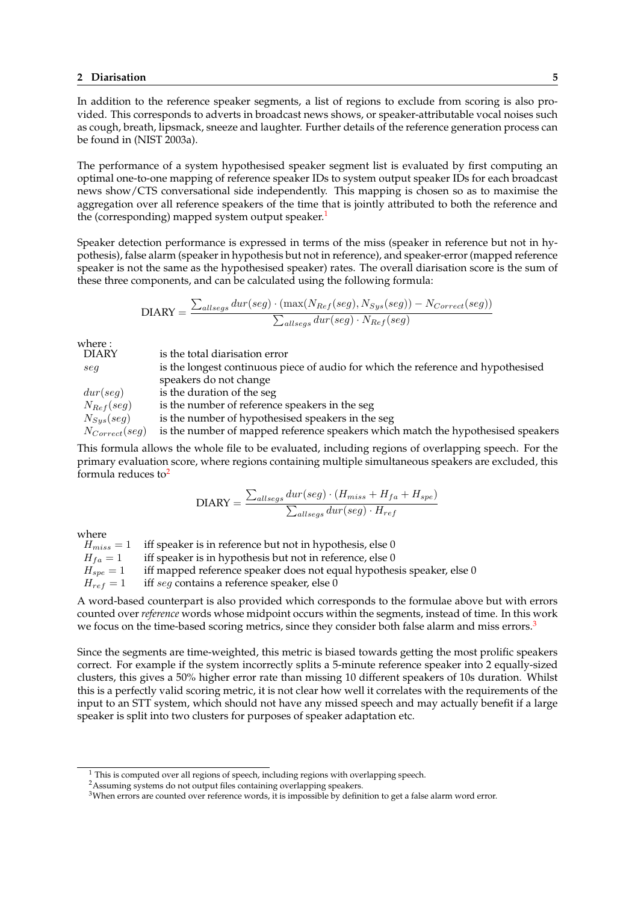In addition to the reference speaker segments, a list of regions to exclude from scoring is also provided. This corresponds to adverts in broadcast news shows, or speaker-attributable vocal noises such as cough, breath, lipsmack, sneeze and laughter. Further details of the reference generation process can be found in (NIST 2003a).

The performance of a system hypothesised speaker segment list is evaluated by first computing an optimal one-to-one mapping of reference speaker IDs to system output speaker IDs for each broadcast news show/CTS conversational side independently. This mapping is chosen so as to maximise the aggregation over all reference speakers of the time that is jointly attributed to both the reference and the (corresponding) mapped system output speaker.<sup>1</sup>

Speaker detection performance is expressed in terms of the miss (speaker in reference but not in hypothesis), false alarm (speaker in hypothesis but not in reference), and speaker-error (mapped reference speaker is not the same as the hypothesised speaker) rates. The overall diarisation score is the sum of these three components, and can be calculated using the following formula:

$$
\text{DIARY} = \frac{\sum_{allsegs} dur(seg) \cdot (\max(N_{Ref}(seg), N_{Sys}(seg)) - N_{Correct}(seg))}{\sum_{allsegs} dur(seg) \cdot N_{Ref}(seg)}
$$

where :

| is the total diarisation error                                                    |
|-----------------------------------------------------------------------------------|
| is the longest continuous piece of audio for which the reference and hypothesised |
| speakers do not change                                                            |
| is the duration of the seg                                                        |
| is the number of reference speakers in the seg                                    |
| is the number of hypothesised speakers in the seg                                 |
| is the number of mapped reference speakers which match the hypothesised speakers  |
|                                                                                   |

This formula allows the whole file to be evaluated, including regions of overlapping speech. For the primary evaluation score, where regions containing multiple simultaneous speakers are excluded, this formula reduces to $2$ 

$$
DIARY = \frac{\sum_{allsegs}dur(seg) \cdot (H_{miss} + H_{fa} + H_{spe})}{\sum_{allsegs}dur(seg) \cdot H_{ref}}
$$

where

 $H_{miss} = 1$  iff speaker is in reference but not in hypothesis, else 0  $H_{fa} = 1$  iff speaker is in hypothesis but not in reference, else 0  $H_{spe} = 1$  iff mapped reference speaker does not equal hypothesis speaker, else 0  $H_{ref} = 1$  iff seg contains a reference speaker, else 0

A word-based counterpart is also provided which corresponds to the formulae above but with errors counted over *reference* words whose midpoint occurs within the segments, instead of time. In this work we focus on the time-based scoring metrics, since they consider both false alarm and miss errors.<sup>3</sup>

Since the segments are time-weighted, this metric is biased towards getting the most prolific speakers correct. For example if the system incorrectly splits a 5-minute reference speaker into 2 equally-sized clusters, this gives a 50% higher error rate than missing 10 different speakers of 10s duration. Whilst this is a perfectly valid scoring metric, it is not clear how well it correlates with the requirements of the input to an STT system, which should not have any missed speech and may actually benefit if a large speaker is split into two clusters for purposes of speaker adaptation etc.

 $1$  This is computed over all regions of speech, including regions with overlapping speech.

<sup>&</sup>lt;sup>2</sup>Assuming systems do not output files containing overlapping speakers.

<sup>&</sup>lt;sup>3</sup>When errors are counted over reference words, it is impossible by definition to get a false alarm word error.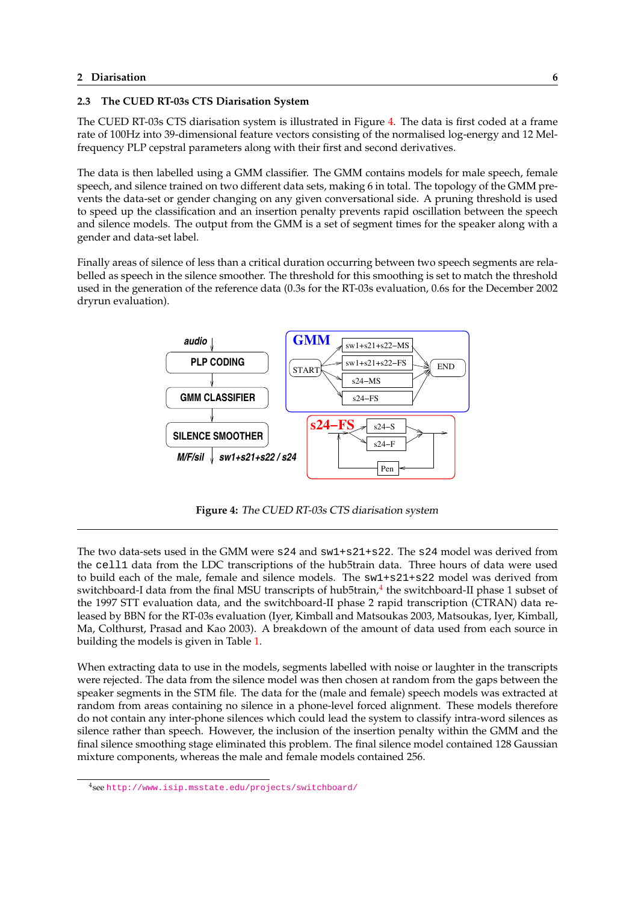#### <span id="page-9-0"></span>**2.3 The CUED RT-03s CTS Diarisation System**

The CUED RT-03s CTS diarisation system is illustrated in Figure 4. The data is first coded at a frame rate of 100Hz into 39-dimensional feature vectors consisting of the normalised log-energy and 12 Melfrequency PLP cepstral parameters along with their first and second derivatives.

The data is then labelled using a GMM classifier. The GMM contains models for male speech, female speech, and silence trained on two different data sets, making 6 in total. The topology of the GMM prevents the data-set or gender changing on any given conversational side. A pruning threshold is used to speed up the classification and an insertion penalty prevents rapid oscillation between the speech and silence models. The output from the GMM is a set of segment times for the speaker along with a gender and data-set label.

Finally areas of silence of less than a critical duration occurring between two speech segments are relabelled as speech in the silence smoother. The threshold for this smoothing is set to match the threshold used in the generation of the reference data (0.3s for the RT-03s evaluation, 0.6s for the December 2002 dryrun evaluation).



**Figure 4:** The CUED RT-03s CTS diarisation system

The two data-sets used in the GMM were s24 and sw1+s21+s22. The s24 model was derived from the cell1 data from the LDC transcriptions of the hub5train data. Three hours of data were used to build each of the male, female and silence models. The sw1+s21+s22 model was derived from switchboard-I data from the final MSU transcripts of hub5train,<sup>4</sup> the switchboard-II phase 1 subset of the 1997 STT evaluation data, and the switchboard-II phase 2 rapid transcription (CTRAN) data released by BBN for the RT-03s evaluation (Iyer, Kimball and Matsoukas 2003, Matsoukas, Iyer, Kimball, Ma, Colthurst, Prasad and Kao 2003). A breakdown of the amount of data used from each source in building the models is given in Table 1.

When extracting data to use in the models, segments labelled with noise or laughter in the transcripts were rejected. The data from the silence model was then chosen at random from the gaps between the speaker segments in the STM file. T[he](#page-10-0) data for the (male and female) speech models was extracted at random from areas containing no silence in a phone-level forced alignment. These models therefore do not contain any inter-phone silences which could lead the system to classify intra-word silences as silence rather than speech. However, the inclusion of the insertion penalty within the GMM and the final silence smoothing stage eliminated this problem. The final silence model contained 128 Gaussian mixture components, whereas the male and female models contained 256.

<sup>4</sup> see http://www.isip.msstate.edu/projects/switchboard/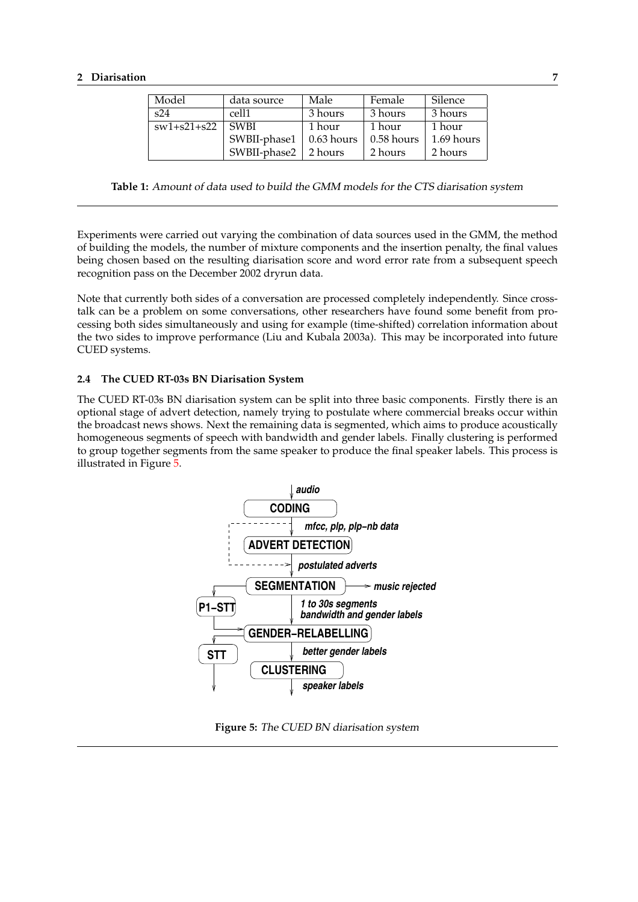<span id="page-10-0"></span>

| Model             | data source  |              | Female     | Silence    |
|-------------------|--------------|--------------|------------|------------|
| s24               | cell1        | 3 hours      | 3 hours    | 3 hours    |
| $sw1 + s21 + s22$ | <b>SWBI</b>  | 1 hour       | 1 hour     | 1 hour     |
|                   | SWBII-phase1 | $0.63$ hours | 0.58 hours | 1.69 hours |
|                   | SWBII-phase2 | 2 hours      | 2 hours    | 2 hours    |

**Table 1:** Amount of data used to build the GMM models for the CTS diarisation system

Experiments were carried out varying the combination of data sources used in the GMM, the method of building the models, the number of mixture components and the insertion penalty, the final values being chosen based on the resulting diarisation score and word error rate from a subsequent speech recognition pass on the December 2002 dryrun data.

Note that currently both sides of a conversation are processed completely independently. Since crosstalk can be a problem on some conversations, other researchers have found some benefit from processing both sides simultaneously and using for example (time-shifted) correlation information about the two sides to improve performance (Liu and Kubala 2003a). This may be incorporated into future CUED systems.

## **2.4 The CUED RT-03s BN Diarisation System**

The CUED RT-03s BN diarisation system can be split into three basic components. Firstly there is an optional stage of advert detection, namely trying to postulate where commercial breaks occur within the broadcast news shows. Next the remaining data is segmented, which aims to produce acoustically homogeneous segments of speech with bandwidth and gender labels. Finally clustering is performed to group together segments from the same speaker to produce the final speaker labels. This process is illustrated in Figure 5.



**Figure 5:** The CUED BN diarisation system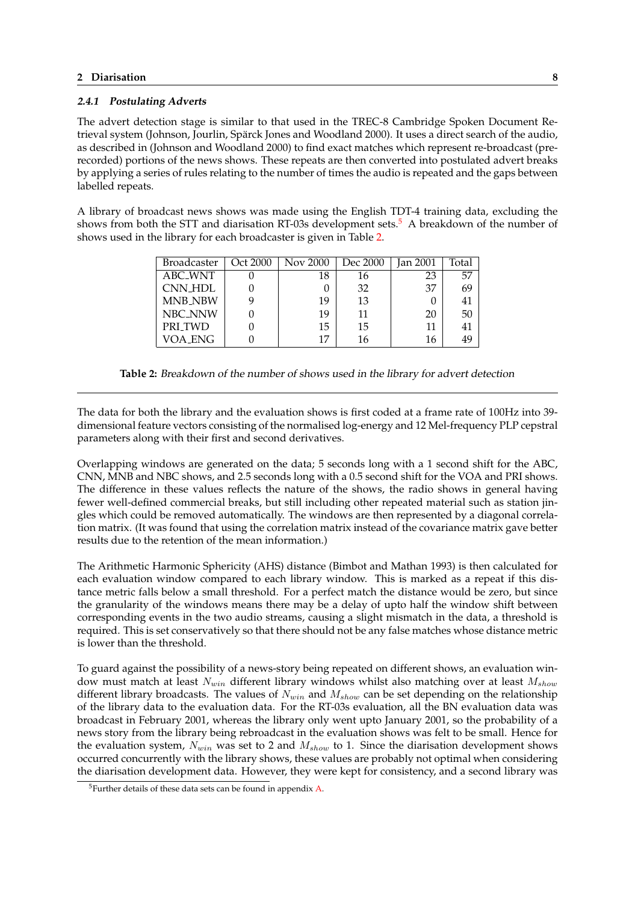#### <span id="page-11-0"></span>**2.4.1 Postulating Adverts**

The advert detection stage is similar to that used in the TREC-8 Cambridge Spoken Document Retrieval system (Johnson, Jourlin, Spärck Jones and Woodland 2000). It uses a direct search of the audio, as described in (Johnson and Woodland 2000) to find exact matches which represent re-broadcast (prerecorded) portions of the news shows. These repeats are then converted into postulated advert breaks by applying a series of rules relating to the number of times the audio is repeated and the gaps between labelled repeats.

A library of broadcast news shows was made using the English TDT-4 training data, excluding the shows from both the STT and diarisation RT-03s development sets.<sup>5</sup> A breakdown of the number of shows used in the library for each broadcaster is given in Table 2.

| <b>Broadcaster</b> | Oct 2000 | <b>Nov 2000</b> | Dec 2000 | Jan 2001 | Total |
|--------------------|----------|-----------------|----------|----------|-------|
| ABC_WNT            |          | 18              | 16       | 23       | 57    |
| CNN_HDL            |          |                 | 32       | 37       | 69    |
| MNB_NBW            |          | 19              | 13       |          | 41    |
| NBC_NNW            |          | 19              | 11       | 20       | 50    |
| PRI_TWD            |          | 15              | 15       | 11       |       |
| VOA_ENG            |          | 17              | 16       | 16       | 49    |

**Table 2:** Breakdown of the number of shows used in the library for advert detection

The data for both the library and the evaluation shows is first coded at a frame rate of 100Hz into 39 dimensional feature vectors consisting of the normalised log-energy and 12 Mel-frequency PLP cepstral parameters along with their first and second derivatives.

Overlapping windows are generated on the data; 5 seconds long with a 1 second shift for the ABC, CNN, MNB and NBC shows, and 2.5 seconds long with a 0.5 second shift for the VOA and PRI shows. The difference in these values reflects the nature of the shows, the radio shows in general having fewer well-defined commercial breaks, but still including other repeated material such as station jingles which could be removed automatically. The windows are then represented by a diagonal correlation matrix. (It was found that using the correlation matrix instead of the covariance matrix gave better results due to the retention of the mean information.)

The Arithmetic Harmonic Sphericity (AHS) distance (Bimbot and Mathan 1993) is then calculated for each evaluation window compared to each library window. This is marked as a repeat if this distance metric falls below a small threshold. For a perfect match the distance would be zero, but since the granularity of the windows means there may be a delay of upto half the window shift between corresponding events in the two audio streams, causing a slight mismatch in the data, a threshold is required. This is set conservatively so that there should not be any false matches whose distance metric is lower than the threshold.

To guard against the possibility of a news-story being repeated on different shows, an evaluation window must match at least  $N_{win}$  different library windows whilst also matching over at least  $M_{show}$ different library broadcasts. The values of  $N_{win}$  and  $M_{show}$  can be set depending on the relationship of the library data to the evaluation data. For the RT-03s evaluation, all the BN evaluation data was broadcast in February 2001, whereas the library only went upto January 2001, so the probability of a news story from the library being rebroadcast in the evaluation shows was felt to be small. Hence for the evaluation system,  $N_{win}$  was set to 2 and  $M_{show}$  to 1. Since the diarisation development shows occurred concurrently with the library shows, these values are probably not optimal when considering the diarisation development data. However, they were kept for consistency, and a second library was

<sup>5</sup>Further details of these data sets can be found in appendix A.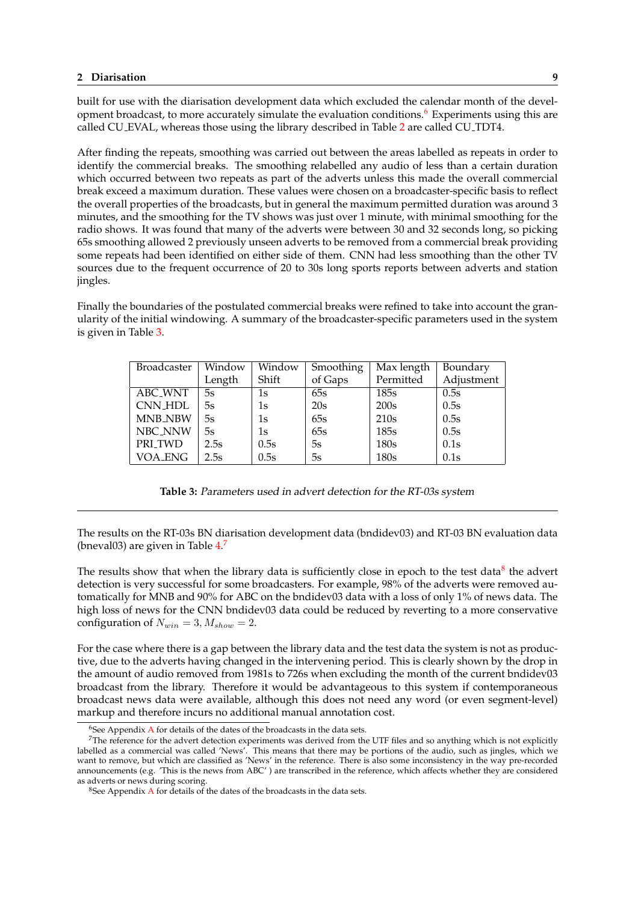built for use with the diarisation development data which excluded the calendar month of the development broadcast, to more accurately simulate the evaluation conditions.<sup>6</sup> Experiments using this are called CU EVAL, whereas those using the library described in Table 2 are called CU TDT4.

After finding the repeats, smoothing was carried out between the areas labelled as repeats in order to identify the commercial breaks. The smoothing relabelled any audio of less than a certain duration which occurred between two repeats as part of the adverts unless [th](#page-11-0)is made the overall commercial break exceed a maximum duration. These values were chosen on a broadcaster-specific basis to reflect the overall properties of the broadcasts, but in general the maximum permitted duration was around 3 minutes, and the smoothing for the TV shows was just over 1 minute, with minimal smoothing for the radio shows. It was found that many of the adverts were between 30 and 32 seconds long, so picking 65s smoothing allowed 2 previously unseen adverts to be removed from a commercial break providing some repeats had been identified on either side of them. CNN had less smoothing than the other TV sources due to the frequent occurrence of 20 to 30s long sports reports between adverts and station jingles.

Finally the boundaries of the postulated commercial breaks were refined to take into account the granularity of the initial windowing. A summary of the broadcaster-specific parameters used in the system is given in Table 3.

| Broadcaster        | Window | Window | Smoothing | Max length | Boundary   |  |
|--------------------|--------|--------|-----------|------------|------------|--|
|                    | Length | Shift  | of Gaps   | Permitted  | Adjustment |  |
| ABC_WNT            | 5s     | 1s     | 65s       | 185s       | 0.5s       |  |
| <b>CNN_HDL</b>     | 5s     | 1s     | 20s       | 200s       | 0.5s       |  |
| <b>MNB_NBW</b>     | 5s     | 1s     | 65s       | 210s       | 0.5s       |  |
| NBC_NNW            | 5s     | 1s     | 65s       | 185s       | 0.5s       |  |
| PRI <sub>TWD</sub> | 2.5s   | 0.5s   | 5s        | 180s       | 0.1s       |  |
| VOA_ENG            | 2.5s   | 0.5s   | 5s        | 180s       | 0.1s       |  |

**Table 3:** Parameters used in advert detection for the RT-03s system

The results on the RT-03s BN diarisation development data (bndidev03) and RT-03 BN evaluation data (bneval03) are given in Table 4.<sup>7</sup>

The results show that when the library data is sufficiently close in epoch to the test data<sup>8</sup> the advert detection is very successful for some broadcasters. For example, 98% of the adverts were removed automatically for MNB and 90[% f](#page-13-0)or ABC on the bndidev03 data with a loss of only 1% of news data. The high loss of news for the CNN bndidev03 data could be reduced by reverting to a more conservative configuration of  $N_{win} = 3, M_{show} = 2$ .

For the case where there is a gap between the library data and the test data the system is not as productive, due to the adverts having changed in the intervening period. This is clearly shown by the drop in the amount of audio removed from 1981s to 726s when excluding the month of the current bndidev03 broadcast from the library. Therefore it would be advantageous to this system if contemporaneous broadcast news data were available, although this does not need any word (or even segment-level) markup and therefore incurs no additional manual annotation cost.

 $6$ See Appendix A for details of the dates of the broadcasts in the data sets.

<sup>7</sup>The reference for the advert detection experiments was derived from the UTF files and so anything which is not explicitly labelled as a commercial was called 'News'. This means that there may be portions of the audio, such as jingles, which we want to remove, but which are classified as 'News' in the reference. There is also some inconsistency in the way pre-recorded announcements (e.g. 'This is the news from ABC' ) are transcribed in the reference, which affects whether they are considered as adverts or new[s du](#page-46-0)ring scoring.

<sup>&</sup>lt;sup>8</sup>See Appendix A for details of the dates of the broadcasts in the data sets.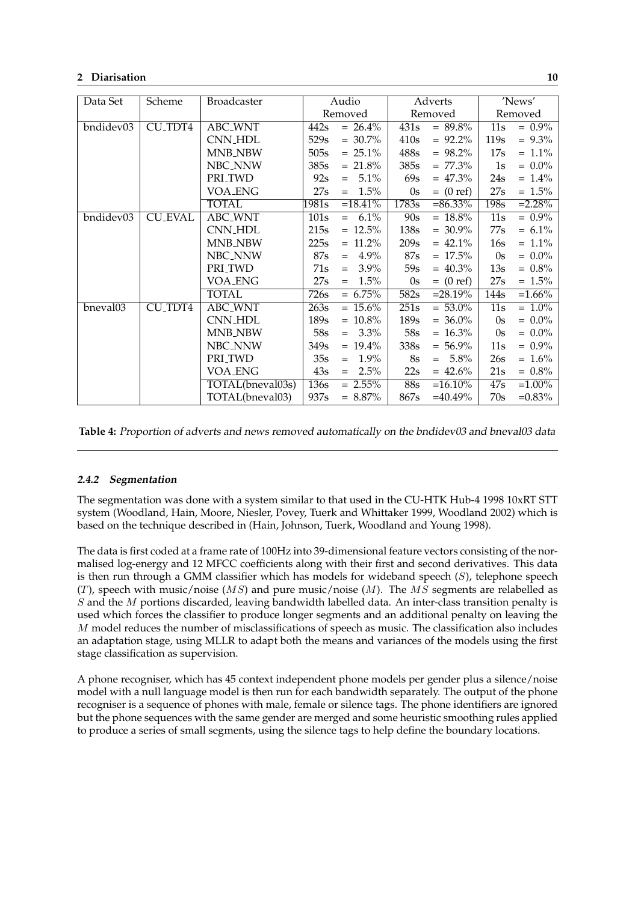<span id="page-13-0"></span>

| Data Set  | Scheme              | Broadcaster          |       | Audio                     | Adverts |                | 'News'           |           |
|-----------|---------------------|----------------------|-------|---------------------------|---------|----------------|------------------|-----------|
|           |                     |                      |       | Removed                   |         | Removed        |                  | Removed   |
| bndidev03 | CU <sub>TDT4</sub>  | <b>ABC_WNT</b>       | 442s  | $= 26.4\%$                | 431s    | $= 89.8\%$     | 11s              | $= 0.9\%$ |
|           |                     | <b>CNN_HDL</b>       | 529s  | $= 30.7\%$                | 410s    | $= 92.2\%$     | 119s             | $= 9.3\%$ |
|           |                     | <b>MNB_NBW</b>       | 505s  | $= 25.1\%$                | 488s    | $= 98.2\%$     | 17s              | $= 1.1\%$ |
|           |                     | NBC_NNW              | 385s  | $= 21.8\%$                | 385s    | $= 77.3\%$     | $1s$             | $= 0.0\%$ |
|           |                     | PRI_TWD              | 92s   | 5.1%<br>$=$               | 69s     | $= 47.3\%$     | 24s              | $= 1.4\%$ |
|           |                     | VOA_ENG              | 27s   | 1.5%<br>$=$               | 0s      | $=$ (0 ref)    | 27s              | $= 1.5\%$ |
|           |                     | <b>TOTAL</b>         | 1981s | $=18.41\%$                | 1783s   | $= 86.33\%$    | 198s             | $=2.28%$  |
| bndidev03 | <b>CU_EVAL</b>      | ABC_WNT              | 101s  | 6.1%<br>$\qquad \qquad =$ | 90s     | $= 18.8\%$     | 11s              | $= 0.9\%$ |
|           |                     | <b>CNN_HDL</b>       | 215s  | $= 12.5\%$                | 138s    | $= 30.9\%$     | 77s              | $= 6.1\%$ |
|           |                     | <b>MNB_NBW</b>       | 225s  | $= 11.2\%$                | 209s    | $= 42.1\%$     | 16s              | $= 1.1\%$ |
|           |                     | NBC_NNW              | 87s   | $4.9\%$<br>$=$            | 87s     | $= 17.5\%$     | 0s               | $= 0.0\%$ |
|           |                     | PRI_TWD              | 71s   | $3.9\%$<br>$=$            | 59s     | $= 40.3\%$     | 13s              | $= 0.8\%$ |
|           |                     | <b>VOA_ENG</b>       | 27s   | 1.5%<br>$=$               | 0s      | $=$ (0 ref)    | 27s              | $= 1.5\%$ |
|           |                     | <b>TOTAL</b>         | 726s  | $= 6.75\%$                | 582s    | $=28.19%$      | 144s             | $=1.66\%$ |
| bneval03  | CU <sub>-TDT4</sub> | ABC <sub>-</sub> WNT | 263s  | $= 15.6\%$                | 251s    | $= 53.0\%$     | 11s              | $= 1.0\%$ |
|           |                     | <b>CNN_HDL</b>       | 189s  | $= 10.8\%$                | 189s    | $= 36.0\%$     | 0s               | $= 0.0\%$ |
|           |                     | <b>MNB_NBW</b>       | 58s   | $3.3\%$<br>$=$            | 58s     | $= 16.3\%$     | 0s               | $= 0.0\%$ |
|           |                     | <b>NBC_NNW</b>       | 349s  | $= 19.4\%$                | 338s    | $= 56.9\%$     | 11s              | $= 0.9\%$ |
|           |                     | PRI_TWD              | 35s   | $1.9\%$<br>$=$            | 8s      | $5.8\%$<br>$=$ | 26s              | $= 1.6\%$ |
|           |                     | <b>VOA_ENG</b>       | 43s   | 2.5%<br>$=$               | 22s     | $= 42.6\%$     | 21s              | $= 0.8\%$ |
|           |                     | TOTAL(bneval03s)     | 136s  | $= 2.55\%$                | 88s     | $=16.10\%$     | $\overline{47s}$ | $=1.00\%$ |
|           |                     | TOTAL(bneval03)      | 937s  | $= 8.87\%$                | 867s    | $=40.49\%$     | 70s              | $=0.83\%$ |

**Table 4:** Proportion of adverts and news removed automatically on the bndidev03 and bneval03 data

### **2.4.2 Segmentation**

The segmentation was done with a system similar to that used in the CU-HTK Hub-4 1998 10xRT STT system (Woodland, Hain, Moore, Niesler, Povey, Tuerk and Whittaker 1999, Woodland 2002) which is based on the technique described in (Hain, Johnson, Tuerk, Woodland and Young 1998).

The data is first coded at a frame rate of 100Hz into 39-dimensional feature vectors consisting of the normalised log-energy and 12 MFCC coefficients along with their first and second derivatives. This data is then run through a GMM classifier which has models for wideband speech  $(S)$ , telephone speech (T), speech with music/noise (MS) and pure music/noise (M). The MS segments are relabelled as S and the M portions discarded, leaving bandwidth labelled data. An inter-class transition penalty is used which forces the classifier to produce longer segments and an additional penalty on leaving the M model reduces the number of misclassifications of speech as music. The classification also includes an adaptation stage, using MLLR to adapt both the means and variances of the models using the first stage classification as supervision.

A phone recogniser, which has 45 context independent phone models per gender plus a silence/noise model with a null language model is then run for each bandwidth separately. The output of the phone recogniser is a sequence of phones with male, female or silence tags. The phone identifiers are ignored but the phone sequences with the same gender are merged and some heuristic smoothing rules applied to produce a series of small segments, using the silence tags to help define the boundary locations.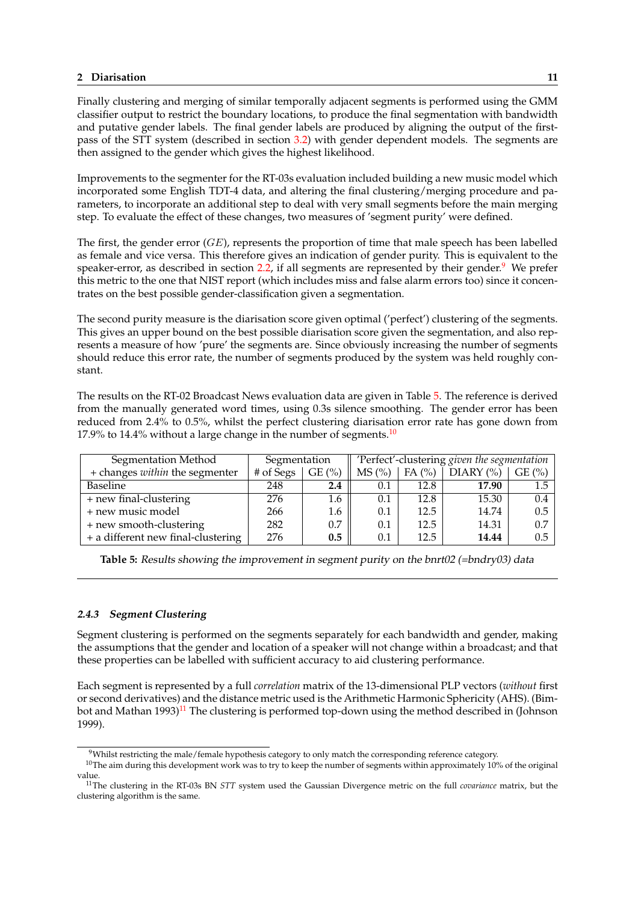Finally clustering and merging of similar temporally adjacent segments is performed using the GMM classifier output to restrict the boundary locations, to produce the final segmentation with bandwidth and putative gender labels. The final gender labels are produced by aligning the output of the firstpass of the STT system (described in section 3.2) with gender dependent models. The segments are then assigned to the gender which gives the highest likelihood.

Improvements to the segmenter for the RT-03s evaluation included building a new music model which incorporated some English TDT-4 data, and [alter](#page-20-0)ing the final clustering/merging procedure and parameters, to incorporate an additional step to deal with very small segments before the main merging step. To evaluate the effect of these changes, two measures of 'segment purity' were defined.

The first, the gender error  $(GE)$ , represents the proportion of time that male speech has been labelled as female and vice versa. This therefore gives an indication of gender purity. This is equivalent to the speaker-error, as described in section 2.2, if all segments are represented by their gender.<sup>9</sup> We prefer this metric to the one that NIST report (which includes miss and false alarm errors too) since it concentrates on the best possible gender-classification given a segmentation.

The second purity measure is the diar[isati](#page-7-0)on score given optimal ('perfect') clustering of the segments. This gives an upper bound on the best possible diarisation score given the segmentation, and also represents a measure of how 'pure' the segments are. Since obviously increasing the number of segments should reduce this error rate, the number of segments produced by the system was held roughly constant.

The results on the RT-02 Broadcast News evaluation data are given in Table 5. The reference is derived from the manually generated word times, using 0.3s silence smoothing. The gender error has been reduced from 2.4% to 0.5%, whilst the perfect clustering diarisation error rate has gone down from 17.9% to 14.4% without a large change in the number of segments.<sup>10</sup>

| Segmentation Method                | Segmentation |       | 'Perfect'-clustering given the segmentation |          |                 |       |
|------------------------------------|--------------|-------|---------------------------------------------|----------|-----------------|-------|
| + changes within the segmenter     | # of Segs    | GE(%) | MS (%)                                      | FA $(%)$ | $DIARY$ $(\% )$ | GE(%) |
| <b>Baseline</b>                    | 248          | 2.4   | 0.1                                         | 12.8     | 17.90           | 1.5   |
| + new final-clustering             | 276          | 1.6   | 0.1                                         | 12.8     | 15.30           | 0.4   |
| + new music model                  | 266          | 1.6   | 0.1                                         | 12.5     | 14.74           | 0.5   |
| + new smooth-clustering            | 282          | 0.7   | 0.1                                         | 12.5     | 14.31           | 0.7   |
| + a different new final-clustering | 276          | 0.5   | 0.1                                         | 12.5     | 14.44           | 0.5   |

**Table 5:** Results showing the improvement in segment purity on the bnrt02 (=bndry03) data

## **2.4.3 Segment Clustering**

Segment clustering is performed on the segments separately for each bandwidth and gender, making the assumptions that the gender and location of a speaker will not change within a broadcast; and that these properties can be labelled with sufficient accuracy to aid clustering performance.

Each segment is represented by a full *correlation* matrix of the 13-dimensional PLP vectors (*without* first or second derivatives) and the distance metric used is the Arithmetic Harmonic Sphericity (AHS). (Bimbot and Mathan  $1993$ <sup>11</sup> The clustering is performed top-down using the method described in (Johnson 1999).

<sup>&</sup>lt;sup>9</sup>Whilst restricting the male/female hypothesis category to only match the corresponding reference category.

 $10$ The aim during this development work was to try to keep the number of segments within approximately 10% of the original value.

<sup>11</sup>The clustering in the RT-03s BN *STT* system used the Gaussian Divergence metric on the full *covariance* matrix, but the clustering algorithm is the same.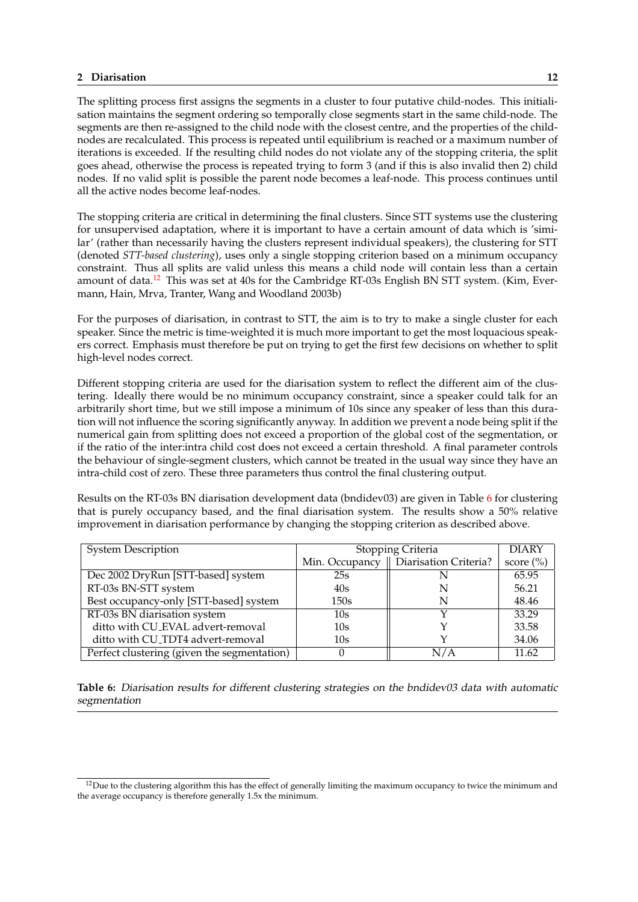The splitting process first assigns the segments in a cluster to four putative child-nodes. This initialisation maintains the segment ordering so temporally close segments start in the same child-node. The segments are then re-assigned to the child node with the closest centre, and the properties of the childnodes are recalculated. This process is repeated until equilibrium is reached or a maximum number of iterations is exceeded. If the resulting child nodes do not violate any of the stopping criteria, the split goes ahead, otherwise the process is repeated trying to form 3 (and if this is also invalid then 2) child nodes. If no valid split is possible the parent node becomes a leaf-node. This process continues until all the active nodes become leaf-nodes.

The stopping criteria are critical in determining the final clusters. Since STT systems use the clustering for unsupervised adaptation, where it is important to have a certain amount of data which is 'similar' (rather than necessarily having the clusters represent individual speakers), the clustering for STT (denoted *STT-based clustering*), uses only a single stopping criterion based on a minimum occupancy constraint. Thus all splits are valid unless this means a child node will contain less than a certain amount of data.<sup>12</sup> This was set at 40s for the Cambridge RT-03s English BN STT system. (Kim, Evermann, Hain, Mrva, Tranter, Wang and Woodland 2003b)

For the purposes of diarisation, in contrast to STT, the aim is to try to make a single cluster for each speaker. Since the metric is time-weighted it is much more important to get the most loquacious speakers correct. Emphasis must therefore be put on trying to get the first few decisions on whether to split high-level nodes correct.

Different stopping criteria are used for the diarisation system to reflect the different aim of the clustering. Ideally there would be no minimum occupancy constraint, since a speaker could talk for an arbitrarily short time, but we still impose a minimum of 10s since any speaker of less than this duration will not influence the scoring significantly anyway. In addition we prevent a node being split if the numerical gain from splitting does not exceed a proportion of the global cost of the segmentation, or if the ratio of the inter:intra child cost does not exceed a certain threshold. A final parameter controls the behaviour of single-segment clusters, which cannot be treated in the usual way since they have an intra-child cost of zero. These three parameters thus control the final clustering output.

Results on the RT-03s BN diarisation development data (bndidev03) are given in Table 6 for clustering that is purely occupancy based, and the final diarisation system. The results show a 50% relative improvement in diarisation performance by changing the stopping criterion as described above.

| <b>System Description</b>                   | Stopping Criteria | <b>DIARY</b>                           |               |
|---------------------------------------------|-------------------|----------------------------------------|---------------|
|                                             |                   | Min. Occupancy   Diarisation Criteria? | score $(\% )$ |
| Dec 2002 DryRun [STT-based] system          | 25s               |                                        | 65.95         |
| RT-03s BN-STT system                        | 40s               |                                        | 56.21         |
| Best occupancy-only [STT-based] system      | 150s              |                                        | 48.46         |
| RT-03s BN diarisation system                | 10s               |                                        | 33.29         |
| ditto with CU_EVAL advert-removal           | 10s               |                                        | 33.58         |
| ditto with CU_TDT4 advert-removal           | 10s               |                                        | 34.06         |
| Perfect clustering (given the segmentation) |                   | N/A                                    | 11.62         |

**Table 6:** Diarisation results for different clustering strategies on the bndidev03 data with automatic segmentation

 $12$ Due to the clustering algorithm this has the effect of generally limiting the maximum occupancy to twice the minimum and the average occupancy is therefore generally 1.5x the minimum.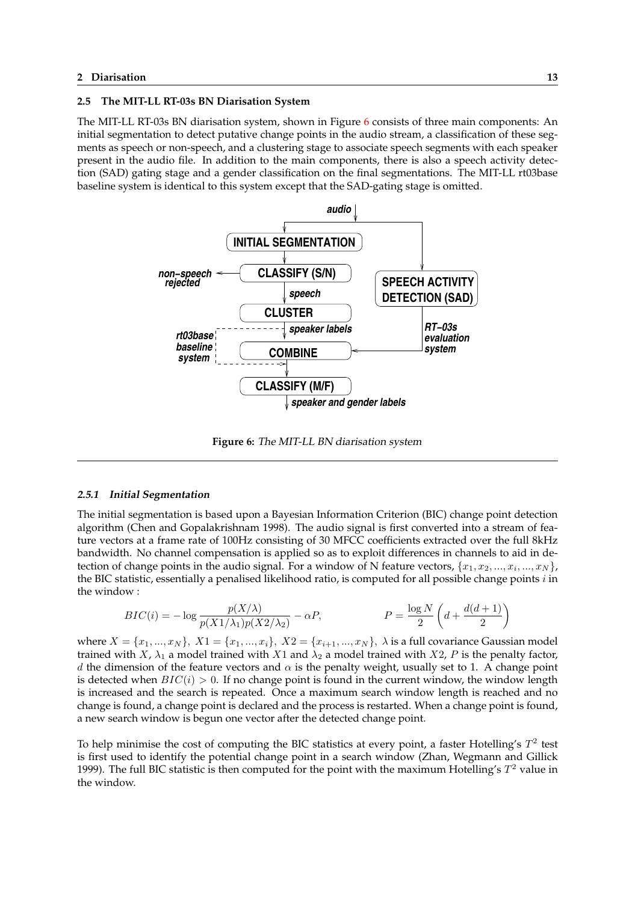## <span id="page-16-0"></span>**2.5 The MIT-LL RT-03s BN Diarisation System**

The MIT-LL RT-03s BN diarisation system, shown in Figure 6 consists of three main components: An initial segmentation to detect putative change points in the audio stream, a classification of these segments as speech or non-speech, and a clustering stage to associate speech segments with each speaker present in the audio file. In addition to the main components, there is also a speech activity detection (SAD) gating stage and a gender classification on the final segmentations. The MIT-LL rt03base baseline system is identical to this system except that the SAD-gating stage is omitted.



**Figure 6:** The MIT-LL BN diarisation system

## **2.5.1 Initial Segmentation**

The initial segmentation is based upon a Bayesian Information Criterion (BIC) change point detection algorithm (Chen and Gopalakrishnam 1998). The audio signal is first converted into a stream of feature vectors at a frame rate of 100Hz consisting of 30 MFCC coefficients extracted over the full 8kHz bandwidth. No channel compensation is applied so as to exploit differences in channels to aid in detection of change points in the audio signal. For a window of N feature vectors,  $\{x_1, x_2, ..., x_i, ..., x_N\}$ , the BIC statistic, essentially a penalised likelihood ratio, is computed for all possible change points  $i$  in the window :

$$
BIC(i) = -\log \frac{p(X/\lambda)}{p(X1/\lambda_1)p(X2/\lambda_2)} - \alpha P, \qquad P = \frac{\log N}{2} \left( d + \frac{d(d+1)}{2} \right)
$$

where  $X = \{x_1, ..., x_N\}, X_1 = \{x_1, ..., x_i\}, X_2 = \{x_{i+1}, ..., x_N\}, X_3$  is a full covariance Gaussian model trained with X,  $\lambda_1$  a model trained with X1 and  $\lambda_2$  a model trained with X2, P is the penalty factor, d the dimension of the feature vectors and  $\alpha$  is the penalty weight, usually set to 1. A change point is detected when  $BIC(i) > 0$ . If no change point is found in the current window, the window length is increased and the search is repeated. Once a maximum search window length is reached and no change is found, a change point is declared and the process is restarted. When a change point is found, a new search window is begun one vector after the detected change point.

To help minimise the cost of computing the BIC statistics at every point, a faster Hotelling's  $T^2$  test is first used to identify the potential change point in a search window (Zhan, Wegmann and Gillick 1999). The full BIC statistic is then computed for the point with the maximum Hotelling's  $T^2$  value in the window.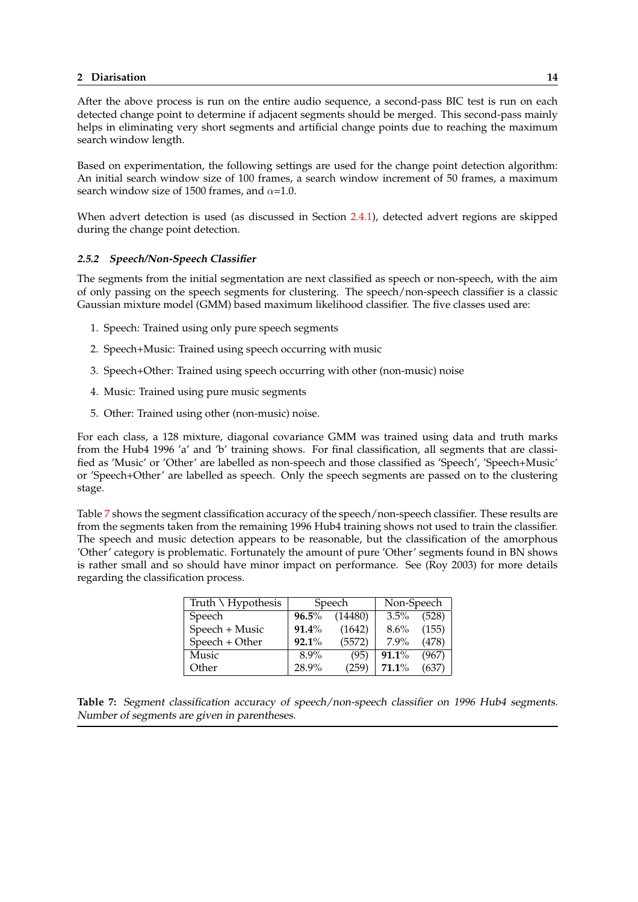After the above process is run on the entire audio sequence, a second-pass BIC test is run on each detected change point to determine if adjacent segments should be merged. This second-pass mainly helps in eliminating very short segments and artificial change points due to reaching the maximum search window length.

Based on experimentation, the following settings are used for the change point detection algorithm: An initial search window size of 100 frames, a search window increment of 50 frames, a maximum search window size of 1500 frames, and  $\alpha$ =1.0.

When advert detection is used (as discussed in Section 2.4.1), detected advert regions are skipped during the change point detection.

### **2.5.2 Speech/Non-Speech Classifier**

The segments from the initial segmentation are next clas[sified](#page-11-0) as speech or non-speech, with the aim of only passing on the speech segments for clustering. The speech/non-speech classifier is a classic Gaussian mixture model (GMM) based maximum likelihood classifier. The five classes used are:

- 1. Speech: Trained using only pure speech segments
- 2. Speech+Music: Trained using speech occurring with music
- 3. Speech+Other: Trained using speech occurring with other (non-music) noise
- 4. Music: Trained using pure music segments
- 5. Other: Trained using other (non-music) noise.

For each class, a 128 mixture, diagonal covariance GMM was trained using data and truth marks from the Hub4 1996 'a' and 'b' training shows. For final classification, all segments that are classified as 'Music' or 'Other' are labelled as non-speech and those classified as 'Speech', 'Speech+Music' or 'Speech+Other' are labelled as speech. Only the speech segments are passed on to the clustering stage.

Table 7 shows the segment classification accuracy of the speech/non-speech classifier. These results are from the segments taken from the remaining 1996 Hub4 training shows not used to train the classifier. The speech and music detection appears to be reasonable, but the classification of the amorphous 'Other' category is problematic. Fortunately the amount of pure 'Other' segments found in BN shows is rather small and so should have minor impact on performance. See (Roy 2003) for more details regarding the classification process.

| Truth $\setminus$ Hypothesis |                | Speech  | Non-Speech |       |  |
|------------------------------|----------------|---------|------------|-------|--|
| Speech                       | $96.5\%$       | (14480) | $3.5\%$    | (528) |  |
| Speech + Music               | $91.4\%$       | (1642)  | 8.6%       | (155) |  |
| Speech + Other               | 92.1%          | (5572)  | $7.9\%$    | (478) |  |
| Music                        | $8.9\%$        | (95)    | 91.1%      | (967) |  |
| Other                        | 28.9%<br>(259) |         | $71.1\%$   | (637) |  |

**Table 7:** Segment classification accuracy of speech/non-speech classifier on <sup>1996</sup> Hub4 segments. Number of segments are given in parentheses.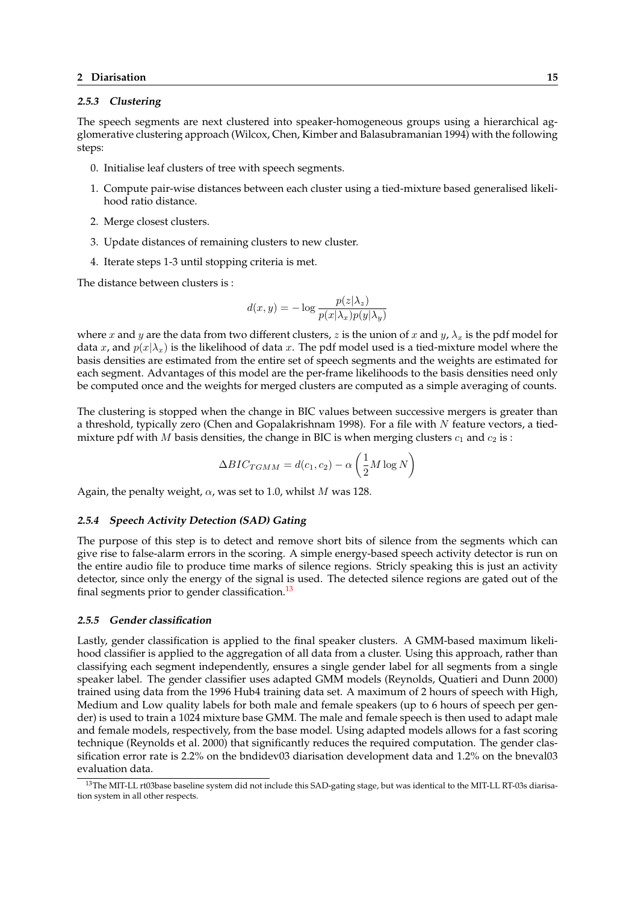#### **2.5.3 Clustering**

The speech segments are next clustered into speaker-homogeneous groups using a hierarchical agglomerative clustering approach (Wilcox, Chen, Kimber and Balasubramanian 1994) with the following steps:

- 0. Initialise leaf clusters of tree with speech segments.
- 1. Compute pair-wise distances between each cluster using a tied-mixture based generalised likelihood ratio distance.
- 2. Merge closest clusters.
- 3. Update distances of remaining clusters to new cluster.
- 4. Iterate steps 1-3 until stopping criteria is met.

The distance between clusters is :

$$
d(x, y) = -\log \frac{p(z|\lambda_z)}{p(x|\lambda_x)p(y|\lambda_y)}
$$

where x and y are the data from two different clusters, z is the union of x and y,  $\lambda_x$  is the pdf model for data x, and  $p(x|\lambda_x)$  is the likelihood of data x. The pdf model used is a tied-mixture model where the basis densities are estimated from the entire set of speech segments and the weights are estimated for each segment. Advantages of this model are the per-frame likelihoods to the basis densities need only be computed once and the weights for merged clusters are computed as a simple averaging of counts.

The clustering is stopped when the change in BIC values between successive mergers is greater than a threshold, typically zero (Chen and Gopalakrishnam 1998). For a file with  $N$  feature vectors, a tiedmixture pdf with M basis densities, the change in BIC is when merging clusters  $c_1$  and  $c_2$  is :

$$
\Delta BIC_{TGMM} = d(c_1, c_2) - \alpha \left(\frac{1}{2}M \log N\right)
$$

Again, the penalty weight,  $\alpha$ , was set to 1.0, whilst M was 128.

#### **2.5.4 Speech Activity Detection (SAD) Gating**

The purpose of this step is to detect and remove short bits of silence from the segments which can give rise to false-alarm errors in the scoring. A simple energy-based speech activity detector is run on the entire audio file to produce time marks of silence regions. Stricly speaking this is just an activity detector, since only the energy of the signal is used. The detected silence regions are gated out of the final segments prior to gender classification.<sup>13</sup>

#### **2.5.5 Gender classification**

Lastly, gender classification is applied to the final speaker clusters. A GMM-based maximum likelihood classifier is applied to the aggregation of all data from a cluster. Using this approach, rather than classifying each segment independently, ensures a single gender label for all segments from a single speaker label. The gender classifier uses adapted GMM models (Reynolds, Quatieri and Dunn 2000) trained using data from the 1996 Hub4 training data set. A maximum of 2 hours of speech with High, Medium and Low quality labels for both male and female speakers (up to 6 hours of speech per gender) is used to train a 1024 mixture base GMM. The male and female speech is then used to adapt male and female models, respectively, from the base model. Using adapted models allows for a fast scoring technique (Reynolds et al. 2000) that significantly reduces the required computation. The gender classification error rate is 2.2% on the bndidev03 diarisation development data and 1.2% on the bneval03 evaluation data.

<sup>&</sup>lt;sup>13</sup>The MIT-LL rt03base baseline system did not include this SAD-gating stage, but was identical to the MIT-LL RT-03s diarisation system in all other respects.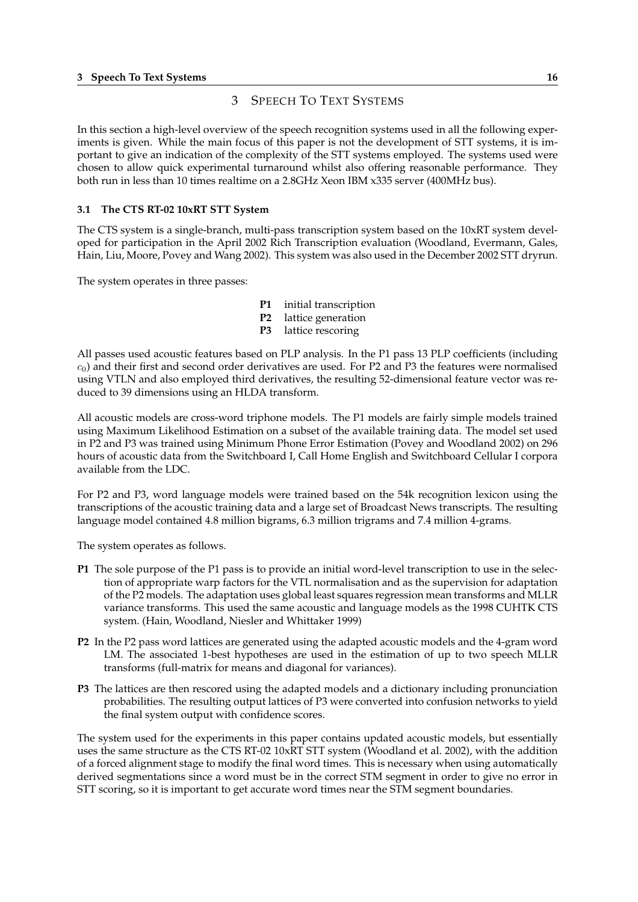## 3 SPEECH TO TEXT SYSTEMS

<span id="page-19-0"></span>In this section a high-level overview of the speech recognition systems used in all the following experiments is given. While the main focus of this paper is not the development of STT systems, it is important to give an indication of the complexity of the STT systems employed. The systems used were chosen to allow quick experimental turnaround whilst also offering reasonable performance. They both run in less than 10 times realtime on a 2.8GHz Xeon IBM x335 server (400MHz bus).

### **3.1 The CTS RT-02 10xRT STT System**

The CTS system is a single-branch, multi-pass transcription system based on the 10xRT system developed for participation in the April 2002 Rich Transcription evaluation (Woodland, Evermann, Gales, Hain, Liu, Moore, Povey and Wang 2002). This system was also used in the December 2002 STT dryrun.

The system operates in three passes:

- **P1** initial transcription
- **P2** lattice generation
- **P3** lattice rescoring

All passes used acoustic features based on PLP analysis. In the P1 pass 13 PLP coefficients (including  $c_0$ ) and their first and second order derivatives are used. For P2 and P3 the features were normalised using VTLN and also employed third derivatives, the resulting 52-dimensional feature vector was reduced to 39 dimensions using an HLDA transform.

All acoustic models are cross-word triphone models. The P1 models are fairly simple models trained using Maximum Likelihood Estimation on a subset of the available training data. The model set used in P2 and P3 was trained using Minimum Phone Error Estimation (Povey and Woodland 2002) on 296 hours of acoustic data from the Switchboard I, Call Home English and Switchboard Cellular I corpora available from the LDC.

For P2 and P3, word language models were trained based on the 54k recognition lexicon using the transcriptions of the acoustic training data and a large set of Broadcast News transcripts. The resulting language model contained 4.8 million bigrams, 6.3 million trigrams and 7.4 million 4-grams.

The system operates as follows.

- **P1** The sole purpose of the P1 pass is to provide an initial word-level transcription to use in the selection of appropriate warp factors for the VTL normalisation and as the supervision for adaptation of the P2 models. The adaptation uses global least squares regression mean transforms and MLLR variance transforms. This used the same acoustic and language models as the 1998 CUHTK CTS system. (Hain, Woodland, Niesler and Whittaker 1999)
- **P2** In the P2 pass word lattices are generated using the adapted acoustic models and the 4-gram word LM. The associated 1-best hypotheses are used in the estimation of up to two speech MLLR transforms (full-matrix for means and diagonal for variances).
- **P3** The lattices are then rescored using the adapted models and a dictionary including pronunciation probabilities. The resulting output lattices of P3 were converted into confusion networks to yield the final system output with confidence scores.

The system used for the experiments in this paper contains updated acoustic models, but essentially uses the same structure as the CTS RT-02 10xRT STT system (Woodland et al. 2002), with the addition of a forced alignment stage to modify the final word times. This is necessary when using automatically derived segmentations since a word must be in the correct STM segment in order to give no error in STT scoring, so it is important to get accurate word times near the STM segment boundaries.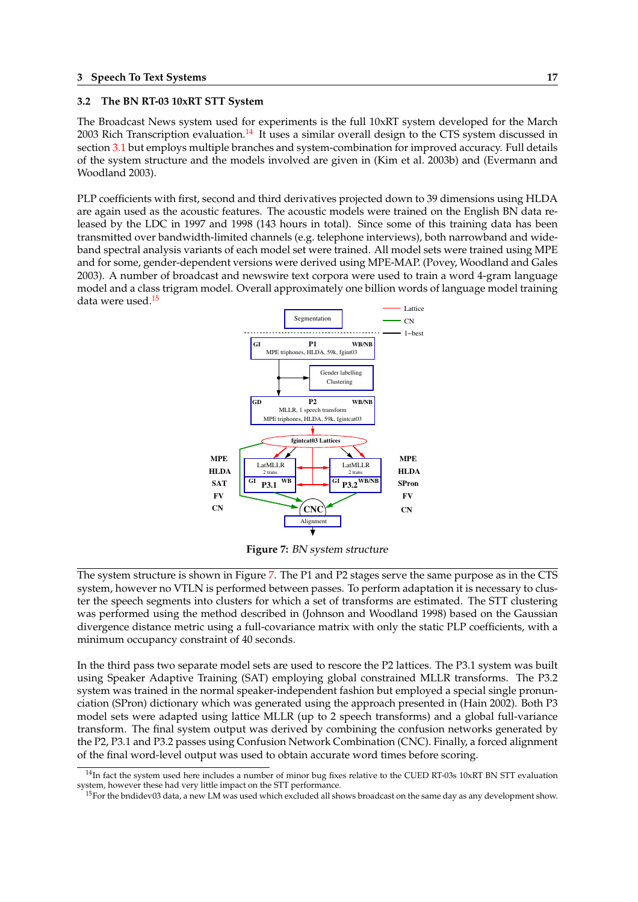### <span id="page-20-0"></span>**3.2 The BN RT-03 10xRT STT System**

The Broadcast News system used for experiments is the full 10xRT system developed for the March 2003 Rich Transcription evaluation.<sup>14</sup> It uses a similar overall design to the CTS system discussed in section 3.1 but employs multiple branches and system-combination for improved accuracy. Full details of the system structure and the models involved are given in (Kim et al. 2003b) and (Evermann and Woodland 2003).

PLP co[effic](#page-19-0)ients with first, second and third derivatives projected down to 39 dimensions using HLDA are again used as the acoustic features. The acoustic models were trained on the English BN data released by the LDC in 1997 and 1998 (143 hours in total). Since some of this training data has been transmitted over bandwidth-limited channels (e.g. telephone interviews), both narrowband and wideband spectral analysis variants of each model set were trained. All model sets were trained using MPE and for some, gender-dependent versions were derived using MPE-MAP. (Povey, Woodland and Gales 2003). A number of broadcast and newswire text corpora were used to train a word 4-gram language model and a class trigram model. Overall approximately one billion words of language model training data were used.<sup>15</sup>



**Figure 7:** BN system structure

The system structure is shown in Figure 7. The P1 and P2 stages serve the same purpose as in the CTS system, however no VTLN is performed between passes. To perform adaptation it is necessary to cluster the speech segments into clusters for which a set of transforms are estimated. The STT clustering was performed using the method described in (Johnson and Woodland 1998) based on the Gaussian divergence distance metric using a full-covariance matrix with only the static PLP coefficients, with a minimum occupancy constraint of 40 seconds.

In the third pass two separate model sets are used to rescore the P2 lattices. The P3.1 system was built using Speaker Adaptive Training (SAT) employing global constrained MLLR transforms. The P3.2 system was trained in the normal speaker-independent fashion but employed a special single pronunciation (SPron) dictionary which was generated using the approach presented in (Hain 2002). Both P3 model sets were adapted using lattice MLLR (up to 2 speech transforms) and a global full-variance transform. The final system output was derived by combining the confusion networks generated by the P2, P3.1 and P3.2 passes using Confusion Network Combination (CNC). Finally, a forced alignment of the final word-level output was used to obtain accurate word times before scoring.

 $14$ In fact the system used here includes a number of minor bug fixes relative to the CUED RT-03s 10xRT BN STT evaluation system, however these had very little impact on the STT performance.

<sup>15</sup>For the bndidev03 data, a new LM was used which excluded all shows broadcast on the same day as any development show.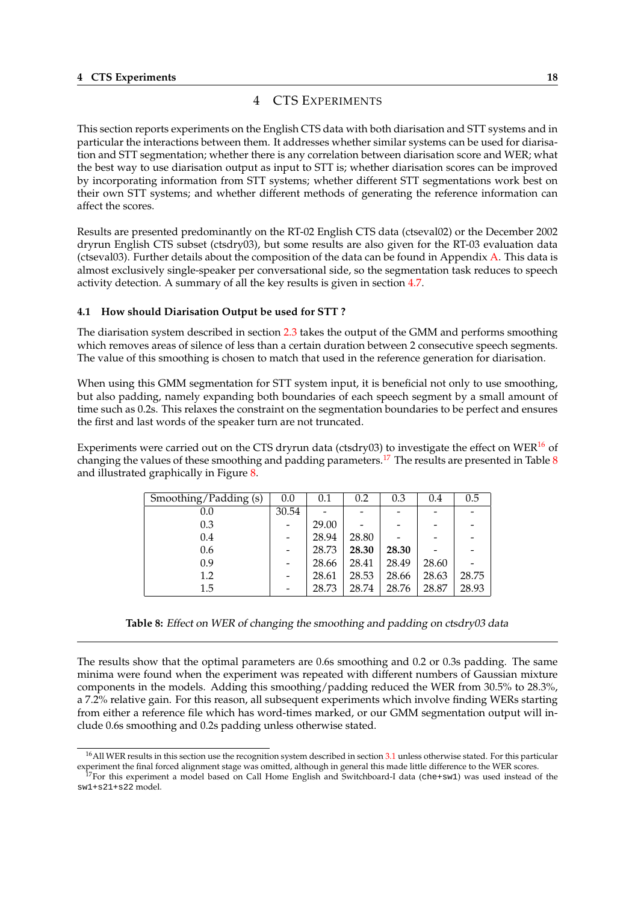# 4 CTS EXPERIMENTS

<span id="page-21-0"></span>This section reports experiments on the English CTS data with both diarisation and STT systems and in particular the interactions between them. It addresses whether similar systems can be used for diarisation and STT segmentation; whether there is any correlation between diarisation score and WER; what the best way to use diarisation output as input to STT is; whether diarisation scores can be improved by incorporating information from STT systems; whether different STT segmentations work best on their own STT systems; and whether different methods of generating the reference information can affect the scores.

Results are presented predominantly on the RT-02 English CTS data (ctseval02) or the December 2002 dryrun English CTS subset (ctsdry03), but some results are also given for the RT-03 evaluation data (ctseval03). Further details about the composition of the data can be found in Appendix A. This data is almost exclusively single-speaker per conversational side, so the segmentation task reduces to speech activity detection. A summary of all the key results is given in section 4.7.

## **4.1 How should Diarisation Output be used for STT ?**

The diarisation system described in section 2.3 takes the output of the [GM](#page-30-0)M and performs smoothing which removes areas of silence of less than a certain duration between 2 consecutive speech segments. The value of this smoothing is chosen to match that used in the reference generation for diarisation.

When using this GMM segmentation for S[TT s](#page-9-0)ystem input, it is beneficial not only to use smoothing, but also padding, namely expanding both boundaries of each speech segment by a small amount of time such as 0.2s. This relaxes the constraint on the segmentation boundaries to be perfect and ensures the first and last words of the speaker turn are not truncated.

Experiments were carried out on the CTS dryrun data (ctsdry03) to investigate the effect on WER $^{16}$  of changing the values of these smoothing and padding parameters.<sup>17</sup> The results are presented in Table  $8$ and illustrated graphically in Figure 8.

| Smoothing/Padding (s) | 0.0   | 0.1   | 0.2   | 0.3   | 0.4                      | 0.5   |
|-----------------------|-------|-------|-------|-------|--------------------------|-------|
| 0.0                   | 30.54 |       |       |       | $\overline{\phantom{0}}$ |       |
| 0.3                   |       | 29.00 |       |       |                          |       |
| 0.4                   |       | 28.94 | 28.80 |       |                          |       |
| 0.6                   |       | 28.73 | 28.30 | 28.30 |                          |       |
| 0.9                   |       | 28.66 | 28.41 | 28.49 | 28.60                    |       |
| 1.2                   |       | 28.61 | 28.53 | 28.66 | 28.63                    | 28.75 |
| 1.5                   |       | 28.73 | 28.74 | 28.76 | 28.87                    | 28.93 |

**Table 8:** Effect on WER of changing the smoothing and padding on ctsdry03 data

The results show that the optimal parameters are 0.6s smoothing and 0.2 or 0.3s padding. The same minima were found when the experiment was repeated with different numbers of Gaussian mixture components in the models. Adding this smoothing/padding reduced the WER from 30.5% to 28.3%, a 7.2% relative gain. For this reason, all subsequent experiments which involve finding WERs starting from either a reference file which has word-times marked, or our GMM segmentation output will include 0.6s smoothing and 0.2s padding unless otherwise stated.

<sup>&</sup>lt;sup>16</sup>All WER results in this section use the recognition system described in section 3.1 unless otherwise stated. For this particular experiment the final forced alignment stage was omitted, although in general this made little difference to the WER scores.

<sup>&</sup>lt;sup>17</sup>For this experiment a model based on Call Home English and Switchboard-I data (che+sw1) was used instead of the sw1+s21+s22 model.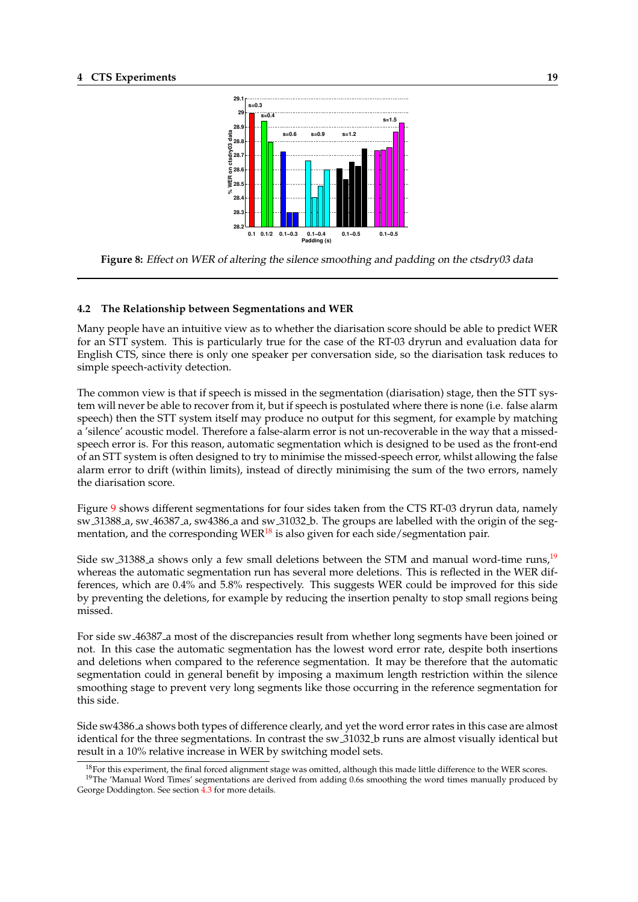.

<span id="page-22-0"></span>

**Figure 8:** Effect on WER of altering the silence smoothing and padding on the ctsdry03 data

#### **4.2 The Relationship between Segmentations and WER**

Many people have an intuitive view as to whether the diarisation score should be able to predict WER for an STT system. This is particularly true for the case of the RT-03 dryrun and evaluation data for English CTS, since there is only one speaker per conversation side, so the diarisation task reduces to simple speech-activity detection.

The common view is that if speech is missed in the segmentation (diarisation) stage, then the STT system will never be able to recover from it, but if speech is postulated where there is none (i.e. false alarm speech) then the STT system itself may produce no output for this segment, for example by matching a 'silence' acoustic model. Therefore a false-alarm error is not un-recoverable in the way that a missedspeech error is. For this reason, automatic segmentation which is designed to be used as the front-end of an STT system is often designed to try to minimise the missed-speech error, whilst allowing the false alarm error to drift (within limits), instead of directly minimising the sum of the two errors, namely the diarisation score.

Figure 9 shows different segmentations for four sides taken from the CTS RT-03 dryrun data, namely sw 31388 a, sw 46387 a, sw4386 a and sw 31032 b. The groups are labelled with the origin of the segmentation, and the corresponding WER $^{18}$  is also given for each side/segmentation pair.

Side s[w](#page-23-0)  $31388$  a shows only a few small deletions between the STM and manual word-time runs,<sup>19</sup> whereas the automatic segmentation run has several more deletions. This is reflected in the WER differences, which are 0.4% and 5.8% respectively. This suggests WER could be improved for this side by preventing the deletions, for example by reducing the insertion penalty to stop small regions being missed.

For side sw 46387 a most of the discrepancies result from whether long segments have been joined or not. In this case the automatic segmentation has the lowest word error rate, despite both insertions and deletions when compared to the reference segmentation. It may be therefore that the automatic segmentation could in general benefit by imposing a maximum length restriction within the silence smoothing stage to prevent very long segments like those occurring in the reference segmentation for this side.

Side sw4386 a shows both types of difference clearly, and yet the word error rates in this case are almost identical for the three segmentations. In contrast the sw 31032 b runs are almost visually identical but result in a 10% relative increase in WER by switching model sets.

 $^{18}$ For this experiment, the final forced alignment stage was omitted, although this made little difference to the WER scores.

 $19$ The 'Manual Word Times' segmentations are derived from adding 0.6s smoothing the word times manually produced by George Doddington. See section 4.3 for more details.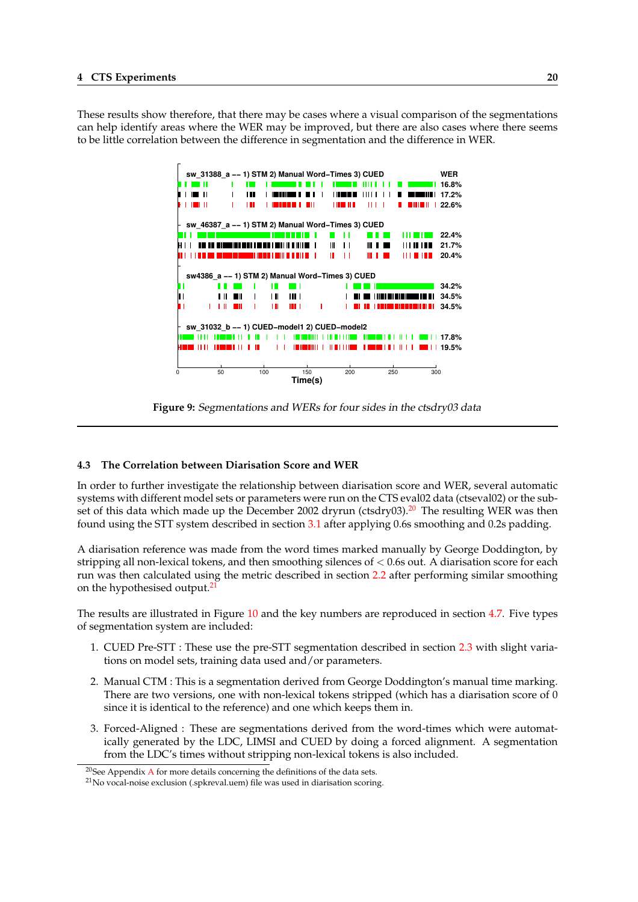<span id="page-23-0"></span>These results show therefore, that there may be cases where a visual comparison of the segmentations can help identify areas where the WER may be improved, but there are also cases where there seems to be little correlation between the difference in segmentation and the difference in WER.



**Figure 9:** Segmentations and WERs for four sides in the ctsdry03 data

#### **4.3 The Correlation between Diarisation Score and WER**

In order to further investigate the relationship between diarisation score and WER, several automatic systems with different model sets or parameters were run on the CTS eval02 data (ctseval02) or the subset of this data which made up the December 2002 dryrun (ctsdry03).<sup>20</sup> The resulting WER was then found using the STT system described in section 3.1 after applying 0.6s smoothing and 0.2s padding.

A diarisation reference was made from the word times marked manually by George Doddington, by stripping all non-lexical tokens, and then smoothing silences of < 0.6s out. A diarisation score for each run was then calculated using the metric descri[bed](#page-19-0) in section 2.2 after performing similar smoothing on the hypothesised output.<sup>21</sup>

The results are illustrated in Figure 10 and the key numbers are reproduced in section 4.7. Five types of segmentation system are included:

- 1. CUED Pre-STT : These use the pre-STT segmentation described in section 2.3 with slight variations on model sets, training [data](#page-24-0) used and/or parameters.
- 2. Manual CTM : This is a segmentation derived from George Doddington's manual time marking. There are two versions, one with non-lexical tokens stripped (which has a [diar](#page-9-0)isation score of 0 since it is identical to the reference) and one which keeps them in.
- 3. Forced-Aligned : These are segmentations derived from the word-times which were automatically generated by the LDC, LIMSI and CUED by doing a forced alignment. A segmentation from the LDC's times without stripping non-lexical tokens is also included.

 $20$ See Appendix A for more details concerning the definitions of the data sets.

<sup>&</sup>lt;sup>21</sup>No vocal-noise exclusion (.spkreval.uem) file was used in diarisation scoring.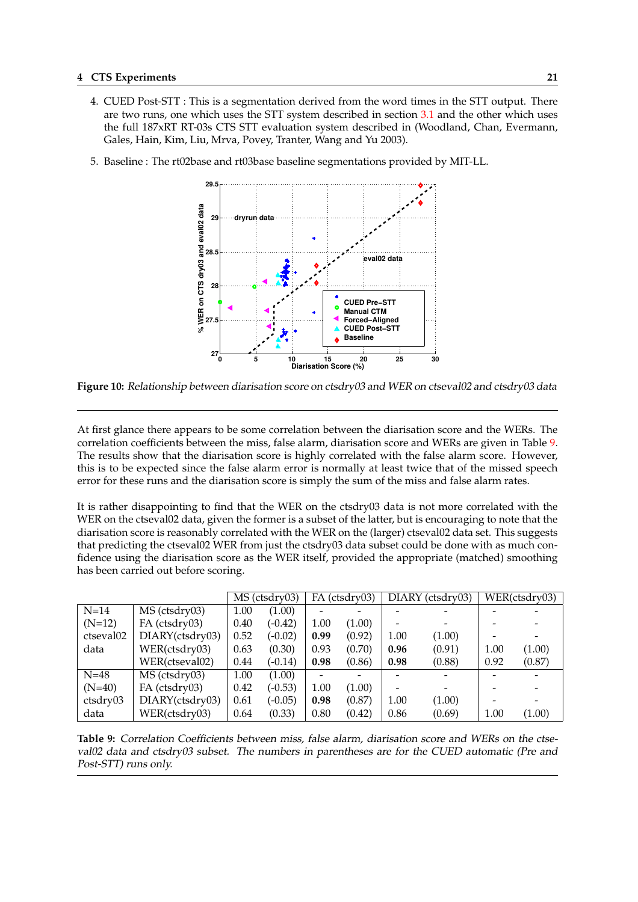- <span id="page-24-0"></span>4. CUED Post-STT : This is a segmentation derived from the word times in the STT output. There are two runs, one which uses the STT system described in section 3.1 and the other which uses the full 187xRT RT-03s CTS STT evaluation system described in (Woodland, Chan, Evermann, Gales, Hain, Kim, Liu, Mrva, Povey, Tranter, Wang and Yu 2003).
- 5. Baseline : The rt02base and rt03base baseline segmentations provi[ded b](#page-19-0)y MIT-LL.



**Figure 10:** Relationship between diarisation score on ctsdry03 and WER on ctseval02 and ctsdry03 data

At first glance there appears to be some correlation between the diarisation score and the WERs. The correlation coefficients between the miss, false alarm, diarisation score and WERs are given in Table 9. The results show that the diarisation score is highly correlated with the false alarm score. However, this is to be expected since the false alarm error is normally at least twice that of the missed speech error for these runs and the diarisation score is simply the sum of the miss and false alarm rates.

It is rather disappointing to find that the WER on the ctsdry03 data is not more correlated with the WER on the ctseval02 data, given the former is a subset of the latter, but is encouraging to note that the diarisation score is reasonably correlated with the WER on the (larger) ctseval02 data set. This suggests that predicting the ctseval02 WER from just the ctsdry03 data subset could be done with as much confidence using the diarisation score as the WER itself, provided the appropriate (matched) smoothing has been carried out before scoring.

|           |                 | MS (ctsdry03) |           | FA (ctsdry03) |        | $\overline{DIARY}$ (ctsdry03) |        | WER(ctsdry03) |        |
|-----------|-----------------|---------------|-----------|---------------|--------|-------------------------------|--------|---------------|--------|
| $N=14$    | MS (ctsdry03)   | 1.00          | (1.00)    |               |        |                               |        |               |        |
| $(N=12)$  | FA (ctsdry03)   | 0.40          | $(-0.42)$ | 1.00          | (1.00) |                               |        |               |        |
| ctseval02 | DIARY(ctsdry03) | 0.52          | $(-0.02)$ | 0.99          | (0.92) | 1.00                          | (1.00) |               |        |
| data      | WER(ctsdry03)   | 0.63          | (0.30)    | 0.93          | (0.70) | 0.96                          | (0.91) | 1.00          | (1.00) |
|           | WER(ctseval02)  | 0.44          | $(-0.14)$ | 0.98          | (0.86) | 0.98                          | (0.88) | 0.92          | (0.87) |
| $N=48$    | MS (ctsdry03)   | 1.00          | (1.00)    |               |        |                               |        |               |        |
| $(N=40)$  | FA (ctsdry03)   | 0.42          | $(-0.53)$ | 1.00          | (1.00) |                               |        |               |        |
| ctsdry03  | DIARY(ctsdry03) | 0.61          | $(-0.05)$ | 0.98          | (0.87) | 1.00                          | (1.00) |               |        |
| data      | WER(ctsdry03)   | 0.64          | (0.33)    | 0.80          | (0.42) | 0.86                          | (0.69) | 1.00          | (1.00) |

**Table 9:** Correlation Coefficients between miss, false alarm, diarisation score and WERs on the ctseval02 data and ctsdry03 subset. The numbers in parentheses are for the CUED automatic (Pre and Post-STT) runs only.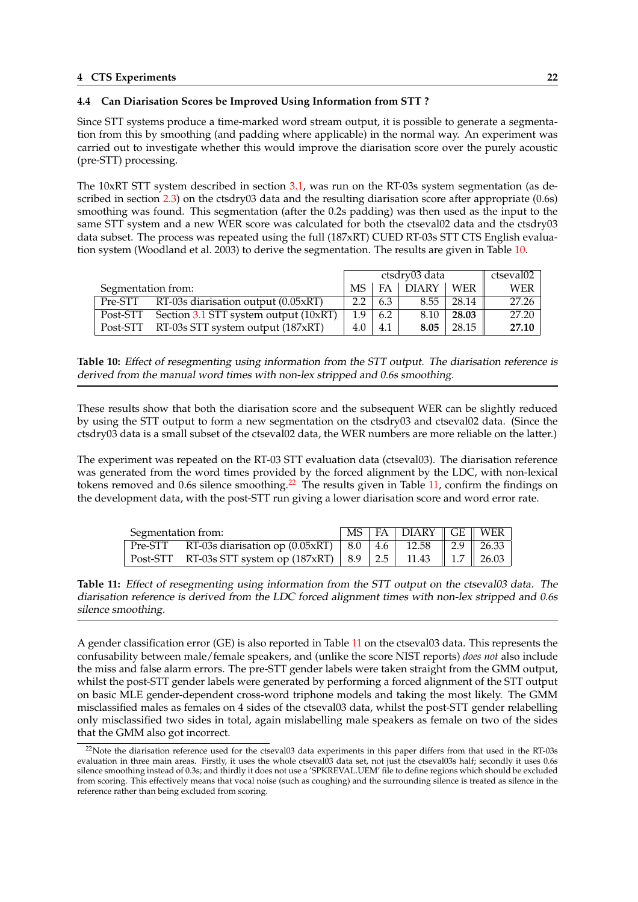## <span id="page-25-0"></span>**4.4 Can Diarisation Scores be Improved Using Information from STT ?**

Since STT systems produce a time-marked word stream output, it is possible to generate a segmentation from this by smoothing (and padding where applicable) in the normal way. An experiment was carried out to investigate whether this would improve the diarisation score over the purely acoustic (pre-STT) processing.

The 10xRT STT system described in section 3.1, was run on the RT-03s system segmentation (as described in section 2.3) on the ctsdry03 data and the resulting diarisation score after appropriate (0.6s) smoothing was found. This segmentation (after the 0.2s padding) was then used as the input to the same STT system and a new WER score was calculated for both the ctseval02 data and the ctsdry03 data subset. The process was repeated using [the](#page-19-0) full (187xRT) CUED RT-03s STT CTS English evaluation system (Woo[dlan](#page-9-0)d et al. 2003) to derive the segmentation. The results are given in Table 10.

|                    |                                                |     | ctsdry03 data | ctseval02  |            |       |
|--------------------|------------------------------------------------|-----|---------------|------------|------------|-------|
| Segmentation from: |                                                | MS. |               | $FA$ DIARY | <b>WER</b> | WER   |
|                    | Pre-STT RT-03s diarisation output (0.05xRT)    | 2.2 | 6.3           | 8.55       | 28.14      | 27.26 |
|                    | Post-STT Section 3.1 STT system output (10xRT) | 1.9 | 6.2           | 8.10       | 28.03      | 27.20 |
|                    | Post-STT RT-03s STT system output (187xRT)     | 4.0 | 4.1           | 8.05       | 28.15      | 27.10 |

**Table 10:** Effect of rese[gmen](#page-19-0)ting using information from the STT output. The diarisation reference is derived from the manual word times with non-lex stripped and 0.6s smoothing.

These results show that both the diarisation score and the subsequent WER can be slightly reduced by using the STT output to form a new segmentation on the ctsdry03 and ctseval02 data. (Since the ctsdry03 data is a small subset of the ctseval02 data, the WER numbers are more reliable on the latter.)

The experiment was repeated on the RT-03 STT evaluation data (ctseval03). The diarisation reference was generated from the word times provided by the forced alignment by the LDC, with non-lexical tokens removed and 0.6s silence smoothing.<sup>22</sup> The results given in Table 11, confirm the findings on the development data, with the post-STT run giving a lower diarisation score and word error rate.

| Segmentation from: |                                                                             |  | MS   FA   DIARY    GE    WER |  |
|--------------------|-----------------------------------------------------------------------------|--|------------------------------|--|
|                    | Pre-STT RT-03s diarisation op (0.05xRT)   8.0   4.6   12.58    2.9    26.33 |  |                              |  |
|                    | Post-STT RT-03s STT system op (187xRT)   8.9   2.5   11.43    1.7    26.03  |  |                              |  |

**Table 11:** Effect of resegmenting using information from the STT output on the ctseval03 data. The diarisation reference is derived from the LDC forced alignment times with non-lex stripped and 0.6s silence smoothing.

A gender classification error (GE) is also reported in Table 11 on the ctseval03 data. This represents the confusability between male/female speakers, and (unlike the score NIST reports) *does not* also include the miss and false alarm errors. The pre-STT gender labels were taken straight from the GMM output, whilst the post-STT gender labels were generated by performing a forced alignment of the STT output on basic MLE gender-dependent cross-word triphone models and taking the most likely. The GMM misclassified males as females on 4 sides of the ctseval03 data, whilst the post-STT gender relabelling only misclassified two sides in total, again mislabelling male speakers as female on two of the sides that the GMM also got incorrect.

 $22$ Note the diarisation reference used for the ctseval03 data experiments in this paper differs from that used in the RT-03s evaluation in three main areas. Firstly, it uses the whole ctseval03 data set, not just the ctseval03s half; secondly it uses 0.6s silence smoothing instead of 0.3s; and thirdly it does not use a 'SPKREVAL.UEM' file to define regions which should be excluded from scoring. This effectively means that vocal noise (such as coughing) and the surrounding silence is treated as silence in the reference rather than being excluded from scoring.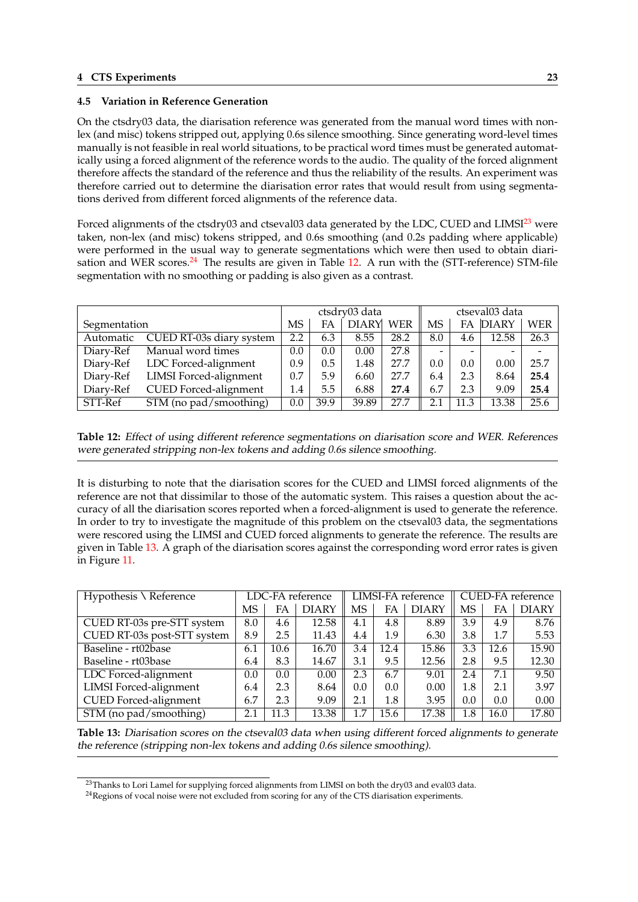## <span id="page-26-0"></span>**4.5 Variation in Reference Generation**

On the ctsdry03 data, the diarisation reference was generated from the manual word times with nonlex (and misc) tokens stripped out, applying 0.6s silence smoothing. Since generating word-level times manually is not feasible in real world situations, to be practical word times must be generated automatically using a forced alignment of the reference words to the audio. The quality of the forced alignment therefore affects the standard of the reference and thus the reliability of the results. An experiment was therefore carried out to determine the diarisation error rates that would result from using segmentations derived from different forced alignments of the reference data.

Forced alignments of the ctsdry03 and ctseval03 data generated by the LDC, CUED and LIMSI<sup>23</sup> were taken, non-lex (and misc) tokens stripped, and 0.6s smoothing (and 0.2s padding where applicable) were performed in the usual way to generate segmentations which were then used to obtain diarisation and WER scores. $^{24}$  The results are given in Table 12. A run with the (STT-reference) STM-file segmentation with no smoothing or padding is also given as a contrast.

|              |                          |     |      | ctsdry03 data |            | ctseval03 data           |      |              |      |
|--------------|--------------------------|-----|------|---------------|------------|--------------------------|------|--------------|------|
| Segmentation |                          |     | FA   | <b>DIARY</b>  | <b>WER</b> | MS                       | FA   | <b>DIARY</b> | WER  |
| Automatic    | CUED RT-03s diary system | 2.2 | 6.3  | 8.55          | 28.2       | 8.0                      | 4.6  | 12.58        | 26.3 |
| Diary-Ref    | Manual word times        | 0.0 | 0.0  | 0.00          | 27.8       | $\overline{\phantom{0}}$ |      |              |      |
| Diary-Ref    | LDC Forced-alignment     | 0.9 | 0.5  | 1.48          | 27.7       | 0.0                      | 0.0  | 0.00         | 25.7 |
| Diary-Ref    | LIMSI Forced-alignment   | 0.7 | 5.9  | 6.60          | 27.7       | 6.4                      | 2.3  | 8.64         | 25.4 |
| Diary-Ref    | CUED Forced-alignment    | 1.4 | 5.5  | 6.88          | 27.4       | 6.7                      | 2.3  | 9.09         | 25.4 |
| STT-Ref      | $STM$ (no pad/smoothing) | 0.0 | 39.9 | 39.89         | 27.7       | 2.1                      | 11.3 | 13.38        | 25.6 |

**Table 12:** Effect of using different reference segmentations on diarisation score and WER. References were generated stripping non-lex tokens and adding 0.6s silence smoothing.

It is disturbing to note that the diarisation scores for the CUED and LIMSI forced alignments of the reference are not that dissimilar to those of the automatic system. This raises a question about the accuracy of all the diarisation scores reported when a forced-alignment is used to generate the reference. In order to try to investigate the magnitude of this problem on the ctseval03 data, the segmentations were rescored using the LIMSI and CUED forced alignments to generate the reference. The results are given in Table 13. A graph of the diarisation scores against the corresponding word error rates is given in Figure 11.

| Hypothesis \ Reference        |     | LDC-FA reference |              |     | LIMSI-FA reference |              |     | <b>CUED-FA</b> reference |              |  |
|-------------------------------|-----|------------------|--------------|-----|--------------------|--------------|-----|--------------------------|--------------|--|
|                               | MS  | FA               | <b>DIARY</b> | MS  | FA                 | <b>DIARY</b> | MS  | FA                       | <b>DIARY</b> |  |
| CUED RT-03s pre-STT system    | 8.0 | 4.6              | 12.58        | 4.1 | 4.8                | 8.89         | 3.9 | 4.9                      | 8.76         |  |
| CUED RT-03s post-STT system   | 8.9 | 2.5              | 11.43        | 4.4 | 1.9                | 6.30         | 3.8 | $1.7\,$                  | 5.53         |  |
| Baseline - rt02base           | 6.1 | 10.6             | 16.70        | 3.4 | 12.4               | 15.86        | 3.3 | 12.6                     | 15.90        |  |
| Baseline - rt03base           | 6.4 | 8.3              | 14.67        | 3.1 | 9.5                | 12.56        | 2.8 | 9.5                      | 12.30        |  |
| LDC Forced-alignment          | 0.0 | 0.0              | 0.00         | 2.3 | 6.7                | 9.01         | 2.4 | 7.1                      | 9.50         |  |
| <b>LIMSI</b> Forced-alignment | 6.4 | 2.3              | 8.64         | 0.0 | 0.0                | 0.00         | 1.8 | 2.1                      | 3.97         |  |
| <b>CUED</b> Forced-alignment  | 6.7 | 2.3              | 9.09         | 2.1 | 1.8                | 3.95         | 0.0 | 0.0                      | 0.00         |  |
| STM (no pad/smoothing)        | 2.1 | 11.3             | 13.38        | 1.7 | 15.6               | 17.38        | 1.8 | 16.0                     | 17.80        |  |

**Table 13:** Diarisation scores on the ctseval03 data when using different forced alignments to generate the reference (stripping non-lex tokens and adding 0.6s silence smoothing).

<sup>&</sup>lt;sup>23</sup>Thanks to Lori Lamel for supplying forced alignments from LIMSI on both the dry03 and eval03 data.

<sup>&</sup>lt;sup>24</sup>Regions of vocal noise were not excluded from scoring for any of the CTS diarisation experiments.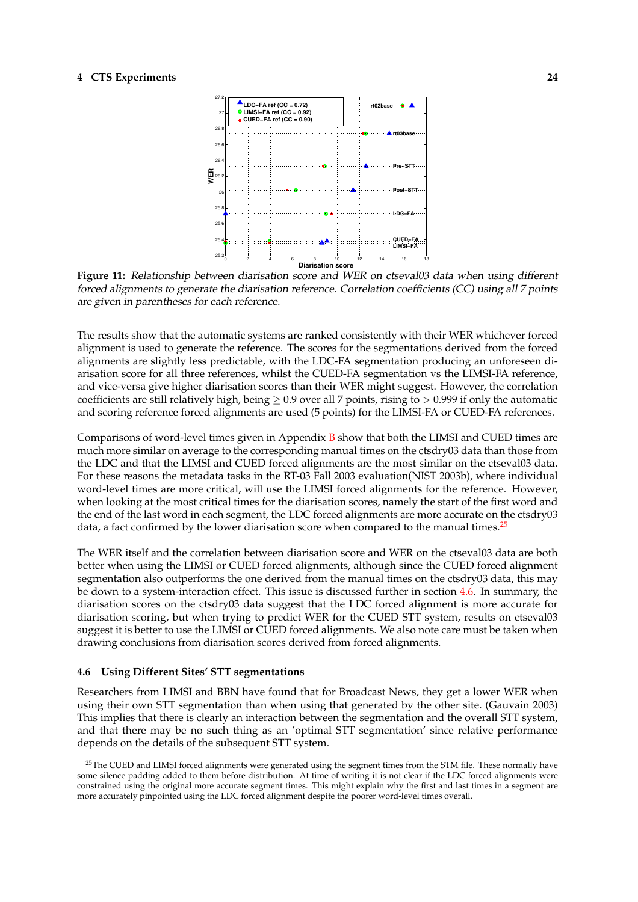<span id="page-27-0"></span>



The results show that the automatic systems are ranked consistently with their WER whichever forced alignment is used to generate the reference. The scores for the segmentations derived from the forced alignments are slightly less predictable, with the LDC-FA segmentation producing an unforeseen diarisation score for all three references, whilst the CUED-FA segmentation vs the LIMSI-FA reference, and vice-versa give higher diarisation scores than their WER might suggest. However, the correlation coefficients are still relatively high, being  $\geq$  0.9 over all 7 points, rising to  $>$  0.999 if only the automatic and scoring reference forced alignments are used (5 points) for the LIMSI-FA or CUED-FA references.

Comparisons of word-level times given in Appendix  $B$  show that both the LIMSI and CUED times are much more similar on average to the corresponding manual times on the ctsdry03 data than those from the LDC and that the LIMSI and CUED forced alignments are the most similar on the ctseval03 data. For these reasons the metadata tasks in the RT-03 Fall 2003 evaluation(NIST 2003b), where individual word-level times are more critical, will use the LIM[SI f](#page-47-0)orced alignments for the reference. However, when looking at the most critical times for the diarisation scores, namely the start of the first word and the end of the last word in each segment, the LDC forced alignments are more accurate on the ctsdry03 data, a fact confirmed by the lower diarisation score when compared to the manual times.<sup>25</sup>

The WER itself and the correlation between diarisation score and WER on the ctseval03 data are both better when using the LIMSI or CUED forced alignments, although since the CUED forced alignment segmentation also outperforms the one derived from the manual times on the ctsdry03 data, this may be down to a system-interaction effect. This issue is discussed further in section 4.6. In summary, the diarisation scores on the ctsdry03 data suggest that the LDC forced alignment is more accurate for diarisation scoring, but when trying to predict WER for the CUED STT system, results on ctseval03 suggest it is better to use the LIMSI or CUED forced alignments. We also note care must be taken when drawing conclusions from diarisation scores derived from forced alignments.

#### **4.6 Using Different Sites' STT segmentations**

Researchers from LIMSI and BBN have found that for Broadcast News, they get a lower WER when using their own STT segmentation than when using that generated by the other site. (Gauvain 2003) This implies that there is clearly an interaction between the segmentation and the overall STT system, and that there may be no such thing as an 'optimal STT segmentation' since relative performance depends on the details of the subsequent STT system.

<sup>&</sup>lt;sup>25</sup>The CUED and LIMSI forced alignments were generated using the segment times from the STM file. These normally have some silence padding added to them before distribution. At time of writing it is not clear if the LDC forced alignments were constrained using the original more accurate segment times. This might explain why the first and last times in a segment are more accurately pinpointed using the LDC forced alignment despite the poorer word-level times overall.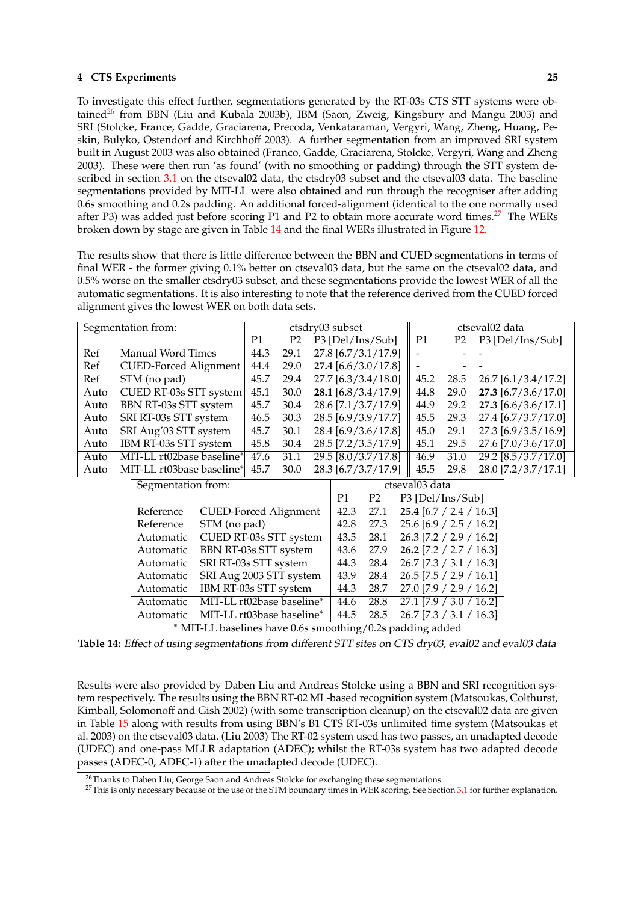To investigate this effect further, segmentations generated by the RT-03s CTS STT systems were obtained<sup>26</sup> from BBN (Liu and Kubala 2003b), IBM (Saon, Zweig, Kingsbury and Mangu 2003) and SRI (Stolcke, France, Gadde, Graciarena, Precoda, Venkataraman, Vergyri, Wang, Zheng, Huang, Peskin, Bulyko, Ostendorf and Kirchhoff 2003). A further segmentation from an improved SRI system built in August 2003 was also obtained (Franco, Gadde, Graciarena, Stolcke, Vergyri, Wang and Zheng 2003). These were then run 'as found' (with no smoothing or padding) through the STT system described in section 3.1 on the ctseval02 data, the ctsdry03 subset and the ctseval03 data. The baseline segmentations provided by MIT-LL were also obtained and run through the recogniser after adding 0.6s smoothing and 0.2s padding. An additional forced-alignment (identical to the one normally used after P3) was added just before scoring P1 and P2 to obtain more accurate word times.<sup>27</sup> The WERs broken down by s[tage](#page-19-0) are given in Table 14 and the final WERs illustrated in Figure 12.

The results show that there is little difference between the BBN and CUED segmentations in terms of final WER - the former giving 0.1% better on ctseval03 data, but the same on the ctseval02 data, and 0.5% worse on the smaller ctsdry03 subset, and these segmentations provide the lo[west](#page-29-0) WER of all the automatic segmentations. It is also interesting to note that the reference derived from the CUED forced alignment gives the lowest WER on both data sets.

|      | Segmentation from:        |           |                              |                                  |                |                | ctsdry03 subset  |                       |  |                                      |                | ctseval02 data |                       |  |
|------|---------------------------|-----------|------------------------------|----------------------------------|----------------|----------------|------------------|-----------------------|--|--------------------------------------|----------------|----------------|-----------------------|--|
|      |                           |           |                              | P <sub>1</sub>                   | P <sub>2</sub> |                |                  | P3 [Del/Ins/Sub]      |  | P <sub>1</sub>                       | P <sub>2</sub> |                | P3 [Del/Ins/Sub]      |  |
| Ref  | <b>Manual Word Times</b>  |           |                              | 44.3                             | 29.1           |                |                  | 27.8 [6.7/3.1/17.9]   |  | $\overline{a}$                       |                |                |                       |  |
| Ref  |                           |           | <b>CUED-Forced Alignment</b> | 44.4                             | 29.0           |                |                  | 27.4 [6.6/3.0/17.8]   |  |                                      |                |                |                       |  |
| Ref  | STM (no pad)              |           |                              | 45.7                             | 29.4           |                |                  | 27.7 [6.3/3.4/18.0]   |  | 45.2                                 | 28.5           |                | $26.7$ [6.1/3.4/17.2] |  |
| Auto |                           |           | CUED RT-03s STT system       | 45.1                             | 30.0           |                |                  | $28.1$ [6.8/3.4/17.9] |  | 44.8                                 | 29.0           |                | $27.3$ [6.7/3.6/17.0] |  |
| Auto | BBN RT-03s STT system     |           |                              | 45.7                             | 30.4           |                |                  | 28.6 [7.1/3.7/17.9]   |  | 44.9                                 | 29.2           |                | $27.3$ [6.6/3.6/17.1] |  |
| Auto | SRI RT-03s STT system     |           |                              | 46.5                             | 30.3           |                |                  | 28.5 [6.9/3.9/17.7]   |  | 45.5                                 | 29.3           |                | 27.4 [6.7/3.7/17.0]   |  |
| Auto | SRI Aug'03 STT system     |           |                              | 45.7                             | 30.1           |                |                  | 28.4 [6.9/3.6/17.8]   |  | 45.0                                 | 29.1           |                | 27.3 [6.9/3.5/16.9]   |  |
| Auto | IBM RT-03s STT system     |           |                              | 45.8                             | 30.4           |                |                  | 28.5 [7.2/3.5/17.9]   |  | 45.1                                 | 29.5           |                | 27.6 [7.0/3.6/17.0]   |  |
| Auto |                           |           | MIT-LL rt02base baseline*    | 47.6                             | 31.1           |                |                  | 29.5 [8.0/3.7/17.8]   |  | 46.9                                 | 31.0           |                | 29.2 [8.5/3.7/17.0]   |  |
| Auto | MIT-LL rt03base baseline* |           |                              | 45.7                             | 30.0           |                |                  | 28.3 [6.7/3.7/17.9]   |  | 45.5                                 | 29.8           |                | 28.0 [7.2/3.7/17.1]   |  |
|      | Segmentation from:        |           |                              |                                  |                | ctseval03 data |                  |                       |  |                                      |                |                |                       |  |
|      |                           |           |                              | P <sub>2</sub><br>P <sub>1</sub> |                |                | P3 [Del/Ins/Sub] |                       |  |                                      |                |                |                       |  |
|      | Reference                 |           | <b>CUED-Forced Alignment</b> |                                  |                |                | 42.3             | 27.1                  |  | $25.4$ [6.7 / 2.4 / 16.3]            |                |                |                       |  |
|      | Reference                 |           | STM (no pad)                 |                                  |                |                | 42.8             | 27.3                  |  | $25.6$ [6.9 / 2.5 / 16.2]            |                |                |                       |  |
|      | Automatic                 |           | CUED RT-03s STT system       |                                  |                |                | 43.5             | 28.1                  |  | $26.3$ [7.2 / 2.9 / 16.2]            |                |                |                       |  |
|      | Automatic                 |           | BBN RT-03s STT system        |                                  |                |                | 43.6             | 27.9                  |  | 26.2 $[7.2 / 2.7 / 16.3]$            |                |                |                       |  |
|      | Automatic                 |           | SRI RT-03s STT system        |                                  |                |                | 44.3             | 28.4                  |  | $26.7$ [7.3 / 3.1 / 16.3]            |                |                |                       |  |
|      | Automatic                 |           | SRI Aug 2003 STT system      |                                  |                |                | 43.9             | 28.4                  |  | $26.5$ [7.5 / 2.9 / 16.1]            |                |                |                       |  |
|      | Automatic                 |           | IBM RT-03s STT system        |                                  |                |                | 44.3             | 28.7                  |  | 27.0 [7.9 / 2.9 / 16.2]              |                |                |                       |  |
|      |                           | Automatic | MIT-LL rt02base baseline*    |                                  |                |                | 44.6             | 28.8                  |  | $\overline{27.1}$ [7.9 / 3.0 / 16.2] |                |                |                       |  |
|      | Automatic                 |           | MIT-LL rt03base baseline*    |                                  |                |                | 44.5             | 28.5                  |  | $26.7$ [7.3 / 3.1 / 16.3]            |                |                |                       |  |

<sup>∗</sup> MIT-LL baselines have 0.6s smoothing/0.2s padding added

**Table 14:** Effect of using segmentations from different STT sites on CTS dry03, eval02 and eval03 data

Results were also provided by Daben Liu and Andreas Stolcke using a BBN and SRI recognition system respectively. The results using the BBN RT-02 ML-based recognition system (Matsoukas, Colthurst, Kimball, Solomonoff and Gish 2002) (with some transcription cleanup) on the ctseval02 data are given in Table 15 along with results from using BBN's B1 CTS RT-03s unlimited time system (Matsoukas et al. 2003) on the ctseval03 data. (Liu 2003) The RT-02 system used has two passes, an unadapted decode (UDEC) and one-pass MLLR adaptation (ADEC); whilst the RT-03s system has two adapted decode passes (ADEC-0, ADEC-1) after the unadapted decode (UDEC).

<sup>26</sup>Thank[s to](#page-29-0) Daben Liu, George Saon and Andreas Stolcke for exchanging these segmentations

<sup>27</sup>This is only necessary because of the use of the STM boundary times in WER scoring. See Section 3.1 for further explanation.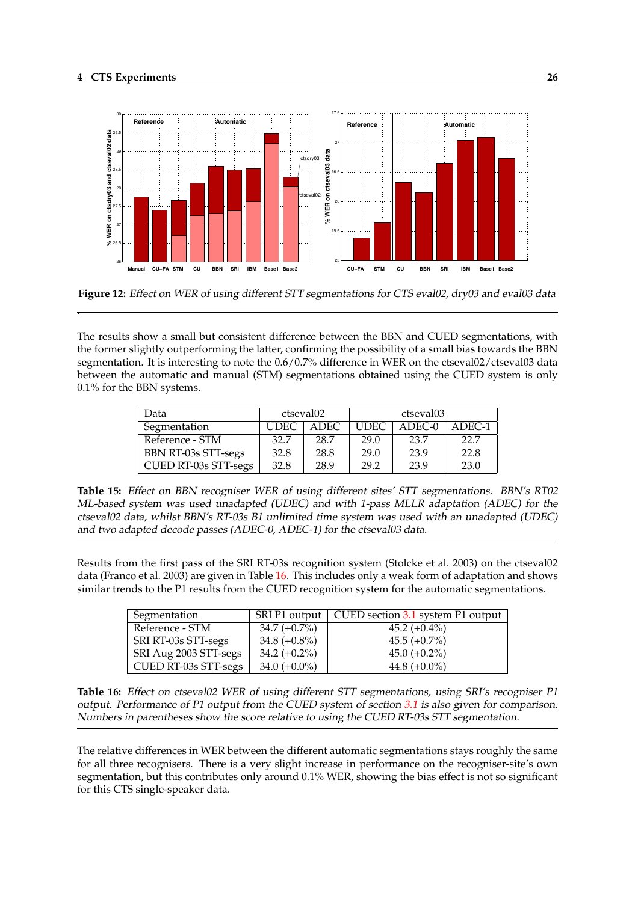.

<span id="page-29-0"></span>

**Figure 12:** Effect on WER of using different STT segmentations for CTS eval02, dry03 and eval03 data

The results show a small but consistent difference between the BBN and CUED segmentations, with the former slightly outperforming the latter, confirming the possibility of a small bias towards the BBN segmentation. It is interesting to note the  $0.6/0.7\%$  difference in WER on the ctseval02/ctseval03 data between the automatic and manual (STM) segmentations obtained using the CUED system is only 0.1% for the BBN systems.

| Data                 |             | ctseval02   | ctseval03   |          |        |  |
|----------------------|-------------|-------------|-------------|----------|--------|--|
| Segmentation         | <b>UDEC</b> | <b>ADEC</b> | <b>UDEC</b> | $ADEC-0$ | ADEC-1 |  |
| Reference - STM      | 32.7        | 28.7        | 29.0        | 23.7     | 22.7   |  |
| BBN RT-03s STT-segs  | 32.8        | 28.8        | 29.0        | 23.9     | 22.8   |  |
| CUED RT-03s STT-segs | 32.8        | 28.9        | 29.2        | 23.9     | 23.0   |  |

**Table 15:** Effect on BBN recogniser WER of using different sites' STT segmentations. BBN's RT02 ML-based system was used unadapted (UDEC) and with 1-pass MLLR adaptation (ADEC) for the ctseval02 data, whilst BBN's RT-03s B1 unlimited time system was used with an unadapted (UDEC) and two adapted decode passes (ADEC-0, ADEC-1) for the ctseval03 data.

Results from the first pass of the SRI RT-03s recognition system (Stolcke et al. 2003) on the ctseval02 data (Franco et al. 2003) are given in Table 16. This includes only a weak form of adaptation and shows similar trends to the P1 results from the CUED recognition system for the automatic segmentations.

| Segmentation          |                 | SRI P1 output   CUED section 3.1 system P1 output |
|-----------------------|-----------------|---------------------------------------------------|
| Reference - STM       | $34.7 (+0.7%)$  | $45.2 (+0.4\%)$                                   |
| SRI RT-03s STT-segs   | 34.8 $(+0.8\%)$ | $45.5 (+0.7%)$                                    |
| SRI Aug 2003 STT-segs | 34.2 $(+0.2\%)$ | $45.0 (+0.2\%)$                                   |
| CUED RT-03s STT-segs  | $34.0 (+0.0\%)$ | 44.8 $(+0.0\%)$                                   |

**Table 16:** Effect on ctseval02 WER of using different STT segmentations, using SRI's recogniser P1 output. Performance of P1 output from the CUED system of section 3.1 is also given for comparison. Numbers in parentheses show the score relative to using the CUED RT-03s STT segmentation.

The relative differences in WER between the different automatic seg[menta](#page-19-0)tions stays roughly the same for all three recognisers. There is a very slight increase in performance on the recogniser-site's own segmentation, but this contributes only around 0.1% WER, showing the bias effect is not so significant for this CTS single-speaker data.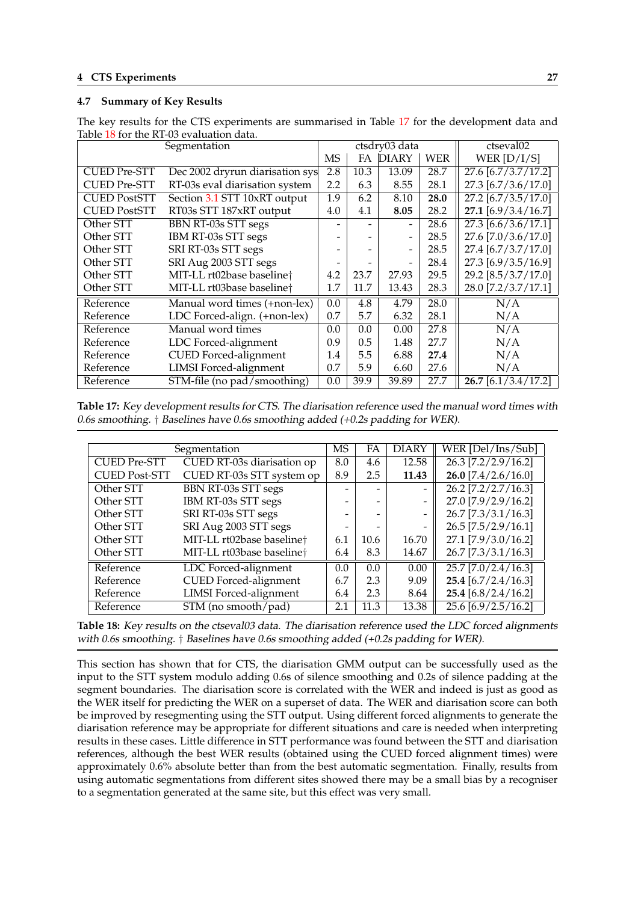## <span id="page-30-0"></span>**4.7 Summary of Key Results**

|                                            | Table To Tol the IVI ob Crandation data.<br>Segmentation |     |      | ctsdry03 data |            | ctseval02                        |
|--------------------------------------------|----------------------------------------------------------|-----|------|---------------|------------|----------------------------------|
|                                            |                                                          | MS  | FA   | <b>DIARY</b>  | <b>WER</b> | WER $[D/I/S]$                    |
| <b>CUED Pre-STT</b>                        | Dec 2002 dryrun diarisation sys                          | 2.8 | 10.3 | 13.09         | 28.7       | $\overline{27.6 [6.7/3.7/17.2]}$ |
| <b>CUED Pre-STT</b>                        | RT-03s eval diarisation system                           | 2.2 | 6.3  | 8.55          | 28.1       | 27.3 [6.7/3.6/17.0]              |
| <b>CUED PostSTT</b>                        | Section 3.1 STT 10xRT output                             | 1.9 | 6.2  | 8.10          | 28.0       | $27.2$ [6.7/3.5/17.0]            |
| <b>CUED PostSTT</b>                        | RT03s STT 187xRT output                                  | 4.0 | 4.1  | 8.05          | 28.2       | 27.1 [6.9/3.4/16.7]              |
| Other STT                                  | <b>BBN RT-03s STT segs</b>                               |     |      |               | 28.6       | $27.3$ [6.6/3.6/17.1]            |
| Other STT                                  | IBM RT-03s STT segs                                      |     |      |               | 28.5       | 27.6 [7.0/3.6/17.0]              |
| Other STT                                  | SRI RT-03s STT segs                                      |     |      |               | 28.5       | 27.4 [6.7/3.7/17.0]              |
| Other STT                                  | SRI Aug 2003 STT segs                                    |     |      |               | 28.4       | 27.3 [6.9/3.5/16.9]              |
| Other STT                                  | MIT-LL rt02base baseline <sup>+</sup>                    | 4.2 | 23.7 | 27.93         | 29.5       | 29.2 [8.5/3.7/17.0]              |
| Other STT                                  | MIT-LL rt03base baseline <sup>+</sup>                    | 1.7 | 11.7 | 13.43         | 28.3       | 28.0 [7.2/3.7/17.1]              |
| Reference                                  | Manual word times (+non-lex)                             | 0.0 | 4.8  | 4.79          | 28.0       | N/A                              |
| Reference                                  | LDC Forced-align. (+non-lex)                             | 0.7 | 5.7  | 6.32          | 28.1       | N/A                              |
| Reference                                  | Manual word times                                        | 0.0 | 0.0  | 0.00          | 27.8       | N/A                              |
| LDC Forced-alignment<br>Reference          |                                                          | 0.9 | 0.5  | 1.48          | 27.7       | N/A                              |
| <b>CUED</b> Forced-alignment<br>Reference  |                                                          | 1.4 | 5.5  | 6.88          | 27.4       | N/A                              |
| <b>LIMSI</b> Forced-alignment<br>Reference |                                                          | 0.7 | 5.9  | 6.60          | 27.6       | N/A                              |
| STM-file (no pad/smoothing)<br>Reference   |                                                          | 0.0 | 39.9 | 39.89         | 27.7       | $26.7$ [6.1/3.4/17.2]            |

The key results for the CTS experiments are summarised in Table 17 for the development data and Table 18 for the RT-03 evaluation data.

**Table 17:** Key development results for CTS. The diarisation reference used the manual word times with 0.6s smoothing. † Baselines have 0.6s smoothing added (+0.2s padding for WER).

|                                            | Segmentation                          | <b>MS</b> | FA   | <b>DIARY</b> | WER [Del/Ins/Sub]     |
|--------------------------------------------|---------------------------------------|-----------|------|--------------|-----------------------|
| <b>CUED Pre-STT</b>                        | CUED RT-03s diarisation op            | 8.0       | 4.6  | 12.58        | $26.3$ [7.2/2.9/16.2] |
| <b>CUED Post-STT</b>                       | CUED RT-03s STT system op             |           | 2.5  | 11.43        | $26.0$ [7.4/2.6/16.0] |
| Other STT                                  | BBN RT-03s STT segs                   |           |      |              | $26.2$ [7.2/2.7/16.3] |
| Other STT                                  | IBM RT-03s STT segs                   |           |      |              | 27.0 [7.9/2.9/16.2]   |
| Other STT                                  | SRI RT-03s STT segs                   |           |      |              | 26.7 [7.3/3.1/16.3]   |
| Other STT                                  | SRI Aug 2003 STT segs                 |           |      |              | 26.5 [7.5/2.9/16.1]   |
| Other STT                                  | MIT-LL rt02base baseline <sup>+</sup> | 6.1       | 10.6 | 16.70        | 27.1 [7.9/3.0/16.2]   |
| Other STT                                  | MIT-LL rt03base baseline <sup>+</sup> | 6.4       | 8.3  | 14.67        | 26.7 [7.3/3.1/16.3]   |
| Reference                                  | LDC Forced-alignment                  | 0.0       | 0.0  | 0.00         | $25.7$ [7.0/2.4/16.3] |
| <b>CUED</b> Forced-alignment<br>Reference  |                                       | 6.7       | 2.3  | 9.09         | $25.4$ [6.7/2.4/16.3] |
| <b>LIMSI</b> Forced-alignment<br>Reference |                                       | 6.4       | 2.3  | 8.64         | 25.4 [6.8/2.4/16.2]   |
| STM (no smooth/pad)<br>Reference           |                                       | 2.1       | 11.3 | 13.38        | 25.6 [6.9/2.5/16.2]   |

**Table 18:** Key results on the ctseval03 data. The diarisation reference used the LDC forced alignments with 0.6s smoothing. † Baselines have 0.6s smoothing added (+0.2s padding for WER).

This section has shown that for CTS, the diarisation GMM output can be successfully used as the input to the STT system modulo adding 0.6s of silence smoothing and 0.2s of silence padding at the segment boundaries. The diarisation score is correlated with the WER and indeed is just as good as the WER itself for predicting the WER on a superset of data. The WER and diarisation score can both be improved by resegmenting using the STT output. Using different forced alignments to generate the diarisation reference may be appropriate for different situations and care is needed when interpreting results in these cases. Little difference in STT performance was found between the STT and diarisation references, although the best WER results (obtained using the CUED forced alignment times) were approximately 0.6% absolute better than from the best automatic segmentation. Finally, results from using automatic segmentations from different sites showed there may be a small bias by a recogniser to a segmentation generated at the same site, but this effect was very small.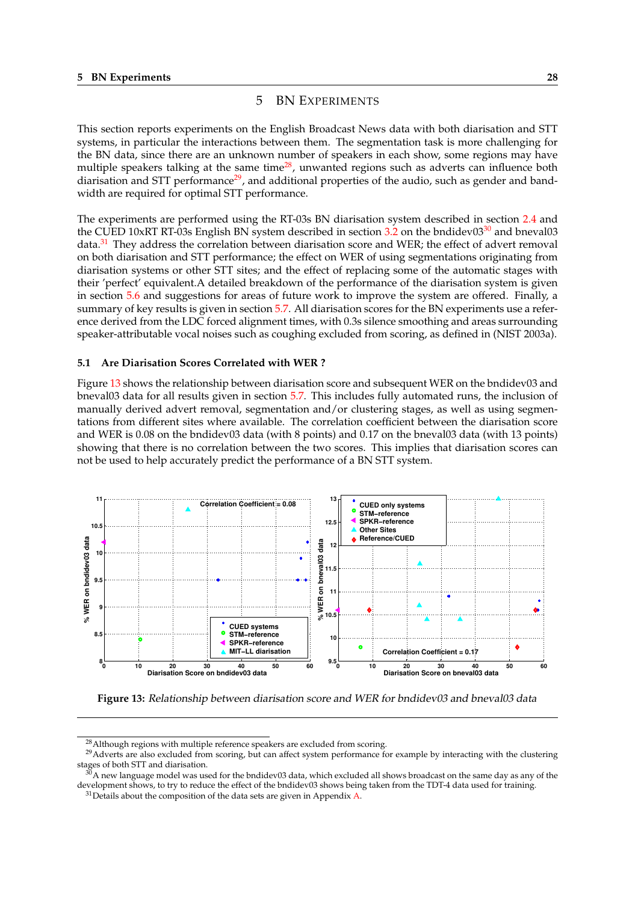## 5 BN EXPERIMENTS

<span id="page-31-0"></span>This section reports experiments on the English Broadcast News data with both diarisation and STT systems, in particular the interactions between them. The segmentation task is more challenging for the BN data, since there are an unknown number of speakers in each show, some regions may have multiple speakers talking at the same time $^{28}$ , unwanted regions such as adverts can influence both diarisation and STT performance<sup>29</sup>, and additional properties of the audio, such as gender and bandwidth are required for optimal STT performance.

The experiments are performed using the RT-03s BN diarisation system described in section 2.4 and the CUED 10xRT RT-03s English BN system described in section  $3.2$  on the bndidev0 $3^{30}$  and bneval03 data.<sup>31</sup> They address the correlation between diarisation score and WER; the effect of advert removal on both diarisation and STT performance; the effect on WER of using segmentations originating from diarisation systems or other STT sites; and the effect of replacing some of the automatic sta[ges w](#page-10-0)ith their 'perfect' equivalent.A detailed breakdown of the performa[nce](#page-20-0) of the diarisation system is given in section 5.6 and suggestions for areas of future work to improve the system are offered. Finally, a summary of key results is given in section 5.7. All diarisation scores for the BN experiments use a reference derived from the LDC forced alignment times, with 0.3s silence smoothing and areas surrounding speaker-attributable vocal noises such as coughing excluded from scoring, as defined in (NIST 2003a).

#### **5.1 Are Diarisation Scores Correlated [with](#page-38-0) WER ?**

Figure 13 shows the relationship between diarisation score and subsequent WER on the bndidev03 and bneval03 data for all results given in section 5.7. This includes fully automated runs, the inclusion of manually derived advert removal, segmentation and/or clustering stages, as well as using segmentations from different sites where available. The correlation coefficient between the diarisation score and WER is 0.08 on the bndidev03 data (with 8 points) and 0.17 on the bneval03 data (with 13 points) showing that there is no correlation betwee[n the](#page-38-0) two scores. This implies that diarisation scores can not be used to help accurately predict the performance of a BN STT system.



**Figure 13:** Relationship between diarisation score and WER for bndidev03 and bneval03 data

<sup>&</sup>lt;sup>28</sup> Although regions with multiple reference speakers are excluded from scoring.

<sup>&</sup>lt;sup>29</sup>Adverts are also excluded from scoring, but can affect system performance for example by interacting with the clustering stages of both STT and diarisation.

 $30$ A new language model was used for the bndidev03 data, which excluded all shows broadcast on the same day as any of the development shows, to try to reduce the effect of the bndidev03 shows being taken from the TDT-4 data used for training.

 $31$  Details about the composition of the data sets are given in Appendix A.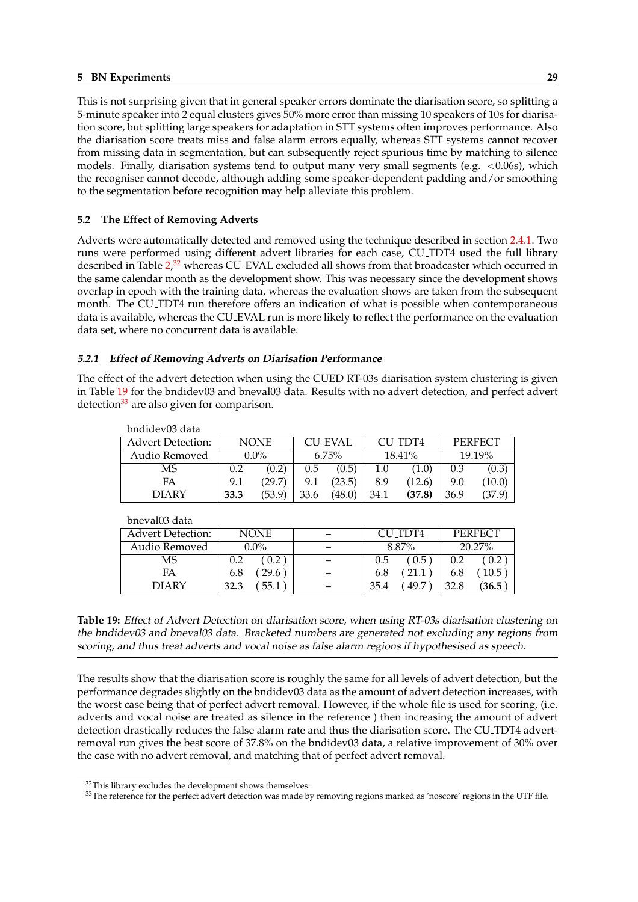<span id="page-32-0"></span>This is not surprising given that in general speaker errors dominate the diarisation score, so splitting a 5-minute speaker into 2 equal clusters gives 50% more error than missing 10 speakers of 10s for diarisation score, but splitting large speakers for adaptation in STT systems often improves performance. Also the diarisation score treats miss and false alarm errors equally, whereas STT systems cannot recover from missing data in segmentation, but can subsequently reject spurious time by matching to silence models. Finally, diarisation systems tend to output many very small segments (e.g.  $\langle 0.06s \rangle$ , which the recogniser cannot decode, although adding some speaker-dependent padding and/or smoothing to the segmentation before recognition may help alleviate this problem.

## **5.2 The Effect of Removing Adverts**

Adverts were automatically detected and removed using the technique described in section 2.4.1. Two runs were performed using different advert libraries for each case, CU TDT4 used the full library described in Table 2,<sup>32</sup> whereas CU<sub>-</sub>EVAL excluded all shows from that broadcaster which occurred in the same calendar month as the development show. This was necessary since the development shows overlap in epoch with the training data, whereas the evaluation shows are taken from the s[ubseq](#page-11-0)uent month. The CU<sub>-TDT4</sub> run therefore offers an indication of what is possible when contemporaneous data is available, [wh](#page-11-0)ereas the CU EVAL run is more likely to reflect the performance on the evaluation data set, where no concurrent data is available.

## **5.2.1 Effect of Removing Adverts on Diarisation Performance**

The effect of the advert detection when using the CUED RT-03s diarisation system clustering is given in Table 19 for the bndidev03 and bneval03 data. Results with no advert detection, and perfect advert detection $33$  are also given for comparison.

| phaidevus data           |             |        |          |                |        |         |                |        |
|--------------------------|-------------|--------|----------|----------------|--------|---------|----------------|--------|
| <b>Advert Detection:</b> | <b>NONE</b> |        |          | <b>CU_EVAL</b> |        | CU TDT4 | <b>PERFECT</b> |        |
| Audio Removed            | $0.0\%$     |        | $6.75\%$ |                | 18.41% |         | 19.19%         |        |
| MS                       | 0.2         | (0.2)  | 0.5      | (0.5)          | 1.0    | (1.0)   | 0.3            | (0.3)  |
| FA                       | 9.1         | (29.7) | 9.1      | (23.5)         | 8.9    | (12.6)  | 9.0            | (10.0) |
| <b>DIARY</b>             | 33.3        | (53.9) | 33.6     | (48.0)         | 34.1   | (37.8)  | 36.9           | (37.9) |

 $\frac{1}{2}$ bndidev $\frac{0}{2}$ dat

bneval03 data

| ilic value aata          |              |              |                       |  |
|--------------------------|--------------|--------------|-----------------------|--|
| <b>Advert Detection:</b> | <b>NONE</b>  | CU TDT4      | <b>PERFECT</b>        |  |
| Audio Removed            | $0.0\%$      | 8.87%        | 20.27%                |  |
| MS                       | 0.2<br>0.2   | 0.5<br>0.5   | 0.2<br>0.2            |  |
| FA                       | 29.6<br>6.8  | 6.8          | $10.5^{\circ}$<br>6.8 |  |
| DIARY                    | 55.1<br>32.3 | 35.4<br>49.7 | 32.8<br>(36.5)        |  |

**Table 19:** Effect of Advert Detection on diarisation score, when using RT-03s diarisation clustering on the bndidev03 and bneval03 data. Bracketed numbers are generated not excluding any regions from scoring, and thus treat adverts and vocal noise as false alarm regions if hypothesised as speech.

The results show that the diarisation score is roughly the same for all levels of advert detection, but the performance degrades slightly on the bndidev03 data as the amount of advert detection increases, with the worst case being that of perfect advert removal. However, if the whole file is used for scoring, (i.e. adverts and vocal noise are treated as silence in the reference ) then increasing the amount of advert detection drastically reduces the false alarm rate and thus the diarisation score. The CU TDT4 advertremoval run gives the best score of 37.8% on the bndidev03 data, a relative improvement of 30% over the case with no advert removal, and matching that of perfect advert removal.

<sup>&</sup>lt;sup>32</sup>This library excludes the development shows themselves.

<sup>&</sup>lt;sup>33</sup>The reference for the perfect advert detection was made by removing regions marked as 'noscore' regions in the UTF file.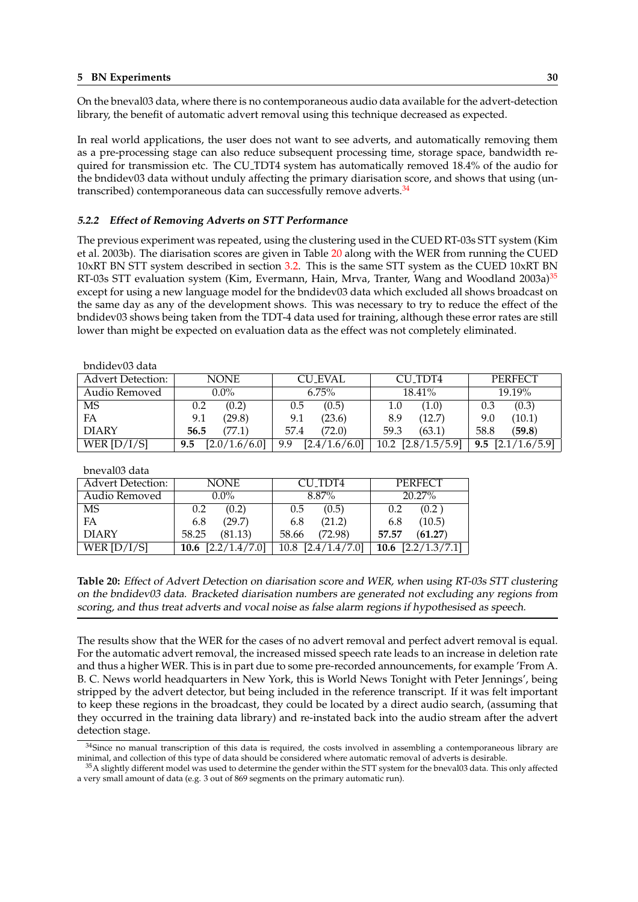On the bneval03 data, where there is no contemporaneous audio data available for the advert-detection library, the benefit of automatic advert removal using this technique decreased as expected.

In real world applications, the user does not want to see adverts, and automatically removing them as a pre-processing stage can also reduce subsequent processing time, storage space, bandwidth required for transmission etc. The CU TDT4 system has automatically removed 18.4% of the audio for the bndidev03 data without unduly affecting the primary diarisation score, and shows that using (untranscribed) contemporaneous data can successfully remove adverts.<sup>34</sup>

### **5.2.2 Effect of Removing Adverts on STT Performance**

The previous experiment was repeated, using the clustering used in the CUED RT-03s STT system (Kim et al. 2003b). The diarisation scores are given in Table 20 along with the WER from running the CUED 10xRT BN STT system described in section 3.2. This is the same STT system as the CUED 10xRT BN RT-03s STT evaluation system (Kim, Evermann, Hain, Mrva, Tranter, Wang and Woodland 2003a)<sup>35</sup> except for using a new language model for the bndidev03 data which excluded all shows broadcast on the same day as any of the development shows. This was necessary to try to reduce the effect of the bndidev03 shows being taken from the TDT[-4 d](#page-20-0)ata used for training, although these error rates are still lower than might be expected on evaluation data as the effect was not completely eliminated.

| bndidev03 data           |                      |                      |                      |                      |  |  |
|--------------------------|----------------------|----------------------|----------------------|----------------------|--|--|
| <b>Advert Detection:</b> | <b>NONE</b>          | <b>CU EVAL</b>       | CU TDT4              | <b>PERFECT</b>       |  |  |
| Audio Removed            | $0.0\%$              | $6.75\%$             | $18.41\%$            | 19.19%               |  |  |
| <b>MS</b>                | (0.2)<br>0.2         | (0.5)<br>0.5         | (1.0)<br>1.0         | (0.3)<br>0.3         |  |  |
| FA                       | (29.8)<br>9.1        | (23.6)<br>9.1        | (12.7)<br>8.9        | (10.1)<br>9.0        |  |  |
| <b>DIARY</b>             | (77.1)<br>56.5       | (72.0)<br>57.4       | (63.1)<br>59.3       | 58.8<br>(59.8)       |  |  |
| WER $[D/I/S]$            | [2.0/1.6/6.0]<br>9.5 | [2.4/1.6/6.0]<br>9.9 | $10.2$ [2.8/1.5/5.9] | [2.1/1.6/5.9]<br>9.5 |  |  |

bneval03 data

| <b>Advert Detection:</b> | <b>NONE</b>          | CU TDT4                           | PERFECT                         |  |  |
|--------------------------|----------------------|-----------------------------------|---------------------------------|--|--|
| Audio Removed            | $0.0\%$              | 8.87%                             | 20.27%                          |  |  |
| MS                       | (0.2)                | (0.5)                             | (0.2)                           |  |  |
|                          | 0.2                  | 0.5                               | $0.2^{\circ}$                   |  |  |
| FA                       | (29.7)               | (21.2)                            | (10.5)                          |  |  |
|                          | 6.8                  | 6.8                               | 6.8                             |  |  |
| <b>DIARY</b>             | (81.13)              | (72.98)                           | (61.27)                         |  |  |
|                          | 58.25                | 58.66                             | 57.57                           |  |  |
| WER $[D/I/S]$            | 10.6 $[2.2/1.4/7.0]$ | $10.8$ $[2.4\overline{/1.4/7.0}]$ | 10.6 $\left[2.2/1.3/7.1\right]$ |  |  |

**Table 20:** Effect of Advert Detection on diarisation score and WER, when using RT-03s STT clustering on the bndidev03 data. Bracketed diarisation numbers are generated not excluding any regions from scoring, and thus treat adverts and vocal noise as false alarm regions if hypothesised as speech.

The results show that the WER for the cases of no advert removal and perfect advert removal is equal. For the automatic advert removal, the increased missed speech rate leads to an increase in deletion rate and thus a higher WER. This is in part due to some pre-recorded announcements, for example 'From A. B. C. News world headquarters in New York, this is World News Tonight with Peter Jennings', being stripped by the advert detector, but being included in the reference transcript. If it was felt important to keep these regions in the broadcast, they could be located by a direct audio search, (assuming that they occurred in the training data library) and re-instated back into the audio stream after the advert detection stage.

<sup>&</sup>lt;sup>34</sup>Since no manual transcription of this data is required, the costs involved in assembling a contemporaneous library are minimal, and collection of this type of data should be considered where automatic removal of adverts is desirable.

 $35$ A slightly different model was used to determine the gender within the STT system for the bneval03 data. This only affected a very small amount of data (e.g. 3 out of 869 segments on the primary automatic run).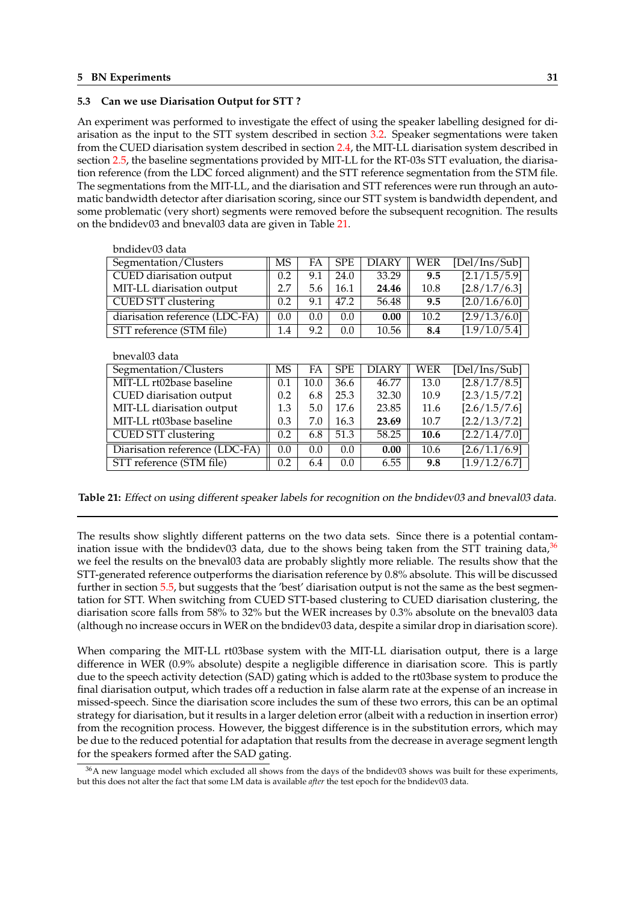## <span id="page-34-0"></span>**5.3 Can we use Diarisation Output for STT ?**

An experiment was performed to investigate the effect of using the speaker labelling designed for diarisation as the input to the STT system described in section 3.2. Speaker segmentations were taken from the CUED diarisation system described in section 2.4, the MIT-LL diarisation system described in section 2.5, the baseline segmentations provided by MIT-LL for the RT-03s STT evaluation, the diarisation reference (from the LDC forced alignment) and the STT reference segmentation from the STM file. The segmentations from the MIT-LL, and the diarisation and S[TT r](#page-20-0)eferences were run through an automatic bandwidth detector after diarisation scoring, sin[ce ou](#page-10-0)r STT system is bandwidth dependent, and some p[robl](#page-16-0)ematic (very short) segments were removed before the subsequent recognition. The results on the bndidev03 and bneval03 data are given in Table 21.

| bndidev03 data                 |               |     |               |       |      |               |
|--------------------------------|---------------|-----|---------------|-------|------|---------------|
| Segmentation/Clusters          | <b>MS</b>     | FA  | <b>SPE</b>    | DIARY | WER  | [Del/Ins/Sub] |
| CUED diarisation output        | 0.2           | 9.1 | 24.0          | 33.29 | 9.5  | [2.1/1.5/5.9] |
| MIT-LL diarisation output      | 2.7           | 5.6 | 16.1          | 24.46 | 10.8 | [2.8/1.7/6.3] |
| <b>CUED STT clustering</b>     | 0.2           | 9.1 | 47.2          | 56.48 | 9.5  | [2.0/1.6/6.0] |
| diarisation reference (LDC-FA) | $0.0^{\circ}$ | 0.0 | $0.0^{\circ}$ | 0.00  | 10.2 | [2.9/1.3/6.0] |
| STT reference (STM file)       | 1.4           | 9.2 | 0.0           | 10.56 | 8.4  | [1.9/1.0/5.4] |

bneval03 data

| Segmentation/Clusters          | MS  | FA   | <b>SPE</b> | <b>DIARY</b> | WER  | [Del/Ins/Sub] |
|--------------------------------|-----|------|------------|--------------|------|---------------|
| MIT-LL rt02base baseline       | 0.1 | 10.0 | 36.6       | 46.77        | 13.0 | [2.8/1.7/8.5] |
| CUED diarisation output        | 0.2 | 6.8  | 25.3       | 32.30        | 10.9 | [2.3/1.5/7.2] |
| MIT-LL diarisation output      | 1.3 | 5.0  | 17.6       | 23.85        | 11.6 | [2.6/1.5/7.6] |
| MIT-LL rt03base baseline       | 0.3 | 7.0  | 16.3       | 23.69        | 10.7 | [2.2/1.3/7.2] |
| <b>CUED STT clustering</b>     | 0.2 | 6.8  | 51.3       | 58.25        | 10.6 | [2.2/1.4/7.0] |
| Diarisation reference (LDC-FA) | 0.0 | 0.0  | 0.0        | 0.00         | 10.6 | [2.6/1.1/6.9] |
| STT reference (STM file)       | 0.2 | 6.4  | 0.0        | 6.55         | 9.8  | [1.9/1.2/6.7] |

**Table 21:** Effect on using different speaker labels for recognition on the bndidev03 and bneval03 data.

The results show slightly different patterns on the two data sets. Since there is a potential contamination issue with the bndidev03 data, due to the shows being taken from the STT training data,  $36$ we feel the results on the bneval03 data are probably slightly more reliable. The results show that the STT-generated reference outperforms the diarisation reference by 0.8% absolute. This will be discussed further in section 5.5, but suggests that the 'best' diarisation output is not the same as the best segmentation for STT. When switching from CUED STT-based clustering to CUED diarisation clustering, the diarisation score falls from 58% to 32% but the WER increases by 0.3% absolute on the bneval03 data (although no increase occurs in WER on the bndidev03 data, despite a similar drop in diarisation score).

When comparing the MIT-LL rt03base system with the MIT-LL diarisation output, there is a large difference in WER (0.9% absolute) despite a negligible difference in diarisation score. This is partly due to the speech activity detection (SAD) gating which is added to the rt03base system to produce the final diarisation output, which trades off a reduction in false alarm rate at the expense of an increase in missed-speech. Since the diarisation score includes the sum of these two errors, this can be an optimal strategy for diarisation, but it results in a larger deletion error (albeit with a reduction in insertion error) from the recognition process. However, the biggest difference is in the substitution errors, which may be due to the reduced potential for adaptation that results from the decrease in average segment length for the speakers formed after the SAD gating.

 $36$ A new language model which excluded all shows from the days of the bndidev03 shows was built for these experiments, but this does not alter the fact that some LM data is available *after* the test epoch for the bndidev03 data.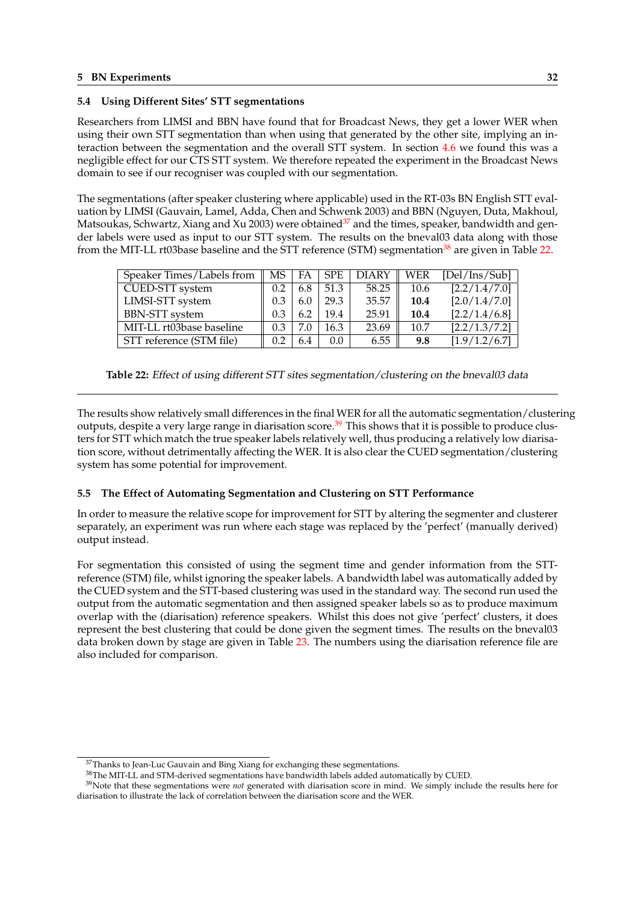## <span id="page-35-0"></span>**5.4 Using Different Sites' STT segmentations**

Researchers from LIMSI and BBN have found that for Broadcast News, they get a lower WER when using their own STT segmentation than when using that generated by the other site, implying an interaction between the segmentation and the overall STT system. In section 4.6 we found this was a negligible effect for our CTS STT system. We therefore repeated the experiment in the Broadcast News domain to see if our recogniser was coupled with our segmentation.

The segmentations (after speaker clustering where applicable) used in the RT-[03s](#page-27-0) BN English STT evaluation by LIMSI (Gauvain, Lamel, Adda, Chen and Schwenk 2003) and BBN (Nguyen, Duta, Makhoul, Matsoukas, Schwartz, Xiang and Xu 2003) were obtained<sup>37</sup> and the times, speaker, bandwidth and gender labels were used as input to our STT system. The results on the bneval03 data along with those from the MIT-LL rt03base baseline and the STT reference (STM) segmentation<sup>38</sup> are given in Table 22.

| Speaker Times/Labels from | MS. | FA  | <b>SPE</b> | <b>DIARY</b> | WER  | [Del/Ins/Sub] |
|---------------------------|-----|-----|------------|--------------|------|---------------|
| CUED-STT system           | 0.2 | 6.8 | 51.3       | 58.25        | 10.6 | [2.2/1.4/7.0] |
| LIMSI-STT system          | 0.3 | 6.0 | 29.3       | 35.57        | 10.4 | [2.0/1.4/7.0] |
| <b>BBN-STT</b> system     | 0.3 |     | 19.4       | 25.91        | 10.4 | [2.2/1.4/6.8] |
| MIT-LL rt03base baseline  | 0.3 | 7.0 | 16.3       | 23.69        | 10.7 | [2.2/1.3/7.2] |
| STT reference (STM file)  | 0.2 | 6.4 | 0.0        | 6.55         | 9.8  | [1.9/1.2/6.7] |

**Table 22:** Effect of using different STT sites segmentation/clustering on the bneval03 data

The results show relatively small differences in the final WER for all the automatic segmentation/clustering outputs, despite a very large range in diarisation score.<sup>39</sup> This shows that it is possible to produce clusters for STT which match the true speaker labels relatively well, thus producing a relatively low diarisation score, without detrimentally affecting the WER. It is also clear the CUED segmentation/clustering system has some potential for improvement.

#### **5.5 The Effect of Automating Segmentation and Clustering on STT Performance**

In order to measure the relative scope for improvement for STT by altering the segmenter and clusterer separately, an experiment was run where each stage was replaced by the 'perfect' (manually derived) output instead.

For segmentation this consisted of using the segment time and gender information from the STTreference (STM) file, whilst ignoring the speaker labels. A bandwidth label was automatically added by the CUED system and the STT-based clustering was used in the standard way. The second run used the output from the automatic segmentation and then assigned speaker labels so as to produce maximum overlap with the (diarisation) reference speakers. Whilst this does not give 'perfect' clusters, it does represent the best clustering that could be done given the segment times. The results on the bneval03 data broken down by stage are given in Table 23. The numbers using the diarisation reference file are also included for comparison.

<sup>&</sup>lt;sup>37</sup>Thanks to Jean-Luc Gauvain and Bing Xiang for exchanging these segmentations.

<sup>38</sup>The MIT-LL and STM-derived segmentations have bandwidth labels added automatically by CUED.

<sup>39</sup>Note that these segmentations were *not* generated with diarisation score in mind. We simply include the results here for diarisation to illustrate the lack of correlation between the diarisation score and the WER.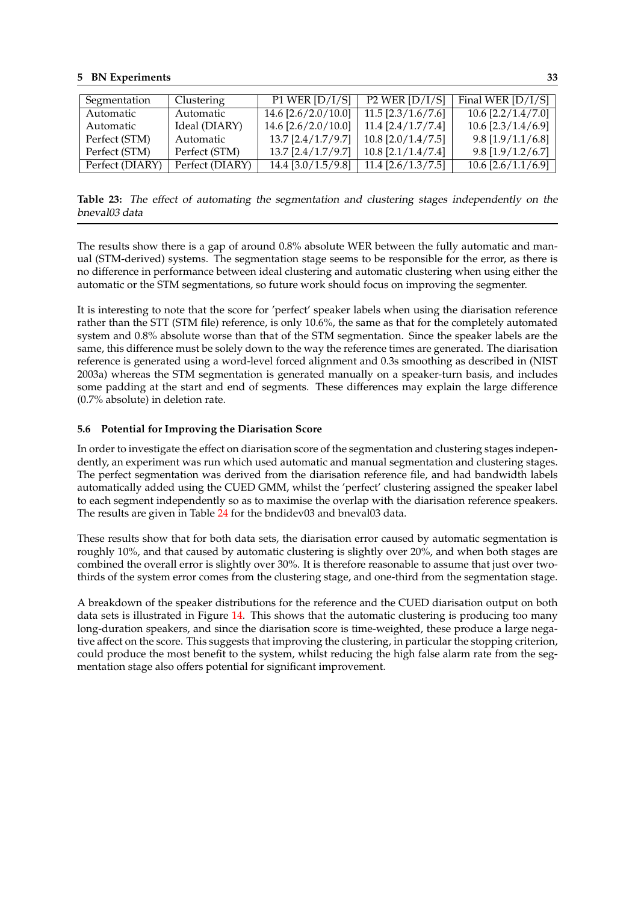## <span id="page-36-0"></span>**5 BN Experiments 33**

| Segmentation    | Clustering      | P1 WER $[D/I/S]$      | P <sub>2</sub> WER $[D/I/S]$ | Final WER $[D/I/S]$  |
|-----------------|-----------------|-----------------------|------------------------------|----------------------|
| Automatic       | Automatic       | $14.6$ [2.6/2.0/10.0] | $11.5$ [2.3/1.6/7.6]         | $10.6$ [2.2/1.4/7.0] |
| Automatic       | Ideal (DIARY)   | 14.6 $[2.6/2.0/10.0]$ | $11.4$ [2.4/1.7/7.4]         | $10.6$ [2.3/1.4/6.9] |
| Perfect (STM)   | Automatic       | $13.7$ [2.4/1.7/9.7]  | $10.8$ [2.0/1.4/7.5]         | $9.8$ [1.9/1.1/6.8]  |
| Perfect (STM)   | Perfect (STM)   | $13.7$ [2.4/1.7/9.7]  | $10.8$ [2.1/1.4/7.4]         | $9.8$ [1.9/1.2/6.7]  |
| Perfect (DIARY) | Perfect (DIARY) | $14.4$ [3.0/1.5/9.8]  | $11.4$ [2.6/1.3/7.5]         | $10.6$ [2.6/1.1/6.9] |

**Table 23:** The effect of automating the segmentation and clustering stages independently on the bneval03 data

The results show there is a gap of around 0.8% absolute WER between the fully automatic and manual (STM-derived) systems. The segmentation stage seems to be responsible for the error, as there is no difference in performance between ideal clustering and automatic clustering when using either the automatic or the STM segmentations, so future work should focus on improving the segmenter.

It is interesting to note that the score for 'perfect' speaker labels when using the diarisation reference rather than the STT (STM file) reference, is only 10.6%, the same as that for the completely automated system and 0.8% absolute worse than that of the STM segmentation. Since the speaker labels are the same, this difference must be solely down to the way the reference times are generated. The diarisation reference is generated using a word-level forced alignment and 0.3s smoothing as described in (NIST 2003a) whereas the STM segmentation is generated manually on a speaker-turn basis, and includes some padding at the start and end of segments. These differences may explain the large difference (0.7% absolute) in deletion rate.

## **5.6 Potential for Improving the Diarisation Score**

In order to investigate the effect on diarisation score of the segmentation and clustering stages independently, an experiment was run which used automatic and manual segmentation and clustering stages. The perfect segmentation was derived from the diarisation reference file, and had bandwidth labels automatically added using the CUED GMM, whilst the 'perfect' clustering assigned the speaker label to each segment independently so as to maximise the overlap with the diarisation reference speakers. The results are given in Table 24 for the bndidev03 and bneval03 data.

These results show that for both data sets, the diarisation error caused by automatic segmentation is roughly 10%, and that caused by automatic clustering is slightly over 20%, and when both stages are combined the overall error is [slig](#page-37-0)htly over 30%. It is therefore reasonable to assume that just over twothirds of the system error comes from the clustering stage, and one-third from the segmentation stage.

A breakdown of the speaker distributions for the reference and the CUED diarisation output on both data sets is illustrated in Figure 14. This shows that the automatic clustering is producing too many long-duration speakers, and since the diarisation score is time-weighted, these produce a large negative affect on the score. This suggests that improving the clustering, in particular the stopping criterion, could produce the most benefit to the system, whilst reducing the high false alarm rate from the segmentation stage also offers pote[ntia](#page-38-0)l for significant improvement.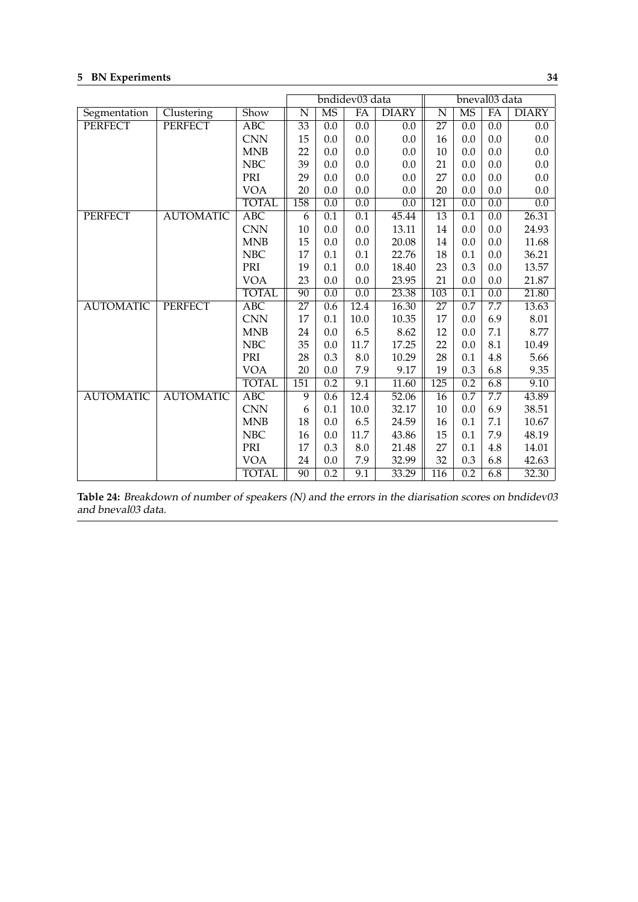# <span id="page-37-0"></span>**5 BN Experiments 34**

|                  |                  |                  |                 | bndidev03 data   |                  | bneval03 data    |                  |                  |                  |              |
|------------------|------------------|------------------|-----------------|------------------|------------------|------------------|------------------|------------------|------------------|--------------|
| Segmentation     | Clustering       | Show             | N               | <b>MS</b>        | FA               | <b>DIARY</b>     | N                | <b>MS</b>        | FA               | <b>DIARY</b> |
| <b>PERFECT</b>   | <b>PERFECT</b>   | <b>ABC</b>       | $\overline{33}$ | 0.0              | $\overline{0.0}$ | 0.0              | $\overline{27}$  | $\overline{0.0}$ | 0.0              | 0.0          |
|                  |                  | <b>CNN</b>       | 15              | 0.0              | 0.0              | 0.0              | 16               | 0.0              | 0.0              | 0.0          |
|                  |                  | <b>MNB</b>       | 22              | 0.0              | $0.0\,$          | 0.0              | 10               | 0.0              | 0.0              | 0.0          |
|                  |                  | NBC              | 39              | 0.0              | 0.0              | 0.0              | 21               | 0.0              | 0.0              | 0.0          |
|                  |                  | PRI              | 29              | 0.0              | 0.0              | 0.0              | 27               | 0.0              | 0.0              | 0.0          |
|                  |                  | <b>VOA</b>       | 20              | 0.0              | 0.0              | 0.0              | 20               | 0.0              | 0.0              | 0.0          |
|                  |                  | <b>TOTAL</b>     | 158             | $\overline{0.0}$ | $\overline{0.0}$ | $\overline{0.0}$ | 121              | $\overline{0.0}$ | 0.0              | 0.0          |
| <b>PERFECT</b>   | <b>AUTOMATIC</b> | <b>ABC</b>       | 6               | 0.1              | 0.1              | 45.44            | 13               | 0.1              | 0.0              | 26.31        |
|                  |                  | <b>CNN</b>       | 10              | 0.0              | 0.0              | 13.11            | 14               | 0.0              | 0.0              | 24.93        |
|                  |                  | <b>MNB</b>       | 15              | 0.0              | 0.0              | 20.08            | 14               | 0.0              | 0.0              | 11.68        |
|                  |                  | NBC              | 17              | 0.1              | 0.1              | 22.76            | 18               | 0.1              | 0.0              | 36.21        |
|                  |                  | PRI              | 19              | 0.1              | 0.0              | 18.40            | 23               | 0.3              | 0.0              | 13.57        |
|                  |                  | <b>VOA</b>       | 23              | 0.0              | 0.0              | 23.95            | 21               | 0.0              | 0.0              | 21.87        |
|                  |                  | <b>TOTAL</b>     | $\overline{90}$ | $\overline{0.0}$ | $\overline{0.0}$ | 23.38            | $\overline{103}$ | $\overline{0.1}$ | $\overline{0.0}$ | 21.80        |
| <b>AUTOMATIC</b> | <b>PERFECT</b>   | $\overline{ABC}$ | $\overline{27}$ | 0.6              | 12.4             | 16.30            | 27               | 0.7              | 7.7              | 13.63        |
|                  |                  | <b>CNN</b>       | 17              | 0.1              | $10.0\,$         | 10.35            | 17               | 0.0              | 6.9              | 8.01         |
|                  |                  | <b>MNB</b>       | 24              | 0.0              | 6.5              | 8.62             | 12               | 0.0              | 7.1              | 8.77         |
|                  |                  | NBC              | 35              | 0.0              | $11.7\,$         | 17.25            | 22               | 0.0              | 8.1              | 10.49        |
|                  |                  | PRI              | 28              | 0.3              | 8.0              | 10.29            | 28               | 0.1              | 4.8              | 5.66         |
|                  |                  | <b>VOA</b>       | 20              | 0.0              | 7.9              | 9.17             | 19               | 0.3              | 6.8              | 9.35         |
|                  |                  | <b>TOTAL</b>     | 151             | 0.2              | 9.1              | 11.60            | 125              | 0.2              | 6.8              | 9.10         |
| <b>AUTOMATIC</b> | <b>AUTOMATIC</b> | $\overline{ABC}$ | 9               | $\overline{0.6}$ | 12.4             | 52.06            | $\overline{16}$  | $\overline{0.7}$ | 7.7              | 43.89        |
|                  |                  | <b>CNN</b>       | 6               | 0.1              | 10.0             | 32.17            | 10               | 0.0              | 6.9              | 38.51        |
|                  |                  | <b>MNB</b>       | 18              | 0.0              | 6.5              | 24.59            | 16               | 0.1              | 7.1              | 10.67        |
|                  |                  | <b>NBC</b>       | 16              | 0.0              | 11.7             | 43.86            | 15               | 0.1              | 7.9              | 48.19        |
|                  |                  | PRI              | 17              | 0.3              | $8.0\,$          | 21.48            | 27               | 0.1              | 4.8              | 14.01        |
|                  |                  | <b>VOA</b>       | 24              | 0.0              | 7.9              | 32.99            | 32               | 0.3              | 6.8              | 42.63        |
|                  |                  | <b>TOTAL</b>     | $\overline{90}$ | 0.2              | 9.1              | 33.29            | $\overline{116}$ | 0.2              | 6.8              | 32.30        |

**Table 24:** Breakdown of number of speakers (N) and the errors in the diarisation scores on bndidev03 and bneval03 data.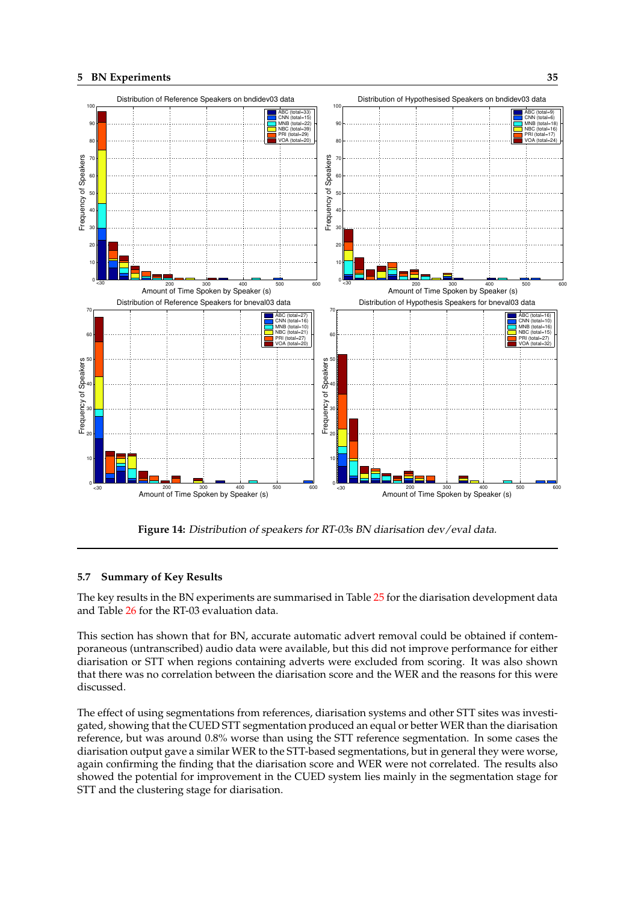<span id="page-38-0"></span>

**Figure 14:** Distribution of speakers for RT-03s BN diarisation dev/eval data.

## **5.7 Summary of Key Results**

The key results in the BN experiments are summarised in Table 25 for the diarisation development data and Table 26 for the RT-03 evaluation data.

This section has shown that for BN, accurate automatic advert removal could be obtained if contemporaneous (untranscribed) audio data were available, but this [did](#page-39-0) not improve performance for either diarisatio[n o](#page-39-0)r STT when regions containing adverts were excluded from scoring. It was also shown that there was no correlation between the diarisation score and the WER and the reasons for this were discussed.

The effect of using segmentations from references, diarisation systems and other STT sites was investigated, showing that the CUED STT segmentation produced an equal or better WER than the diarisation reference, but was around 0.8% worse than using the STT reference segmentation. In some cases the diarisation output gave a similar WER to the STT-based segmentations, but in general they were worse, again confirming the finding that the diarisation score and WER were not correlated. The results also showed the potential for improvement in the CUED system lies mainly in the segmentation stage for STT and the clustering stage for diarisation.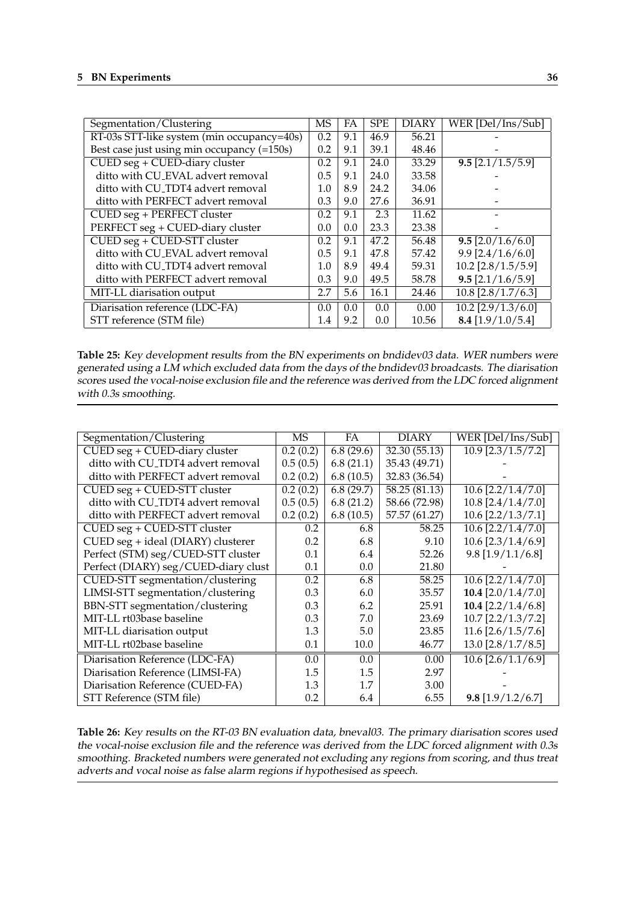<span id="page-39-0"></span>

| Segmentation/Clustering                    | MS  | FA  | <b>SPE</b> | <b>DIARY</b> | WER [Del/Ins/Sub]              |
|--------------------------------------------|-----|-----|------------|--------------|--------------------------------|
| RT-03s STT-like system (min occupancy=40s) | 0.2 | 9.1 | 46.9       | 56.21        |                                |
| Best case just using min occupancy (=150s) | 0.2 | 9.1 | 39.1       | 48.46        |                                |
|                                            |     |     |            |              |                                |
| CUED seg + CUED-diary cluster              | 0.2 | 9.1 | 24.0       | 33.29        | $9.5$ [2.1/1.5/5.9]            |
| ditto with CU_EVAL advert removal          | 0.5 | 9.1 | 24.0       | 33.58        |                                |
| ditto with CU_TDT4 advert removal          | 1.0 | 8.9 | 24.2       | 34.06        |                                |
| ditto with PERFECT advert removal          | 0.3 | 9.0 | 27.6       | 36.91        |                                |
| CUED seg + PERFECT cluster                 | 0.2 | 9.1 | 2.3        | 11.62        |                                |
| PERFECT seg + CUED-diary cluster           | 0.0 | 0.0 | 23.3       | 23.38        |                                |
| CUED seg + CUED-STT cluster                | 0.2 | 9.1 | 47.2       | 56.48        | $\overline{9.5}$ [2.0/1.6/6.0] |
| ditto with CU_EVAL advert removal          | 0.5 | 9.1 | 47.8       | 57.42        | $9.9$ [2.4/1.6/6.0]            |
| ditto with CU_TDT4 advert removal          | 1.0 | 8.9 | 49.4       | 59.31        | $10.2$ [2.8/1.5/5.9]           |
| ditto with PERFECT advert removal          | 0.3 | 9.0 | 49.5       | 58.78        | $9.5$ [2.1/1.6/5.9]            |
| MIT-LL diarisation output                  | 2.7 | 5.6 | 16.1       | 24.46        | $10.8$ [2.8/1.7/6.3]           |
| Diarisation reference (LDC-FA)             | 0.0 | 0.0 | 0.0        | 0.00         | $10.2$ [2.9/1.3/6.0]           |
| STT reference (STM file)                   | 1.4 | 9.2 | 0.0        | 10.56        | 8.4 $[1.9/1.0/5.4]$            |

**Table 25:** Key development results from the BN experiments on bndidev03 data. WER numbers were generated using <sup>a</sup> LM which excluded data from the days of the bndidev03 broadcasts. The diarisation scores used the vocal-noise exclusion file and the reference was derived from the LDC forced alignment with 0.3s smoothing.

| Segmentation/Clustering                                  | МS       | <b>FA</b> | DIARY         | WER [Del/Ins/Sub]        |
|----------------------------------------------------------|----------|-----------|---------------|--------------------------|
| $\overline{\text{CUED seg}} + \text{CUED-diary cluster}$ | 0.2(0.2) | 6.8(29.6) | 32.30 (55.13) | $10.9$ [2.3/1.5/7.2]     |
| ditto with CU_TDT4 advert removal                        | 0.5(0.5) | 6.8(21.1) | 35.43 (49.71) |                          |
| ditto with PERFECT advert removal                        | 0.2(0.2) | 6.8(10.5) | 32.83 (36.54) |                          |
| CUED seg + CUED-STT cluster                              | 0.2(0.2) | 6.8(29.7) | 58.25 (81.13) | $10.6$ $[2.2/1.4/7.0]$   |
| ditto with CU_TDT4 advert removal                        | 0.5(0.5) | 6.8(21.2) | 58.66 (72.98) | $10.8$ [2.4/1.4/7.0]     |
| ditto with PERFECT advert removal                        | 0.2(0.2) | 6.8(10.5) | 57.57 (61.27) | $10.6$ $[2.2/1.3/7.1]$   |
| CUED seg + CUED-STT cluster                              | 0.2      | 6.8       | 58.25         | $10.6$ [2.2/1.4/7.0]     |
| CUED seg + ideal (DIARY) clusterer                       | 0.2      | 6.8       | 9.10          | $10.6$ [2.3/1.4/6.9]     |
| Perfect (STM) seg/CUED-STT cluster                       | 0.1      | 6.4       | 52.26         | $9.8$ [1.9/1.1/6.8]      |
| Perfect (DIARY) seg/CUED-diary clust                     | 0.1      | $0.0\,$   | 21.80         |                          |
| CUED-STT segmentation/clustering                         | 0.2      | 6.8       | 58.25         | $10.6$ [2.2/1.4/7.0]     |
| LIMSI-STT segmentation/clustering                        | 0.3      | 6.0       | 35.57         | 10.4 $[2.0/1.4/7.0]$     |
| BBN-STT segmentation/clustering                          | 0.3      | 6.2       | 25.91         | 10.4 $[2.2/1.4/6.8]$     |
| MIT-LL rt03base baseline                                 | 0.3      | 7.0       | 23.69         | $10.7$ [2.2/1.3/7.2]     |
| MIT-LL diarisation output                                | 1.3      | 5.0       | 23.85         | $11.6$ [2.6/1.5/7.6]     |
| MIT-LL rt02base baseline                                 | 0.1      | 10.0      | 46.77         | $13.0$ [ $2.8/1.7/8.5$ ] |
| Diarisation Reference (LDC-FA)                           | 0.0      | 0.0       | 0.00          | $10.6$ [2.6/1.1/6.9]     |
| Diarisation Reference (LIMSI-FA)                         | 1.5      | 1.5       | 2.97          |                          |
| Diarisation Reference (CUED-FA)                          | 1.3      | 1.7       | 3.00          |                          |
| STT Reference (STM file)                                 | 0.2      | 6.4       | 6.55          | $9.8$ [1.9/1.2/6.7]      |

**Table 26:** Key results on the RT-03 BN evaluation data, bneval03. The primary diarisation scores used the vocal-noise exclusion file and the reference was derived from the LDC forced alignment with 0.3s smoothing. Bracketed numbers were generated not excluding any regions from scoring, and thus treat adverts and vocal noise as false alarm regions if hypothesised as speech.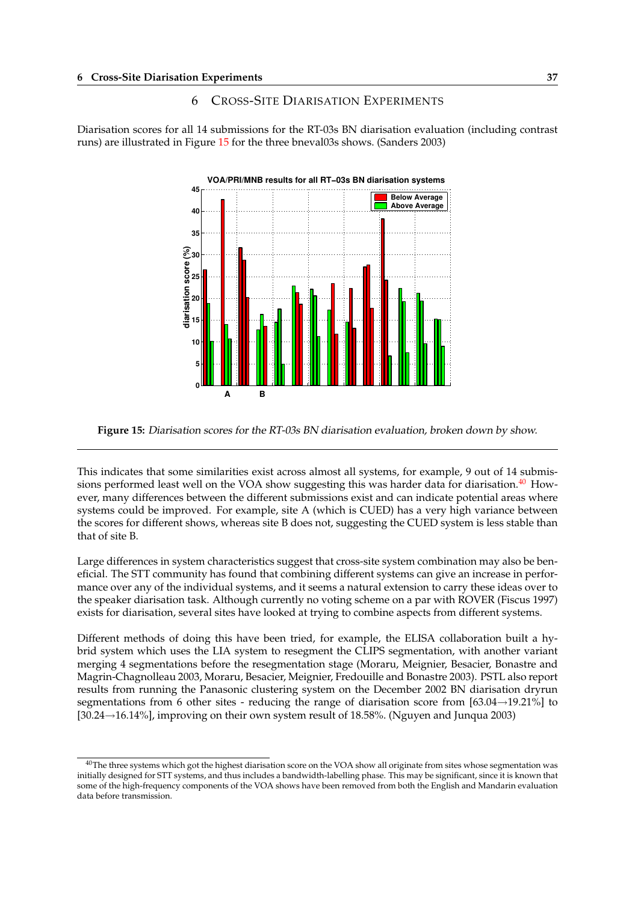## 6 CROSS-SITE DIARISATION EXPERIMENTS

<span id="page-40-0"></span>Diarisation scores for all 14 submissions for the RT-03s BN diarisation evaluation (including contrast runs) are illustrated in Figure 15 for the three bneval03s shows. (Sanders 2003)



**Figure 15:** Diarisation scores for the RT-03s BN diarisation evaluation, broken down by show.

This indicates that some similarities exist across almost all systems, for example, 9 out of 14 submissions performed least well on the VOA show suggesting this was harder data for diarisation. $40$  However, many differences between the different submissions exist and can indicate potential areas where systems could be improved. For example, site A (which is CUED) has a very high variance between the scores for different shows, whereas site B does not, suggesting the CUED system is less stable than that of site B.

Large differences in system characteristics suggest that cross-site system combination may also be beneficial. The STT community has found that combining different systems can give an increase in performance over any of the individual systems, and it seems a natural extension to carry these ideas over to the speaker diarisation task. Although currently no voting scheme on a par with ROVER (Fiscus 1997) exists for diarisation, several sites have looked at trying to combine aspects from different systems.

Different methods of doing this have been tried, for example, the ELISA collaboration built a hybrid system which uses the LIA system to resegment the CLIPS segmentation, with another variant merging 4 segmentations before the resegmentation stage (Moraru, Meignier, Besacier, Bonastre and Magrin-Chagnolleau 2003, Moraru, Besacier, Meignier, Fredouille and Bonastre 2003). PSTL also report results from running the Panasonic clustering system on the December 2002 BN diarisation dryrun segmentations from 6 other sites - reducing the range of diarisation score from  $[63.04 \rightarrow 19.21\%]$  to  $[30.24 \rightarrow 16.14\%]$ , improving on their own system result of 18.58%. (Nguyen and Junqua 2003)

<sup>&</sup>lt;sup>40</sup>The three systems which got the highest diarisation score on the VOA show all originate from sites whose segmentation was initially designed for STT systems, and thus includes a bandwidth-labelling phase. This may be significant, since it is known that some of the high-frequency components of the VOA shows have been removed from both the English and Mandarin evaluation data before transmission.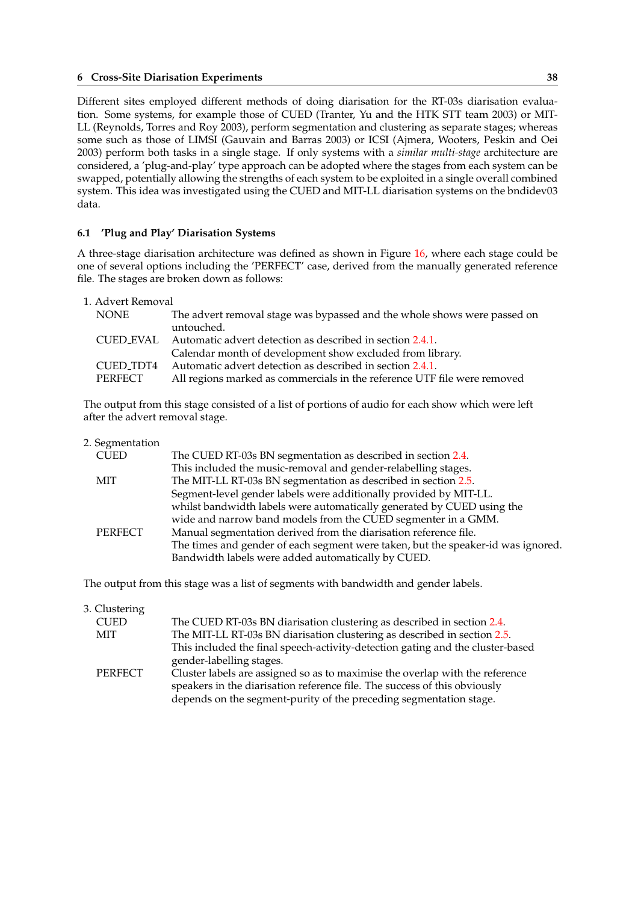### <span id="page-41-0"></span>**6 Cross-Site Diarisation Experiments 38**

Different sites employed different methods of doing diarisation for the RT-03s diarisation evaluation. Some systems, for example those of CUED (Tranter, Yu and the HTK STT team 2003) or MIT-LL (Reynolds, Torres and Roy 2003), perform segmentation and clustering as separate stages; whereas some such as those of LIMSI (Gauvain and Barras 2003) or ICSI (Ajmera, Wooters, Peskin and Oei 2003) perform both tasks in a single stage. If only systems with a *similar multi-stage* architecture are considered, a 'plug-and-play' type approach can be adopted where the stages from each system can be swapped, potentially allowing the strengths of each system to be exploited in a single overall combined system. This idea was investigated using the CUED and MIT-LL diarisation systems on the bndidev03 data.

### **6.1 'Plug and Play' Diarisation Systems**

A three-stage diarisation architecture was defined as shown in Figure 16, where each stage could be one of several options including the 'PERFECT' case, derived from the manually generated reference file. The stages are broken down as follows:

| 1. Advert Removal                                                                   |  |
|-------------------------------------------------------------------------------------|--|
| The advert removal stage was bypassed and the whole shows were passed on<br>NONE    |  |
| untouched.                                                                          |  |
| CUED EVAL Automatic advert detection as described in section 2.4.1.                 |  |
| Calendar month of development show excluded from library.                           |  |
| Automatic advert detection as described in section 2.4.1.<br>CUED TDT4              |  |
| All regions marked as commercials in the reference UTF file were removed<br>PERFECT |  |

The output from this stage consisted of a list of portions of audio for each show which were left after the advert removal stage.

| 2. Segmentation |                                                                                  |
|-----------------|----------------------------------------------------------------------------------|
| <b>CUED</b>     | The CUED RT-03s BN segmentation as described in section 2.4.                     |
|                 | This included the music-removal and gender-relabelling stages.                   |
| <b>MIT</b>      | The MIT-LL RT-03s BN segmentation as described in section 2.5.                   |
|                 | Segment-level gender labels were additionally provided by MIT-LL.                |
|                 | whilst bandwidth labels were automatically generated by CUED using the           |
|                 | wide and narrow band models from the CUED segmenter in a GMM.                    |
| PERFECT         | Manual segmentation derived from the diarisation reference file.                 |
|                 | The times and gender of each segment were taken, but the speaker-id was ignored. |
|                 | Bandwidth labels were added automatically by CUED.                               |
|                 |                                                                                  |

The output from this stage was a list of segments with bandwidth and gender labels.

3. Clustering

| <b>CUED</b> | The CUED RT-03s BN diarisation clustering as described in section 2.4.         |
|-------------|--------------------------------------------------------------------------------|
| MIT         | The MIT-LL RT-03s BN diarisation clustering as described in section 2.5.       |
|             | This included the final speech-activity-detection gating and the cluster-based |
|             | gender-labelling stages.                                                       |
| PERFECT     | Cluster labels are assigned so as to maximise the overlap with the reference   |
|             | speakers in the diarisation reference file. The success of this obviously      |
|             | depends on the segment-purity of the preceding segmentation stage.             |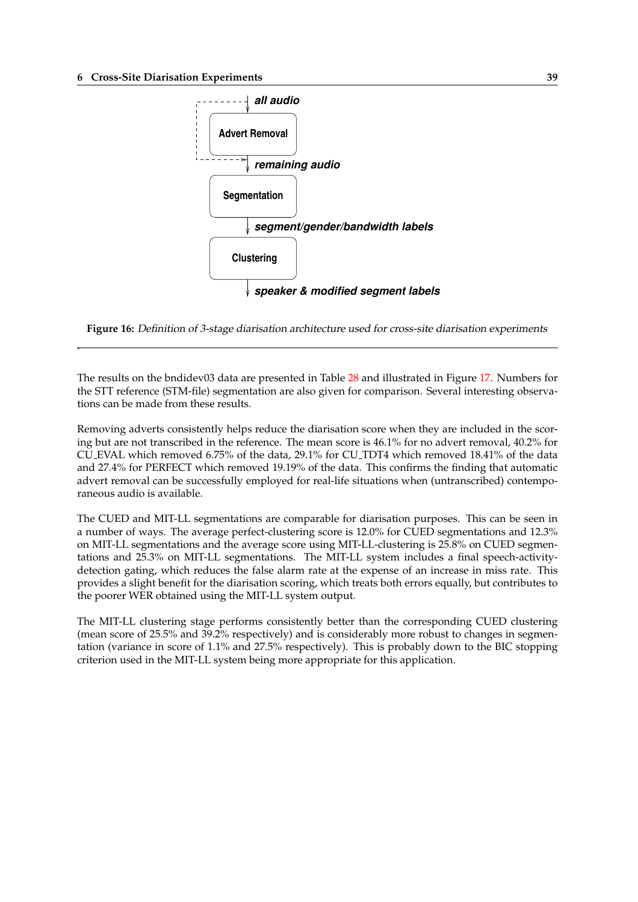.

<span id="page-42-0"></span>



The results on the bndidev03 data are presented in Table 28 and illustrated in Figure 17. Numbers for the STT reference (STM-file) segmentation are also given for comparison. Several interesting observations can be made from these results.

Removing adverts consistently helps reduce the diarisati[on](#page-44-0) score when they are incl[ude](#page-43-0)d in the scoring but are not transcribed in the reference. The mean score is 46.1% for no advert removal, 40.2% for CU EVAL which removed 6.75% of the data, 29.1% for CU TDT4 which removed 18.41% of the data and 27.4% for PERFECT which removed 19.19% of the data. This confirms the finding that automatic advert removal can be successfully employed for real-life situations when (untranscribed) contemporaneous audio is available.

The CUED and MIT-LL segmentations are comparable for diarisation purposes. This can be seen in a number of ways. The average perfect-clustering score is 12.0% for CUED segmentations and 12.3% on MIT-LL segmentations and the average score using MIT-LL-clustering is 25.8% on CUED segmentations and 25.3% on MIT-LL segmentations. The MIT-LL system includes a final speech-activitydetection gating, which reduces the false alarm rate at the expense of an increase in miss rate. This provides a slight benefit for the diarisation scoring, which treats both errors equally, but contributes to the poorer WER obtained using the MIT-LL system output.

The MIT-LL clustering stage performs consistently better than the corresponding CUED clustering (mean score of 25.5% and 39.2% respectively) and is considerably more robust to changes in segmentation (variance in score of 1.1% and 27.5% respectively). This is probably down to the BIC stopping criterion used in the MIT-LL system being more appropriate for this application.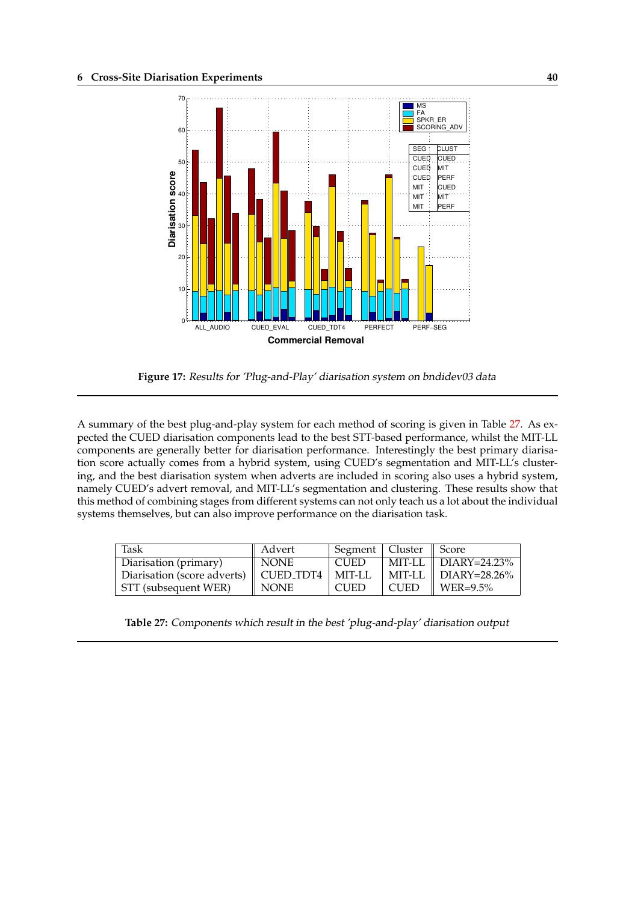<span id="page-43-0"></span>

**Figure 17:** Results for 'Plug-and-Play' diarisation system on bndidev03 data

A summary of the best plug-and-play system for each method of scoring is given in Table 27. As expected the CUED diarisation components lead to the best STT-based performance, whilst the MIT-LL components are generally better for diarisation performance. Interestingly the best primary diarisation score actually comes from a hybrid system, using CUED's segmentation and MIT-LL's clustering, and the best diarisation system when adverts are included in scoring also uses a hybrid system, namely CUED's advert removal, and MIT-LL's segmentation and clustering. These results show that this method of combining stages from different systems can not only teach us a lot about the individual systems themselves, but can also improve performance on the diarisation task.

| Task                        | Advert                | Segment   Cluster |             | $\parallel$ Score                      |
|-----------------------------|-----------------------|-------------------|-------------|----------------------------------------|
| Diarisation (primary)       | NONE                  | <b>CUED</b>       |             | $\mid$ MIT-LL $\parallel$ DIARY=24.23% |
| Diarisation (score adverts) | $\parallel$ CUED TDT4 | MIT-LL            |             | MIT-LL $\parallel$ DIARY=28.26%        |
| STT (subsequent WER)        | <b>NONE</b>           | <b>CUED</b>       | <b>CUED</b> | $\parallel$ WER=9.5%                   |

**Table 27:** Components which result in the best 'plug-and-play' diarisation output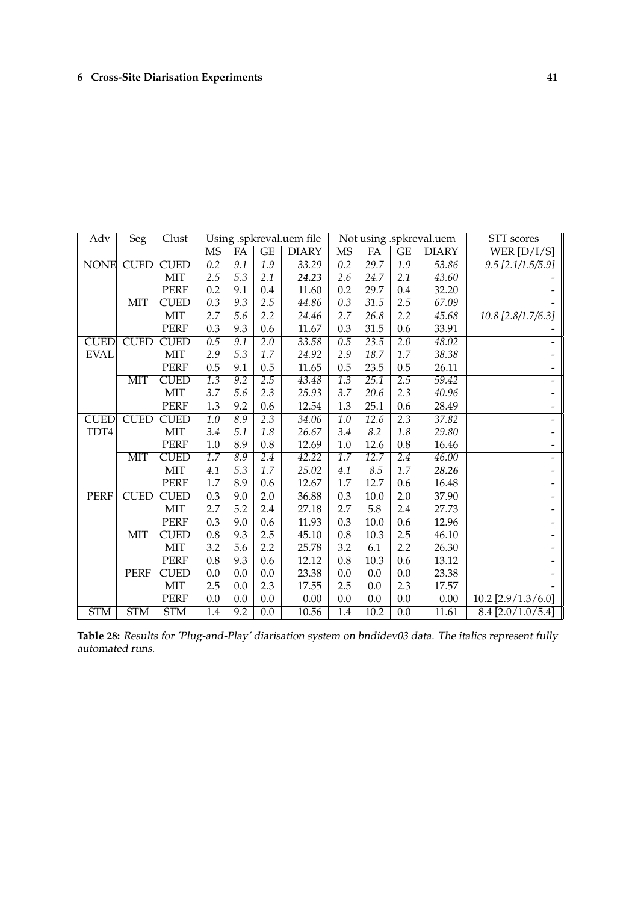<span id="page-44-0"></span>

| Adv         | Seg         | Clust       | Using .spkreval.uem file |                  |                     | Not using .spkreval.uem |                  |                   |                  | STT scores   |                      |
|-------------|-------------|-------------|--------------------------|------------------|---------------------|-------------------------|------------------|-------------------|------------------|--------------|----------------------|
|             |             |             | MS                       | FA               | $\operatorname{GE}$ | <b>DIARY</b>            | <b>MS</b>        | FA                | GE               | <b>DIARY</b> | WER $[D/I/S]$        |
| <b>NONE</b> | <b>CUED</b> | <b>CUED</b> | $\overline{0.2}$         | $\overline{9.1}$ | $\overline{1.9}$    | 33.29                   | $\overline{0.2}$ | 29.7              | $\overline{1.9}$ | 53.86        | $9.5$ [2.1/1.5/5.9]  |
|             |             | <b>MIT</b>  | 2.5                      | 5.3              | 2.1                 | 24.23                   | 2.6              | 24.7              | 2.1              | 43.60        |                      |
|             |             | <b>PERF</b> | 0.2                      | 9.1              | 0.4                 | 11.60                   | 0.2              | 29.7              | 0.4              | 32.20        |                      |
|             | MIT         | <b>CUED</b> | $\overline{0.3}$         | 9.3              | 2.5                 | 44.86                   | $\overline{0.3}$ | 31.5              | 2.5              | 67.09        |                      |
|             |             | MIT         | 2.7                      | 5.6              | 2.2                 | 24.46                   | 2.7              | 26.8              | 2.2              | 45.68        | 10.8 [2.8/1.7/6.3]   |
|             |             | <b>PERF</b> | 0.3                      | 9.3              | 0.6                 | 11.67                   | 0.3              | 31.5              | 0.6              | 33.91        |                      |
| <b>CUED</b> | <b>CUED</b> | <b>CUED</b> | 0.5                      | 9.1              | $\overline{2.0}$    | 33.58                   | 0.5              | 23.5              | $\overline{2.0}$ | 48.02        |                      |
| <b>EVAL</b> |             | MIT         | 2.9                      | 5.3              | 1.7                 | 24.92                   | 2.9              | 18.7              | 1.7              | 38.38        |                      |
|             |             | <b>PERF</b> | 0.5                      | 9.1              | 0.5                 | 11.65                   | 0.5              | 23.5              | 0.5              | 26.11        |                      |
|             | MIT         | <b>CUED</b> | $\overline{1.3}$         | $\overline{9.2}$ | 2.5                 | 43.48                   | $\overline{1.3}$ | $\overline{25.1}$ | 2.5              | 59.42        |                      |
|             |             | <b>MIT</b>  | 3.7                      | 5.6              | 2.3                 | 25.93                   | 3.7              | 20.6              | 2.3              | 40.96        |                      |
|             |             | <b>PERF</b> | 1.3                      | 9.2              | 0.6                 | 12.54                   | 1.3              | 25.1              | 0.6              | 28.49        |                      |
| <b>CUED</b> | <b>CUED</b> | <b>CUED</b> | 1.0                      | 8.9              | 2.3                 | 34.06                   | $\overline{1.0}$ | 12.6              | 2.3              | 37.82        |                      |
| TDT4        |             | <b>MIT</b>  | 3.4                      | 5.1              | 1.8                 | 26.67                   | 3.4              | 8.2               | 1.8              | 29.80        |                      |
|             |             | <b>PERF</b> | 1.0                      | 8.9              | 0.8                 | 12.69                   | 1.0              | 12.6              | 0.8              | 16.46        |                      |
|             | MIT         | <b>CUED</b> | $\overline{1.7}$         | 8.9              | 2.4                 | $\sqrt{42.22}$          | $\overline{1.7}$ | 12.7              | 2.4              | 46.00        |                      |
|             |             | MIT         | 4.1                      | 5.3              | 1.7                 | 25.02                   | 4.1              | 8.5               | 1.7              | 28.26        |                      |
|             |             | <b>PERF</b> | 1.7                      | 8.9              | 0.6                 | 12.67                   | 1.7              | 12.7              | 0.6              | 16.48        |                      |
| <b>PERF</b> | <b>CUED</b> | <b>CUED</b> | 0.3                      | $\overline{9.0}$ | $\overline{2.0}$    | 36.88                   | 0.3              | $\overline{10.0}$ | 2.0              | 37.90        |                      |
|             |             | <b>MIT</b>  | 2.7                      | 5.2              | 2.4                 | 27.18                   | 2.7              | 5.8               | 2.4              | 27.73        |                      |
|             |             | <b>PERF</b> | 0.3                      | 9.0              | 0.6                 | 11.93                   | 0.3              | 10.0              | 0.6              | 12.96        |                      |
|             | MIT         | <b>CUED</b> | 0.8                      | $\overline{9.3}$ | 2.5                 | 45.10                   | $\overline{0.8}$ | 10.3              | 2.5              | 46.10        |                      |
|             |             | <b>MIT</b>  | 3.2                      | 5.6              | 2.2                 | 25.78                   | 3.2              | 6.1               | 2.2              | 26.30        |                      |
|             |             | <b>PERF</b> | 0.8                      | 9.3              | 0.6                 | 12.12                   | 0.8              | 10.3              | 0.6              | 13.12        |                      |
|             | <b>PERF</b> | <b>CUED</b> | 0.0                      | 0.0              | 0.0                 | 23.38                   | 0.0              | 0.0               | 0.0              | 23.38        |                      |
|             |             | <b>MIT</b>  | 2.5                      | 0.0              | 2.3                 | 17.55                   | 2.5              | 0.0               | 2.3              | 17.57        |                      |
|             |             | <b>PERF</b> | 0.0                      | 0.0              | 0.0                 | 0.00                    | 0.0              | 0.0               | 0.0              | 0.00         | $10.2$ [2.9/1.3/6.0] |
| <b>STM</b>  | <b>STM</b>  | <b>STM</b>  | 1.4                      | $\overline{9.2}$ | 0.0                 | 10.56                   | 1.4              | 10.2              | 0.0              | 11.61        | $8.4$ [2.0/1.0/5.4]  |

**Table 28:** Results for 'Plug-and-Play' diarisation system on bndidev03 data. The italics represent fully automated runs.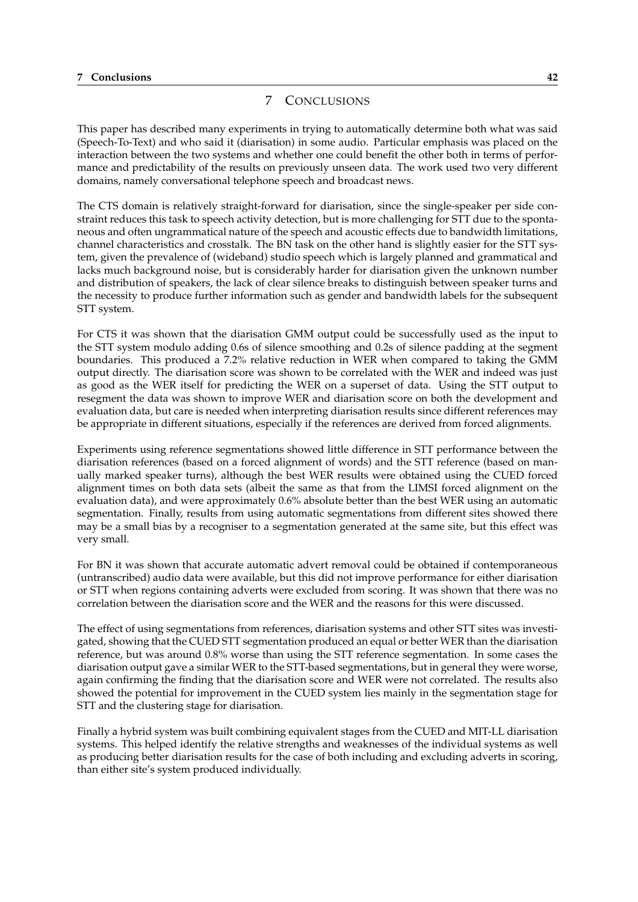#### <span id="page-45-0"></span>**7 Conclusions 42**

## 7 CONCLUSIONS

This paper has described many experiments in trying to automatically determine both what was said (Speech-To-Text) and who said it (diarisation) in some audio. Particular emphasis was placed on the interaction between the two systems and whether one could benefit the other both in terms of performance and predictability of the results on previously unseen data. The work used two very different domains, namely conversational telephone speech and broadcast news.

The CTS domain is relatively straight-forward for diarisation, since the single-speaker per side constraint reduces this task to speech activity detection, but is more challenging for STT due to the spontaneous and often ungrammatical nature of the speech and acoustic effects due to bandwidth limitations, channel characteristics and crosstalk. The BN task on the other hand is slightly easier for the STT system, given the prevalence of (wideband) studio speech which is largely planned and grammatical and lacks much background noise, but is considerably harder for diarisation given the unknown number and distribution of speakers, the lack of clear silence breaks to distinguish between speaker turns and the necessity to produce further information such as gender and bandwidth labels for the subsequent STT system.

For CTS it was shown that the diarisation GMM output could be successfully used as the input to the STT system modulo adding 0.6s of silence smoothing and 0.2s of silence padding at the segment boundaries. This produced a 7.2% relative reduction in WER when compared to taking the GMM output directly. The diarisation score was shown to be correlated with the WER and indeed was just as good as the WER itself for predicting the WER on a superset of data. Using the STT output to resegment the data was shown to improve WER and diarisation score on both the development and evaluation data, but care is needed when interpreting diarisation results since different references may be appropriate in different situations, especially if the references are derived from forced alignments.

Experiments using reference segmentations showed little difference in STT performance between the diarisation references (based on a forced alignment of words) and the STT reference (based on manually marked speaker turns), although the best WER results were obtained using the CUED forced alignment times on both data sets (albeit the same as that from the LIMSI forced alignment on the evaluation data), and were approximately 0.6% absolute better than the best WER using an automatic segmentation. Finally, results from using automatic segmentations from different sites showed there may be a small bias by a recogniser to a segmentation generated at the same site, but this effect was very small.

For BN it was shown that accurate automatic advert removal could be obtained if contemporaneous (untranscribed) audio data were available, but this did not improve performance for either diarisation or STT when regions containing adverts were excluded from scoring. It was shown that there was no correlation between the diarisation score and the WER and the reasons for this were discussed.

The effect of using segmentations from references, diarisation systems and other STT sites was investigated, showing that the CUED STT segmentation produced an equal or better WER than the diarisation reference, but was around 0.8% worse than using the STT reference segmentation. In some cases the diarisation output gave a similar WER to the STT-based segmentations, but in general they were worse, again confirming the finding that the diarisation score and WER were not correlated. The results also showed the potential for improvement in the CUED system lies mainly in the segmentation stage for STT and the clustering stage for diarisation.

Finally a hybrid system was built combining equivalent stages from the CUED and MIT-LL diarisation systems. This helped identify the relative strengths and weaknesses of the individual systems as well as producing better diarisation results for the case of both including and excluding adverts in scoring, than either site's system produced individually.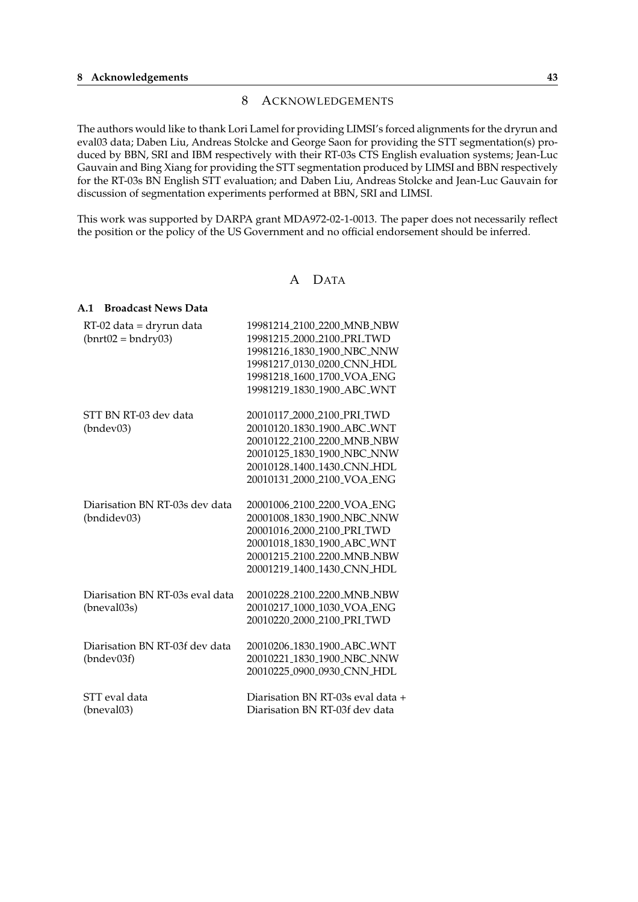## 8 ACKNOWLEDGEMENTS

<span id="page-46-0"></span>The authors would like to thank Lori Lamel for providing LIMSI's forced alignments for the dryrun and eval03 data; Daben Liu, Andreas Stolcke and George Saon for providing the STT segmentation(s) produced by BBN, SRI and IBM respectively with their RT-03s CTS English evaluation systems; Jean-Luc Gauvain and Bing Xiang for providing the STT segmentation produced by LIMSI and BBN respectively for the RT-03s BN English STT evaluation; and Daben Liu, Andreas Stolcke and Jean-Luc Gauvain for discussion of segmentation experiments performed at BBN, SRI and LIMSI.

This work was supported by DARPA grant MDA972-02-1-0013. The paper does not necessarily reflect the position or the policy of the US Government and no official endorsement should be inferred.

### A DATA

#### **A.1 Broadcast News Data**

| RT-02 data = dryrun data        | 19981214_2100_2200_MNB_NBW             |
|---------------------------------|----------------------------------------|
| $(bnrt02 = bndry03)$            | 19981215_2000_2100_PRI_TWD             |
|                                 | 19981216_1830_1900_NBC_NNW             |
|                                 | 19981217_0130_0200_CNN_HDL             |
|                                 | 19981218 <sub>-1600-1700-VOA-ENG</sub> |
|                                 | 19981219 <sub>-1830-1900-ABC-WNT</sub> |
| STT BN RT-03 dev data           | 20010117_2000_2100_PRI_TWD             |
| (hndev03)                       | 20010120_1830_1900_ABC_WNT             |
|                                 | 20010122_2100_2200_MNB_NBW             |
|                                 | 20010125_1830_1900_NBC_NNW             |
|                                 | 20010128_1400_1430_CNN_HDL             |
|                                 | 20010131_2000_2100_VOA_ENG             |
| Diarisation BN RT-03s dev data  | 20001006_2100_2200_VOA_ENG             |
| (bndidev03)                     | 20001008_1830_1900_NBC_NNW             |
|                                 | 20001016_2000_2100_PRI_TWD             |
|                                 | 20001018_1830_1900_ABC_WNT             |
|                                 | 20001215_2100_2200_MNB_NBW             |
|                                 | 20001219_1400_1430_CNN_HDL             |
| Diarisation BN RT-03s eval data | 20010228_2100_2200_MNB_NBW             |
| (bneval03s)                     | 20010217 <sub>-1000-1030-VOA-ENG</sub> |
|                                 | 20010220_2000_2100_PRI_TWD             |
| Diarisation BN RT-03f dev data  | 20010206_1830_1900_ABC_WNT             |
| (bndev03f)                      | 20010221_1830_1900_NBC_NNW             |
|                                 | 20010225_0900_0930_CNN_HDL             |
| STT eval data                   | Diarisation BN RT-03s eval data +      |
| (bneval03)                      | Diarisation BN RT-03f dev data         |
|                                 |                                        |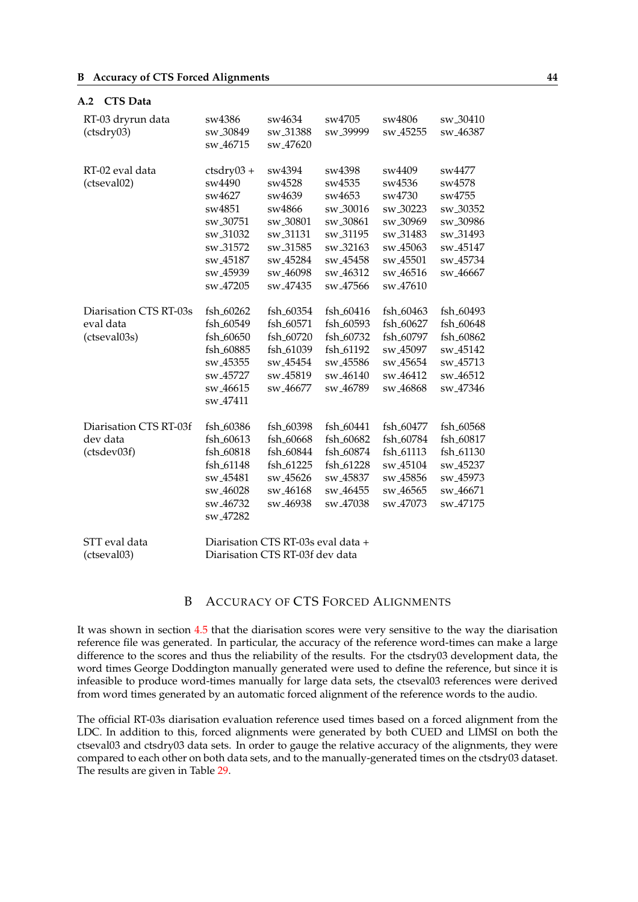#### <span id="page-47-0"></span>**A.2 CTS Data**

| RT-03 dryrun data<br>(ctsdry03)                     | sw4386<br>sw_30849<br>sw_46715                                                                                                                               | sw4634<br>sw <sub>-31388</sub><br>sw_47620                                                                                                       | sw4705<br>sw <sub>-39999</sub>                                                                                                                                 | sw4806<br>sw <sub>-45255</sub>                                                                                                                                                         | sw_30410<br>sw <sub>-46387</sub>                                                                                                                   |
|-----------------------------------------------------|--------------------------------------------------------------------------------------------------------------------------------------------------------------|--------------------------------------------------------------------------------------------------------------------------------------------------|----------------------------------------------------------------------------------------------------------------------------------------------------------------|----------------------------------------------------------------------------------------------------------------------------------------------------------------------------------------|----------------------------------------------------------------------------------------------------------------------------------------------------|
| RT-02 eval data<br>(ctseval02)                      | $ctsdry03 +$<br>sw4490<br>sw4627<br>sw4851<br>sw <sub>-30751</sub><br>sw_31032<br>sw_31572<br>sw_45187<br>sw_45939<br>sw_47205                               | sw4394<br>sw4528<br>sw4639<br>sw4866<br>sw_30801<br>sw_31131<br>sw_31585<br>sw <sub>-45284</sub><br>sw <sub>-46098</sub><br>sw <sub>-47435</sub> | sw4398<br>sw4535<br>sw4653<br>sw <sub>-30016</sub><br>sw <sub>-30861</sub><br>sw_31195<br>sw_32163<br>sw_45458<br>sw <sub>-46312</sub><br>sw <sub>-47566</sub> | sw4409<br>sw4536<br>sw4730<br>sw <sub>-30223</sub><br>sw <sub>-30969</sub><br>sw_31483<br>sw <sub>-45063</sub><br>sw <sub>-45501</sub><br>sw <sub>-46516</sub><br>sw <sub>-47610</sub> | sw4477<br>sw4578<br>sw4755<br>sw <sub>-30352</sub><br>sw <sub>-30986</sub><br>sw_31493<br>sw_45147<br>sw <sub>-45734</sub><br>sw <sub>-46667</sub> |
| Diarisation CTS RT-03s<br>eval data<br>(ctseval03s) | fsh <sub>-60262</sub><br>fsh_60549<br>fsh <sub>-60650</sub><br>fsh_60885<br>sw <sub>-45355</sub><br>sw_45727<br>sw <sub>-46615</sub><br>sw <sub>-47411</sub> | fsh <sub>-60354</sub><br>fsh_60571<br>fsh_60720<br>fsh_61039<br>sw <sub>-45454</sub><br>sw <sub>-45819</sub><br>sw <sub>-46677</sub>             | fsh <sub>-60416</sub><br>fsh_60593<br>fsh_60732<br>fsh <sub>-61192</sub><br>sw <sub>-45586</sub><br>sw_46140<br>sw <sub>-46789</sub>                           | fsh <sub>-60463</sub><br>fsh_60627<br>fsh_60797<br>sw_45097<br>sw <sub>-45654</sub><br>sw <sub>-46412</sub><br>sw <sub>-46868</sub>                                                    | fsh <sub>-60493</sub><br>fsh <sub>-60648</sub><br>fsh_60862<br>sw_45142<br>sw <sub>-45713</sub><br>sw <sub>-46512</sub><br>sw <sub>-47346</sub>    |
| Diarisation CTS RT-03f<br>dev data<br>(ctsdev03f)   | fsh_60386<br>fsh_60613<br>fsh_60818<br>fsh_61148<br>sw_45481<br>sw <sub>-46028</sub><br>sw <sub>-46732</sub><br>sw <sub>-47282</sub>                         | fsh_60398<br>fsh <sub>-60668</sub><br>fsh <sub>-60844</sub><br>fsh_61225<br>sw <sub>-45626</sub><br>sw <sub>-46168</sub><br>sw <sub>-46938</sub> | fsh_60441<br>fsh <sub>-60682</sub><br>fsh_60874<br>fsh_61228<br>sw_45837<br>sw <sub>-46455</sub><br>sw <sub>-47038</sub>                                       | fsh_60477<br>fsh_60784<br>fsh_61113<br>sw_45104<br>sw_45856<br>sw <sub>-46565</sub><br>sw <sub>-47073</sub>                                                                            | fsh_60568<br>fsh_60817<br>fsh_61130<br>sw_45237<br>sw_45973<br>sw <sub>-46671</sub><br>sw_47175                                                    |
| STT eval data<br>(ctseval03)                        |                                                                                                                                                              | Diarisation CTS RT-03s eval data +<br>Diarisation CTS RT-03f dev data                                                                            |                                                                                                                                                                |                                                                                                                                                                                        |                                                                                                                                                    |

## B ACCURACY OF CTS FORCED ALIGNMENTS

It was shown in section 4.5 that the diarisation scores were very sensitive to the way the diarisation reference file was generated. In particular, the accuracy of the reference word-times can make a large difference to the scores and thus the reliability of the results. For the ctsdry03 development data, the word times George Doddington manually generated were used to define the reference, but since it is infeasible to produce w[ord-](#page-26-0)times manually for large data sets, the ctseval03 references were derived from word times generated by an automatic forced alignment of the reference words to the audio.

The official RT-03s diarisation evaluation reference used times based on a forced alignment from the LDC. In addition to this, forced alignments were generated by both CUED and LIMSI on both the ctseval03 and ctsdry03 data sets. In order to gauge the relative accuracy of the alignments, they were compared to each other on both data sets, and to the manually-generated times on the ctsdry03 dataset. The results are given in Table 29.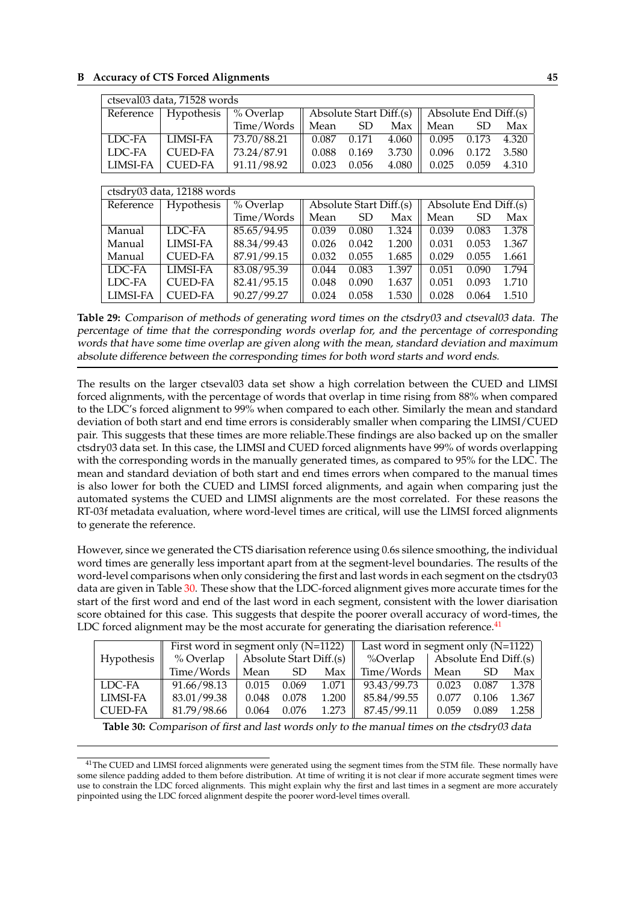| ctseval03 data, 71528 words |                        |             |       |                                                                       |       |       |               |       |  |  |
|-----------------------------|------------------------|-------------|-------|-----------------------------------------------------------------------|-------|-------|---------------|-------|--|--|
|                             | Reference   Hypothesis | % Overlap   |       | $\parallel$ Absolute Start Diff.(s) $\parallel$ Absolute End Diff.(s) |       |       |               |       |  |  |
|                             |                        | Time/Words  | Mean  | SD <sub>3</sub>                                                       | Max   | Mean  | SD.           | Max   |  |  |
| LDC-FA                      | LIMSI-FA               | 73.70/88.21 | 0.087 | 0.171                                                                 | 4.060 |       | $0.095$ 0.173 | 4.320 |  |  |
| LDC-FA                      | <b>CUED-FA</b>         | 73.24/87.91 | 0.088 | 0.169                                                                 | 3.730 | 0.096 | 0.172         | 3.580 |  |  |
| LIMSI-FA                    | <b>CUED-FA</b>         | 91.11/98.92 | 0.023 | 0.056                                                                 | 4.080 | 0.025 | 0.059         | 4.310 |  |  |

| ctsdry03 data, 12188 words |                   |             |       |           |                         |                       |       |       |  |
|----------------------------|-------------------|-------------|-------|-----------|-------------------------|-----------------------|-------|-------|--|
| Reference                  | <b>Hypothesis</b> | % Overlap   |       |           | Absolute Start Diff.(s) | Absolute End Diff.(s) |       |       |  |
|                            |                   | Time/Words  | Mean  | <b>SD</b> | Max                     | Mean                  | SD    | Max   |  |
| Manual                     | LDC-FA            | 85.65/94.95 | 0.039 | 0.080     | 1.324                   | 0.039                 | 0.083 | 1.378 |  |
| Manual                     | <b>LIMSI-FA</b>   | 88.34/99.43 | 0.026 | 0.042     | 1.200                   | 0.031                 | 0.053 | 1.367 |  |
| Manual                     | <b>CUED-FA</b>    | 87.91/99.15 | 0.032 | 0.055     | 1.685                   | 0.029                 | 0.055 | 1.661 |  |
| LDC-FA                     | <b>LIMSI-FA</b>   | 83.08/95.39 | 0.044 | 0.083     | 1.397                   | 0.051                 | 0.090 | 1.794 |  |
| LDC-FA                     | <b>CUED-FA</b>    | 82.41/95.15 | 0.048 | 0.090     | 1.637                   | 0.051                 | 0.093 | 1.710 |  |
| LIMSI-FA                   | <b>CUED-FA</b>    | 90.27/99.27 | 0.024 | 0.058     | 1.530                   | 0.028                 | 0.064 | 1.510 |  |

**Table 29:** Comparison of methods of generating word times on the ctsdry03 and ctseval03 data. The percentage of time that the corresponding words overlap for, and the percentage of corresponding words that have some time overlap are given along with the mean, standard deviation and maximum absolute difference between the corresponding times for both word starts and word ends.

The results on the larger ctseval03 data set show a high correlation between the CUED and LIMSI forced alignments, with the percentage of words that overlap in time rising from 88% when compared to the LDC's forced alignment to 99% when compared to each other. Similarly the mean and standard deviation of both start and end time errors is considerably smaller when comparing the LIMSI/CUED pair. This suggests that these times are more reliable.These findings are also backed up on the smaller ctsdry03 data set. In this case, the LIMSI and CUED forced alignments have 99% of words overlapping with the corresponding words in the manually generated times, as compared to 95% for the LDC. The mean and standard deviation of both start and end times errors when compared to the manual times is also lower for both the CUED and LIMSI forced alignments, and again when comparing just the automated systems the CUED and LIMSI alignments are the most correlated. For these reasons the RT-03f metadata evaluation, where word-level times are critical, will use the LIMSI forced alignments to generate the reference.

However, since we generated the CTS diarisation reference using 0.6s silence smoothing, the individual word times are generally less important apart from at the segment-level boundaries. The results of the word-level comparisons when only considering the first and last words in each segment on the ctsdry03 data are given in Table 30. These show that the LDC-forced alignment gives more accurate times for the start of the first word and end of the last word in each segment, consistent with the lower diarisation score obtained for this case. This suggests that despite the poorer overall accuracy of word-times, the LDC forced alignment may be the most accurate for generating the diarisation reference.<sup>41</sup>

|                | First word in segment only $(N=1122)$        |       |       |                                           | Last word in segment only $(N=1122)$ |       |       |       |
|----------------|----------------------------------------------|-------|-------|-------------------------------------------|--------------------------------------|-------|-------|-------|
| Hypothesis     | $\vert$ Absolute Start Diff.(s)<br>% Overlap |       |       | $\vert$ Absolute End Diff.(s)<br>%Overlap |                                      |       |       |       |
|                | Time/Words                                   | Mean  | -SD   | Max                                       | Time/Words                           | Mean  | -SD   | Max   |
| LDC-FA         | 91.66/98.13                                  | 0.015 | 0.069 | 1.071                                     | 93.43/99.73                          | 0.023 | 0.087 | 1.378 |
| LIMSI-FA       | 83.01/99.38                                  | 0.048 | 0.078 | 1.200                                     | 85.84/99.55                          | 0.077 | 0.106 | 1.367 |
| <b>CUED-FA</b> | 81.79/98.66                                  | 0.064 | 0.076 | 1.273                                     | 87.45/99.11                          | 0.059 | 0.089 | 1.258 |

**Table 30:** Comparison of first and last words only to the manual times on the ctsdry03 data

<sup>41</sup>The CUED and LIMSI forced alignments were generated using the segment times from the STM file. These normally have some silence padding added to them before distribution. At time of writing it is not clear if more accurate segment times were use to constrain the LDC forced alignments. This might explain why the first and last times in a segment are more accurately pinpointed using the LDC forced alignment despite the poorer word-level times overall.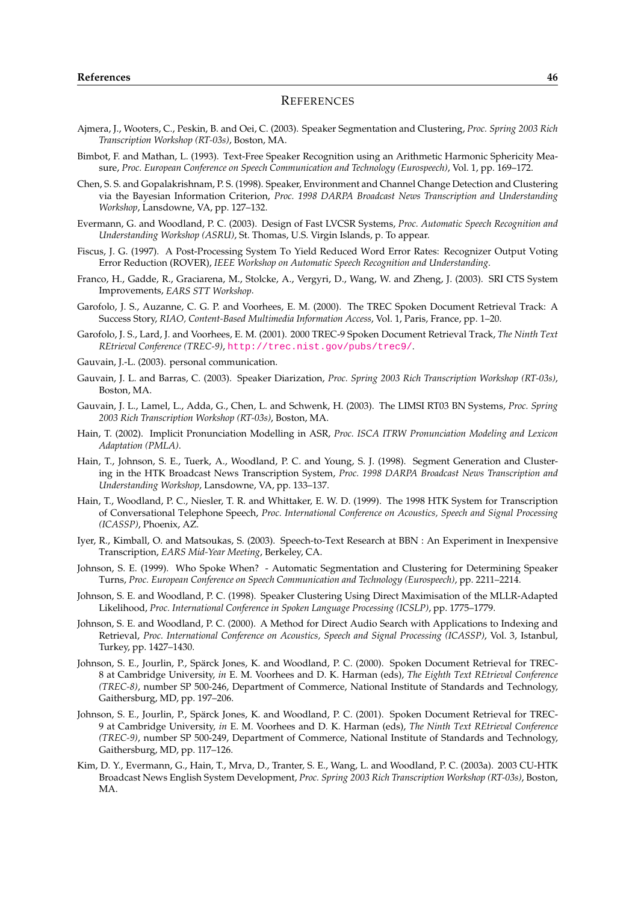- Ajmera, J., Wooters, C., Peskin, B. and Oei, C. (2003). Speaker Segmentation and Clustering, *Proc. Spring 2003 Rich Transcription Workshop (RT-03s)*, Boston, MA.
- Bimbot, F. and Mathan, L. (1993). Text-Free Speaker Recognition using an Arithmetic Harmonic Sphericity Measure, *Proc. European Conference on Speech Communication and Technology (Eurospeech)*, Vol. 1, pp. 169–172.
- Chen, S. S. and Gopalakrishnam, P. S. (1998). Speaker, Environment and Channel Change Detection and Clustering via the Bayesian Information Criterion, *Proc. 1998 DARPA Broadcast News Transcription and Understanding Workshop*, Lansdowne, VA, pp. 127–132.
- Evermann, G. and Woodland, P. C. (2003). Design of Fast LVCSR Systems, *Proc. Automatic Speech Recognition and Understanding Workshop (ASRU)*, St. Thomas, U.S. Virgin Islands, p. To appear.
- Fiscus, J. G. (1997). A Post-Processing System To Yield Reduced Word Error Rates: Recognizer Output Voting Error Reduction (ROVER), *IEEE Workshop on Automatic Speech Recognition and Understanding*.
- Franco, H., Gadde, R., Graciarena, M., Stolcke, A., Vergyri, D., Wang, W. and Zheng, J. (2003). SRI CTS System Improvements, *EARS STT Workshop*.
- Garofolo, J. S., Auzanne, C. G. P. and Voorhees, E. M. (2000). The TREC Spoken Document Retrieval Track: A Success Story, *RIAO, Content-Based Multimedia Information Access*, Vol. 1, Paris, France, pp. 1–20.
- Garofolo, J. S., Lard, J. and Voorhees, E. M. (2001). 2000 TREC-9 Spoken Document Retrieval Track, *The Ninth Text REtrieval Conference (TREC-9)*, http://trec.nist.gov/pubs/trec9/.
- Gauvain, J.-L. (2003). personal communication.
- Gauvain, J. L. and Barras, C. (2003). Speaker Diarization, *Proc. Spring 2003 Rich Transcription Workshop (RT-03s)*, Boston, MA.
- Gauvain, J. L., Lamel, L., Adda, G.[, Chen, L. and Schwenk, H. \(2003\). The LIM](http://trec.nist.gov/pubs/trec9/)SI RT03 BN Systems, *Proc. Spring 2003 Rich Transcription Workshop (RT-03s)*, Boston, MA.
- Hain, T. (2002). Implicit Pronunciation Modelling in ASR, *Proc. ISCA ITRW Pronunciation Modeling and Lexicon Adaptation (PMLA)*.
- Hain, T., Johnson, S. E., Tuerk, A., Woodland, P. C. and Young, S. J. (1998). Segment Generation and Clustering in the HTK Broadcast News Transcription System, *Proc. 1998 DARPA Broadcast News Transcription and Understanding Workshop*, Lansdowne, VA, pp. 133–137.
- Hain, T., Woodland, P. C., Niesler, T. R. and Whittaker, E. W. D. (1999). The 1998 HTK System for Transcription of Conversational Telephone Speech, *Proc. International Conference on Acoustics, Speech and Signal Processing (ICASSP)*, Phoenix, AZ.
- Iyer, R., Kimball, O. and Matsoukas, S. (2003). Speech-to-Text Research at BBN : An Experiment in Inexpensive Transcription, *EARS Mid-Year Meeting*, Berkeley, CA.
- Johnson, S. E. (1999). Who Spoke When? Automatic Segmentation and Clustering for Determining Speaker Turns, *Proc. European Conference on Speech Communication and Technology (Eurospeech)*, pp. 2211–2214.
- Johnson, S. E. and Woodland, P. C. (1998). Speaker Clustering Using Direct Maximisation of the MLLR-Adapted Likelihood, *Proc. International Conference in Spoken Language Processing (ICSLP)*, pp. 1775–1779.
- Johnson, S. E. and Woodland, P. C. (2000). A Method for Direct Audio Search with Applications to Indexing and Retrieval, *Proc. International Conference on Acoustics, Speech and Signal Processing (ICASSP)*, Vol. 3, Istanbul, Turkey, pp. 1427–1430.
- Johnson, S. E., Jourlin, P., Spärck Jones, K. and Woodland, P. C. (2000). Spoken Document Retrieval for TREC-8 at Cambridge University, *in* E. M. Voorhees and D. K. Harman (eds), *The Eighth Text REtrieval Conference (TREC-8)*, number SP 500-246, Department of Commerce, National Institute of Standards and Technology, Gaithersburg, MD, pp. 197–206.
- Johnson, S. E., Jourlin, P., Spärck Jones, K. and Woodland, P. C. (2001). Spoken Document Retrieval for TREC-9 at Cambridge University, *in* E. M. Voorhees and D. K. Harman (eds), *The Ninth Text REtrieval Conference (TREC-9)*, number SP 500-249, Department of Commerce, National Institute of Standards and Technology, Gaithersburg, MD, pp. 117–126.
- Kim, D. Y., Evermann, G., Hain, T., Mrva, D., Tranter, S. E., Wang, L. and Woodland, P. C. (2003a). 2003 CU-HTK Broadcast News English System Development, *Proc. Spring 2003 Rich Transcription Workshop (RT-03s)*, Boston, MA.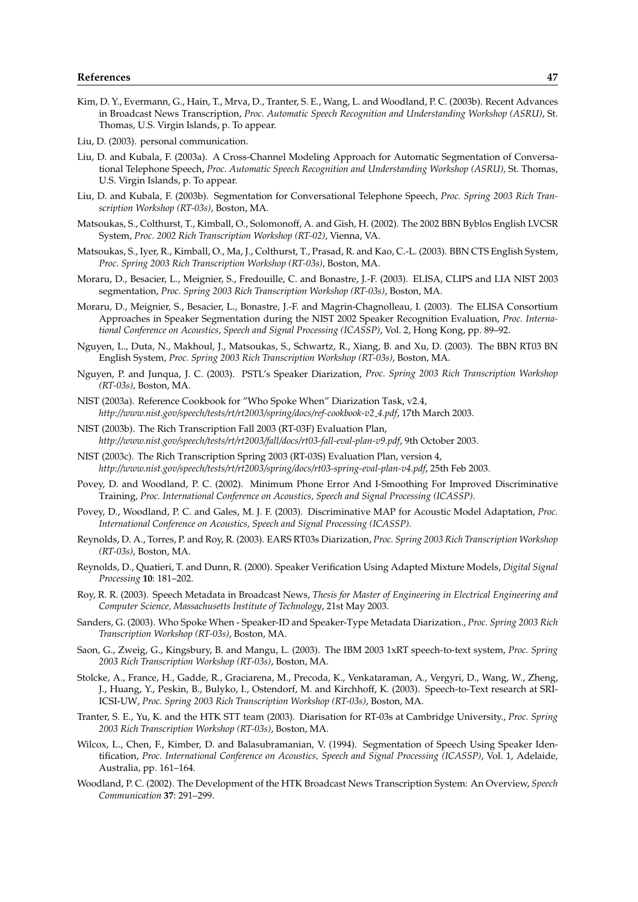- Kim, D. Y., Evermann, G., Hain, T., Mrva, D., Tranter, S. E., Wang, L. and Woodland, P. C. (2003b). Recent Advances in Broadcast News Transcription, *Proc. Automatic Speech Recognition and Understanding Workshop (ASRU)*, St. Thomas, U.S. Virgin Islands, p. To appear.
- Liu, D. (2003). personal communication.
- Liu, D. and Kubala, F. (2003a). A Cross-Channel Modeling Approach for Automatic Segmentation of Conversational Telephone Speech, *Proc. Automatic Speech Recognition and Understanding Workshop (ASRU)*, St. Thomas, U.S. Virgin Islands, p. To appear.
- Liu, D. and Kubala, F. (2003b). Segmentation for Conversational Telephone Speech, *Proc. Spring 2003 Rich Transcription Workshop (RT-03s)*, Boston, MA.
- Matsoukas, S., Colthurst, T., Kimball, O., Solomonoff, A. and Gish, H. (2002). The 2002 BBN Byblos English LVCSR System, *Proc. 2002 Rich Transcription Workshop (RT-02)*, Vienna, VA.
- Matsoukas, S., Iyer, R., Kimball, O., Ma, J., Colthurst, T., Prasad, R. and Kao, C.-L. (2003). BBN CTS English System, *Proc. Spring 2003 Rich Transcription Workshop (RT-03s)*, Boston, MA.
- Moraru, D., Besacier, L., Meignier, S., Fredouille, C. and Bonastre, J.-F. (2003). ELISA, CLIPS and LIA NIST 2003 segmentation, *Proc. Spring 2003 Rich Transcription Workshop (RT-03s)*, Boston, MA.
- Moraru, D., Meignier, S., Besacier, L., Bonastre, J.-F. and Magrin-Chagnolleau, I. (2003). The ELISA Consortium Approaches in Speaker Segmentation during the NIST 2002 Speaker Recognition Evaluation, *Proc. International Conference on Acoustics, Speech and Signal Processing (ICASSP)*, Vol. 2, Hong Kong, pp. 89–92.
- Nguyen, L., Duta, N., Makhoul, J., Matsoukas, S., Schwartz, R., Xiang, B. and Xu, D. (2003). The BBN RT03 BN English System, *Proc. Spring 2003 Rich Transcription Workshop (RT-03s)*, Boston, MA.
- Nguyen, P. and Junqua, J. C. (2003). PSTL's Speaker Diarization, *Proc. Spring 2003 Rich Transcription Workshop (RT-03s)*, Boston, MA.
- NIST (2003a). Reference Cookbook for "Who Spoke When" Diarization Task, v2.4, *http://www.nist.gov/speech/tests/rt/rt2003/spring/docs/ref-cookbook-v2 4.pdf*, 17th March 2003.
- NIST (2003b). The Rich Transcription Fall 2003 (RT-03F) Evaluation Plan, *http://www.nist.gov/speech/tests/rt/rt2003/fall/docs/rt03-fall-eval-plan-v9.pdf*, 9th October 2003.
- NIST (2003c). The Rich Transcription Spring 2003 (RT-03S) Evaluation Plan, version 4, *http://www.nist.gov/speech/tests/rt/rt2003/spring/docs/rt03-spring-eval-plan-v4.pdf*, 25th Feb 2003.
- Povey, D. and Woodland, P. C. (2002). Minimum Phone Error And I-Smoothing For Improved Discriminative Training, *Proc. International Conference on Acoustics, Speech and Signal Processing (ICASSP)*.
- Povey, D., Woodland, P. C. and Gales, M. J. F. (2003). Discriminative MAP for Acoustic Model Adaptation, *Proc. International Conference on Acoustics, Speech and Signal Processing (ICASSP)*.
- Reynolds, D. A., Torres, P. and Roy, R. (2003). EARS RT03s Diarization, *Proc. Spring 2003 Rich Transcription Workshop (RT-03s)*, Boston, MA.
- Reynolds, D., Quatieri, T. and Dunn, R. (2000). Speaker Verification Using Adapted Mixture Models, *Digital Signal Processing* **10**: 181–202.
- Roy, R. R. (2003). Speech Metadata in Broadcast News, *Thesis for Master of Engineering in Electrical Engineering and Computer Science, Massachusetts Institute of Technology*, 21st May 2003.
- Sanders, G. (2003). Who Spoke When Speaker-ID and Speaker-Type Metadata Diarization., *Proc. Spring 2003 Rich Transcription Workshop (RT-03s)*, Boston, MA.
- Saon, G., Zweig, G., Kingsbury, B. and Mangu, L. (2003). The IBM 2003 1xRT speech-to-text system, *Proc. Spring 2003 Rich Transcription Workshop (RT-03s)*, Boston, MA.
- Stolcke, A., France, H., Gadde, R., Graciarena, M., Precoda, K., Venkataraman, A., Vergyri, D., Wang, W., Zheng, J., Huang, Y., Peskin, B., Bulyko, I., Ostendorf, M. and Kirchhoff, K. (2003). Speech-to-Text research at SRI-ICSI-UW, *Proc. Spring 2003 Rich Transcription Workshop (RT-03s)*, Boston, MA.
- Tranter, S. E., Yu, K. and the HTK STT team (2003). Diarisation for RT-03s at Cambridge University., *Proc. Spring 2003 Rich Transcription Workshop (RT-03s)*, Boston, MA.
- Wilcox, L., Chen, F., Kimber, D. and Balasubramanian, V. (1994). Segmentation of Speech Using Speaker Identification, *Proc. International Conference on Acoustics, Speech and Signal Processing (ICASSP)*, Vol. 1, Adelaide, Australia, pp. 161–164.
- Woodland, P. C. (2002). The Development of the HTK Broadcast News Transcription System: An Overview, *Speech Communication* **37**: 291–299.